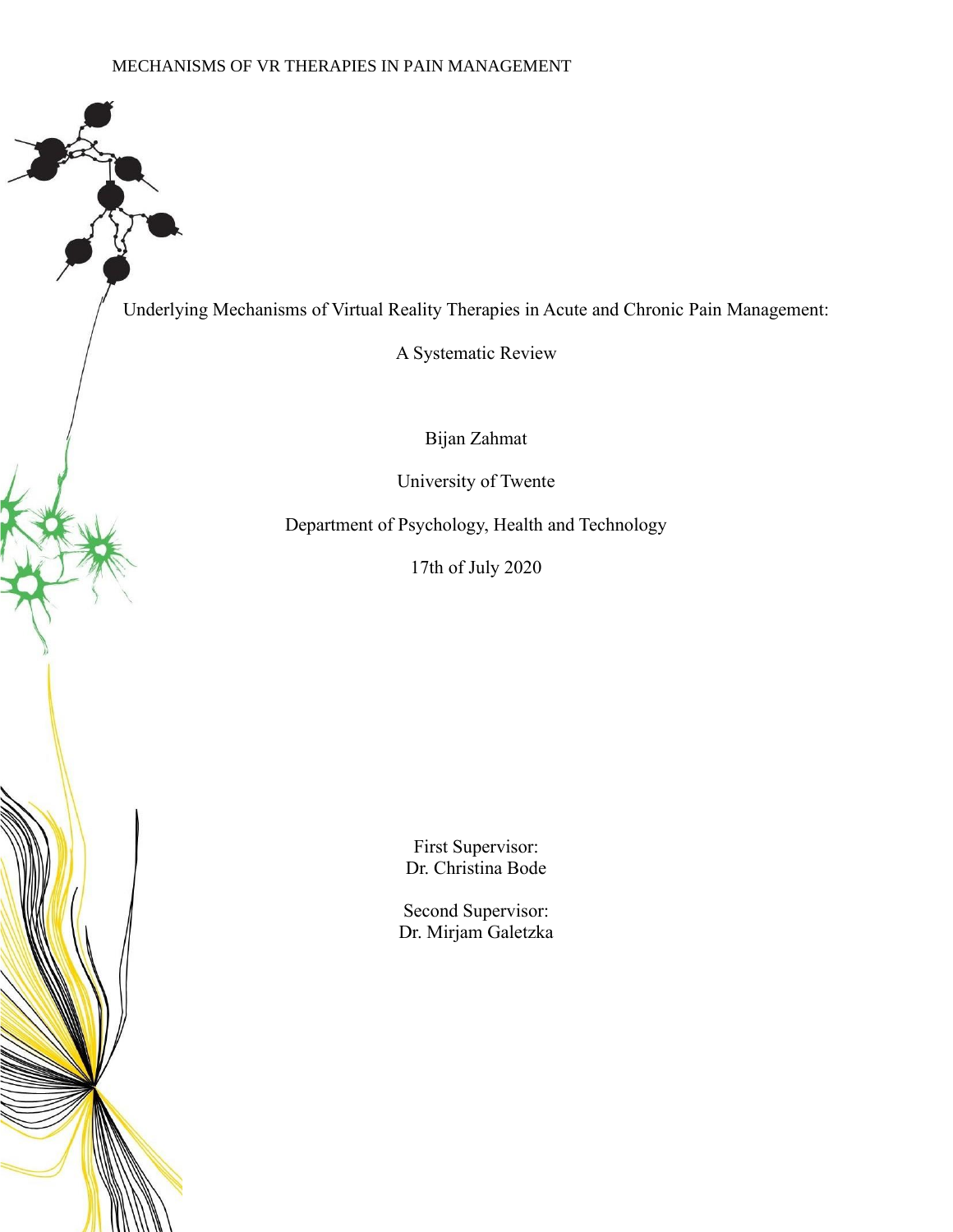Underlying Mechanisms of Virtual Reality Therapies in Acute and Chronic Pain Management:

A Systematic Review

Bijan Zahmat

University of Twente

Department of Psychology, Health and Technology

17th of July 2020

First Supervisor: Dr. Christina Bode

Second Supervisor: Dr. Mirjam Galetzka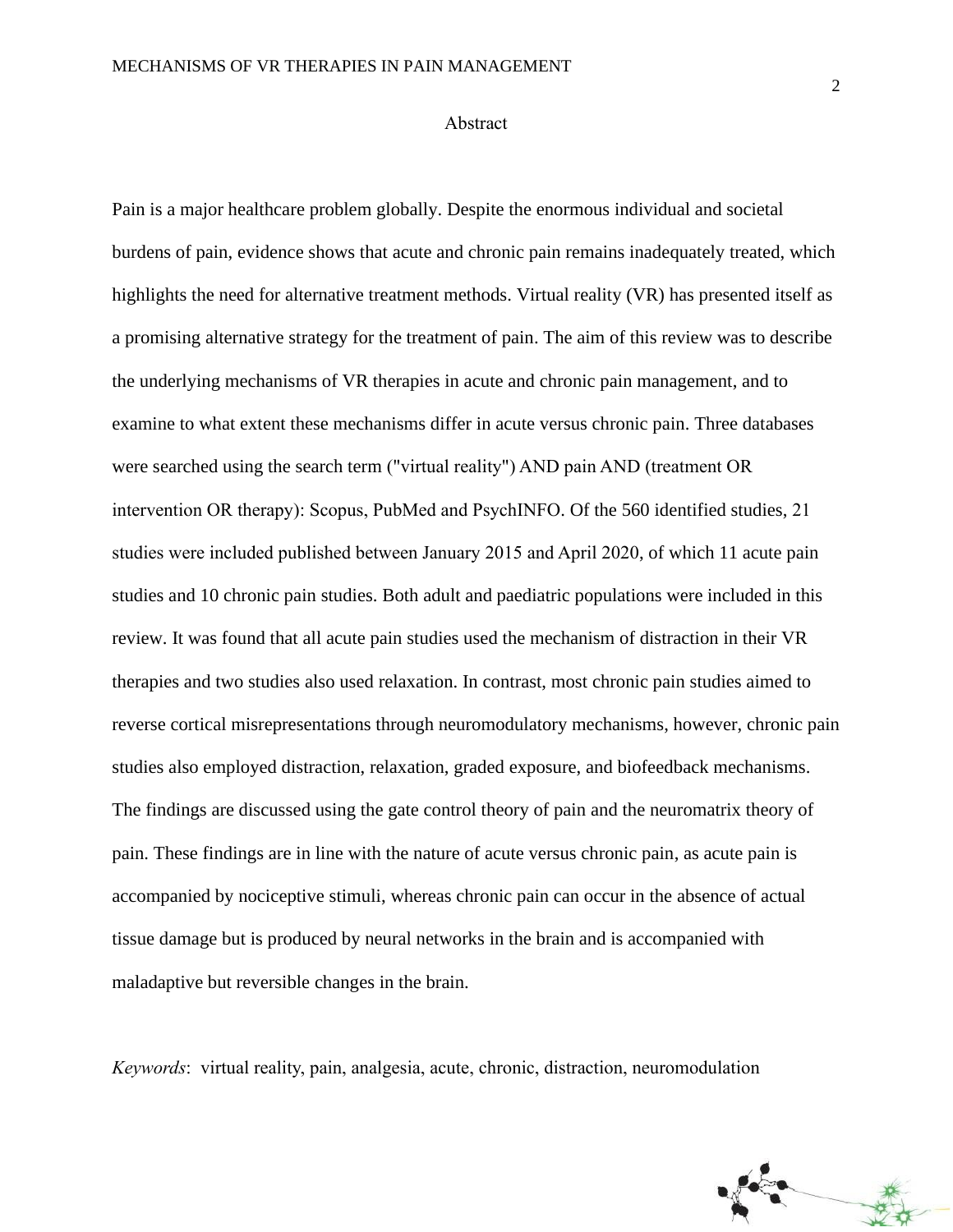#### Abstract

Pain is a major healthcare problem globally. Despite the enormous individual and societal burdens of pain, evidence shows that acute and chronic pain remains inadequately treated, which highlights the need for alternative treatment methods. Virtual reality (VR) has presented itself as a promising alternative strategy for the treatment of pain. The aim of this review was to describe the underlying mechanisms of VR therapies in acute and chronic pain management, and to examine to what extent these mechanisms differ in acute versus chronic pain. Three databases were searched using the search term ("virtual reality") AND pain AND (treatment OR intervention OR therapy): Scopus, PubMed and PsychINFO. Of the 560 identified studies, 21 studies were included published between January 2015 and April 2020, of which 11 acute pain studies and 10 chronic pain studies. Both adult and paediatric populations were included in this review. It was found that all acute pain studies used the mechanism of distraction in their VR therapies and two studies also used relaxation. In contrast, most chronic pain studies aimed to reverse cortical misrepresentations through neuromodulatory mechanisms, however, chronic pain studies also employed distraction, relaxation, graded exposure, and biofeedback mechanisms. The findings are discussed using the gate control theory of pain and the neuromatrix theory of pain. These findings are in line with the nature of acute versus chronic pain, as acute pain is accompanied by nociceptive stimuli, whereas chronic pain can occur in the absence of actual tissue damage but is produced by neural networks in the brain and is accompanied with maladaptive but reversible changes in the brain.

*Keywords*: virtual reality, pain, analgesia, acute, chronic, distraction, neuromodulation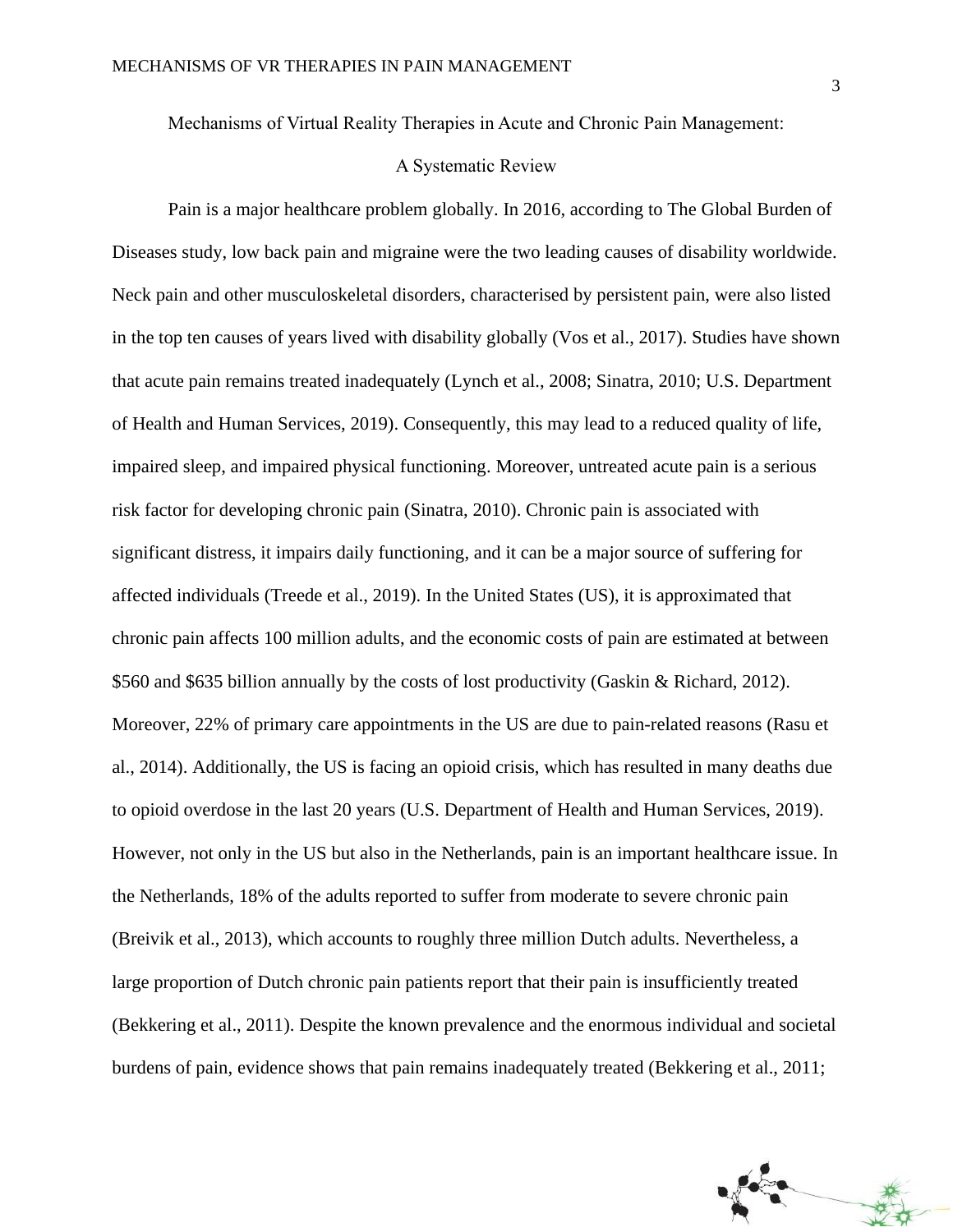Mechanisms of Virtual Reality Therapies in Acute and Chronic Pain Management:

### A Systematic Review

Pain is a major healthcare problem globally. In 2016, according to The Global Burden of Diseases study, low back pain and migraine were the two leading causes of disability worldwide. Neck pain and other musculoskeletal disorders, characterised by persistent pain, were also listed in the top ten causes of years lived with disability globally (Vos et al., 2017). Studies have shown that acute pain remains treated inadequately (Lynch et al., 2008; Sinatra, 2010; U.S. Department of Health and Human Services, 2019). Consequently, this may lead to a reduced quality of life, impaired sleep, and impaired physical functioning. Moreover, untreated acute pain is a serious risk factor for developing chronic pain (Sinatra, 2010). Chronic pain is associated with significant distress, it impairs daily functioning, and it can be a major source of suffering for affected individuals (Treede et al., 2019). In the United States (US), it is approximated that chronic pain affects 100 million adults, and the economic costs of pain are estimated at between \$560 and \$635 billion annually by the costs of lost productivity (Gaskin & Richard, 2012). Moreover, 22% of primary care appointments in the US are due to pain-related reasons (Rasu et al., 2014). Additionally, the US is facing an opioid crisis, which has resulted in many deaths due to opioid overdose in the last 20 years (U.S. Department of Health and Human Services, 2019). However, not only in the US but also in the Netherlands, pain is an important healthcare issue. In the Netherlands, 18% of the adults reported to suffer from moderate to severe chronic pain (Breivik et al., 2013), which accounts to roughly three million Dutch adults. Nevertheless, a large proportion of Dutch chronic pain patients report that their pain is insufficiently treated (Bekkering et al., 2011). Despite the known prevalence and the enormous individual and societal burdens of pain, evidence shows that pain remains inadequately treated (Bekkering et al., 2011;

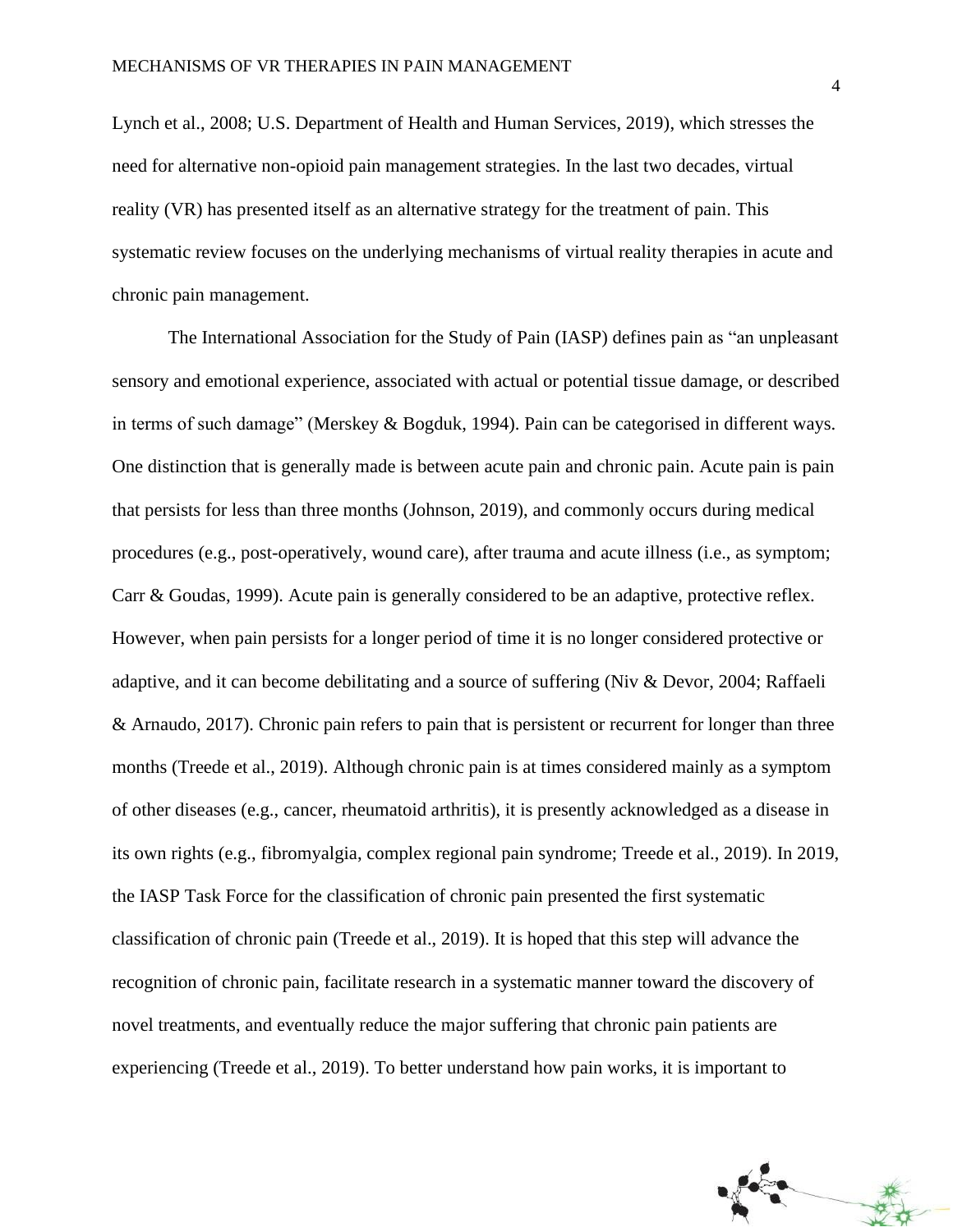Lynch et al., 2008; U.S. Department of Health and Human Services, 2019), which stresses the need for alternative non-opioid pain management strategies. In the last two decades, virtual reality (VR) has presented itself as an alternative strategy for the treatment of pain. This systematic review focuses on the underlying mechanisms of virtual reality therapies in acute and chronic pain management.

The International Association for the Study of Pain (IASP) defines pain as "an unpleasant sensory and emotional experience, associated with actual or potential tissue damage, or described in terms of such damage" (Merskey & Bogduk, 1994). Pain can be categorised in different ways. One distinction that is generally made is between acute pain and chronic pain. Acute pain is pain that persists for less than three months (Johnson, 2019), and commonly occurs during medical procedures (e.g., post-operatively, wound care), after trauma and acute illness (i.e., as symptom; Carr & Goudas, 1999). Acute pain is generally considered to be an adaptive, protective reflex. However, when pain persists for a longer period of time it is no longer considered protective or adaptive, and it can become debilitating and a source of suffering (Niv & Devor, 2004; Raffaeli & Arnaudo, 2017). Chronic pain refers to pain that is persistent or recurrent for longer than three months (Treede et al., 2019). Although chronic pain is at times considered mainly as a symptom of other diseases (e.g., cancer, rheumatoid arthritis), it is presently acknowledged as a disease in its own rights (e.g., fibromyalgia, complex regional pain syndrome; Treede et al., 2019). In 2019, the IASP Task Force for the classification of chronic pain presented the first systematic classification of chronic pain (Treede et al., 2019). It is hoped that this step will advance the recognition of chronic pain, facilitate research in a systematic manner toward the discovery of novel treatments, and eventually reduce the major suffering that chronic pain patients are experiencing (Treede et al., 2019). To better understand how pain works, it is important to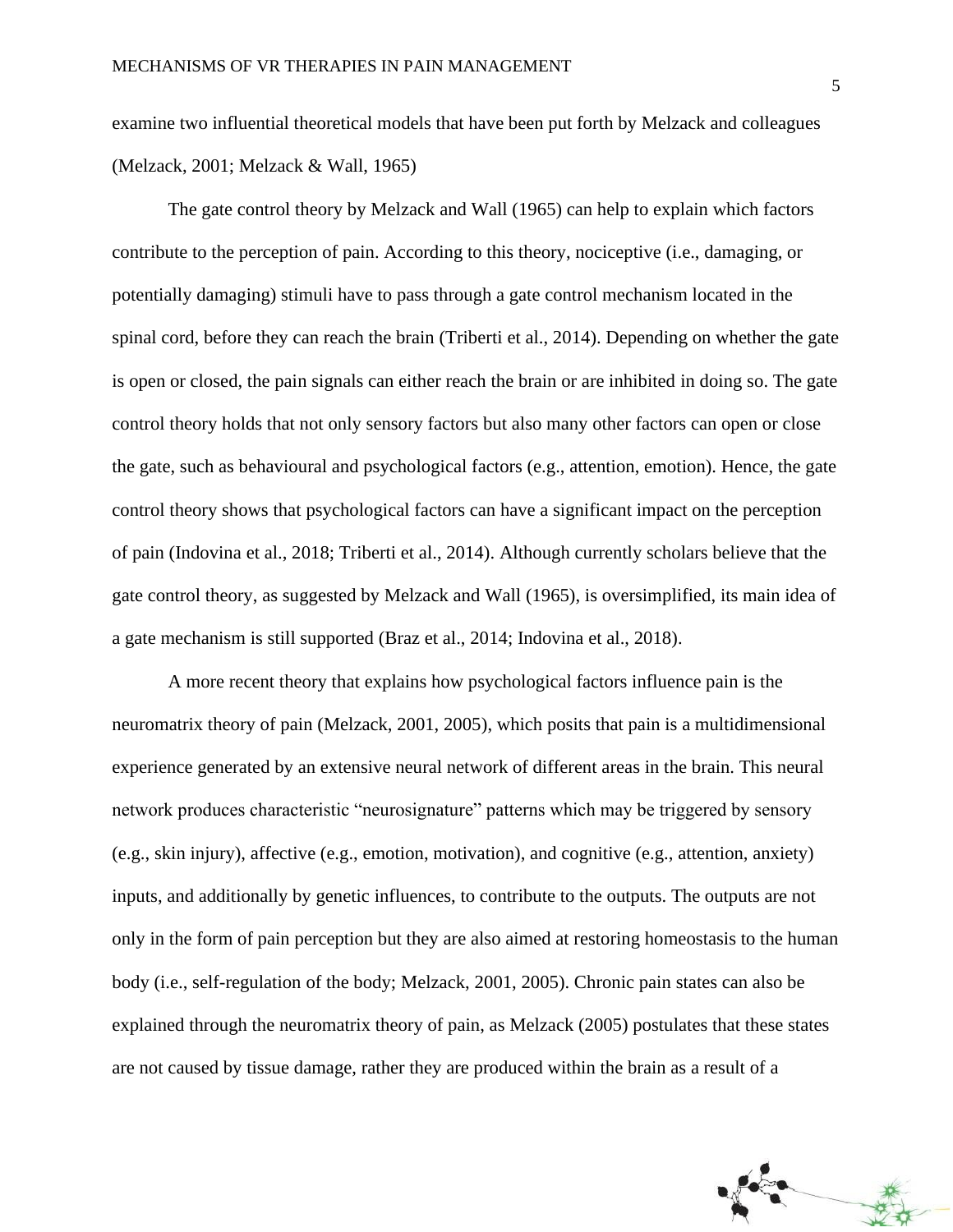examine two influential theoretical models that have been put forth by Melzack and colleagues (Melzack, 2001; Melzack & Wall, 1965)

The gate control theory by Melzack and Wall (1965) can help to explain which factors contribute to the perception of pain. According to this theory, nociceptive (i.e., damaging, or potentially damaging) stimuli have to pass through a gate control mechanism located in the spinal cord, before they can reach the brain (Triberti et al., 2014). Depending on whether the gate is open or closed, the pain signals can either reach the brain or are inhibited in doing so. The gate control theory holds that not only sensory factors but also many other factors can open or close the gate, such as behavioural and psychological factors (e.g., attention, emotion). Hence, the gate control theory shows that psychological factors can have a significant impact on the perception of pain (Indovina et al., 2018; Triberti et al., 2014). Although currently scholars believe that the gate control theory, as suggested by Melzack and Wall (1965), is oversimplified, its main idea of a gate mechanism is still supported (Braz et al., 2014; Indovina et al., 2018).

A more recent theory that explains how psychological factors influence pain is the neuromatrix theory of pain (Melzack, 2001, 2005), which posits that pain is a multidimensional experience generated by an extensive neural network of different areas in the brain. This neural network produces characteristic "neurosignature" patterns which may be triggered by sensory (e.g., skin injury), affective (e.g., emotion, motivation), and cognitive (e.g., attention, anxiety) inputs, and additionally by genetic influences, to contribute to the outputs. The outputs are not only in the form of pain perception but they are also aimed at restoring homeostasis to the human body (i.e., self-regulation of the body; Melzack, 2001, 2005). Chronic pain states can also be explained through the neuromatrix theory of pain, as Melzack (2005) postulates that these states are not caused by tissue damage, rather they are produced within the brain as a result of a

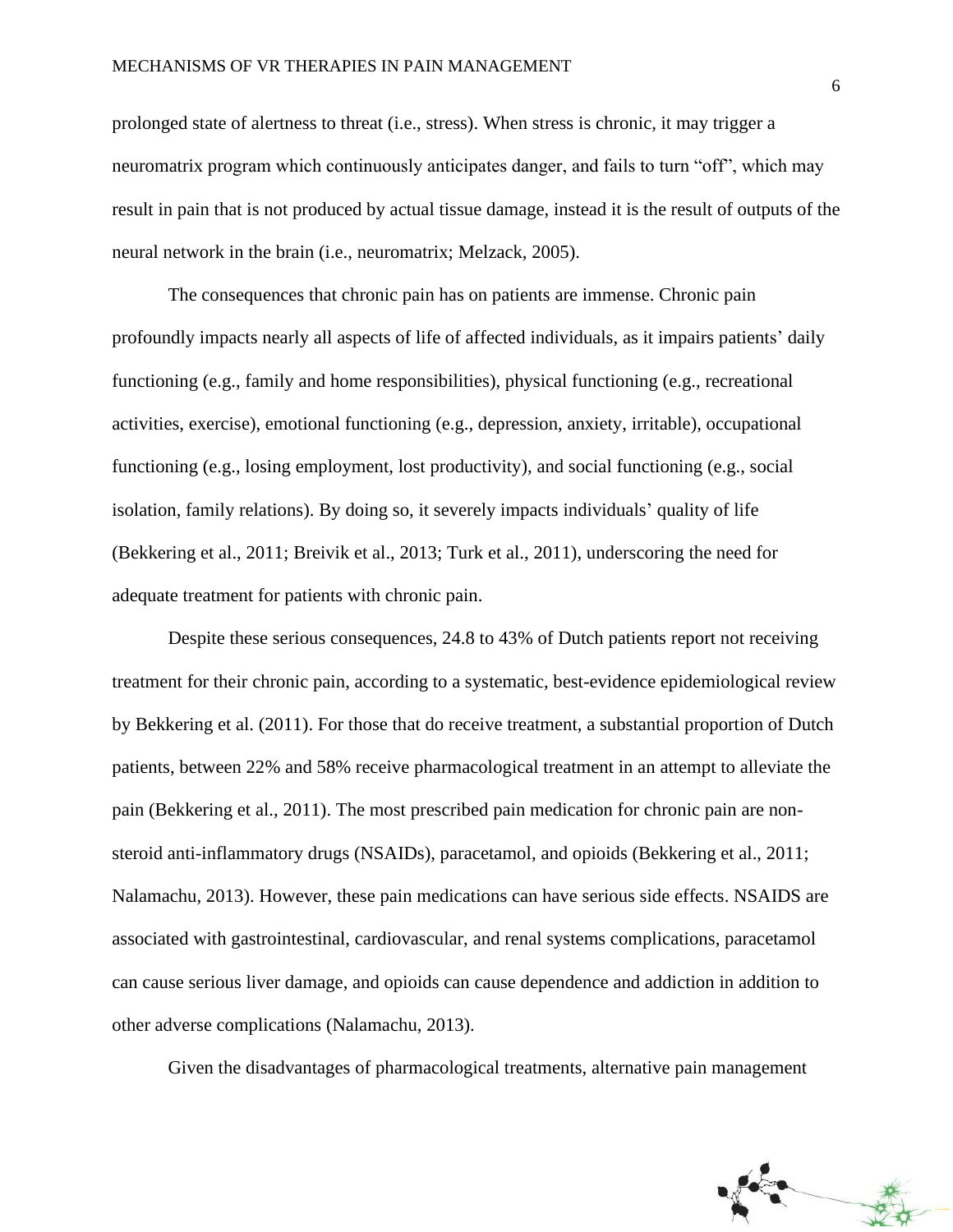prolonged state of alertness to threat (i.e., stress). When stress is chronic, it may trigger a neuromatrix program which continuously anticipates danger, and fails to turn "off", which may result in pain that is not produced by actual tissue damage, instead it is the result of outputs of the neural network in the brain (i.e., neuromatrix; Melzack, 2005).

The consequences that chronic pain has on patients are immense. Chronic pain profoundly impacts nearly all aspects of life of affected individuals, as it impairs patients' daily functioning (e.g., family and home responsibilities), physical functioning (e.g., recreational activities, exercise), emotional functioning (e.g., depression, anxiety, irritable), occupational functioning (e.g., losing employment, lost productivity), and social functioning (e.g., social isolation, family relations). By doing so, it severely impacts individuals' quality of life (Bekkering et al., 2011; Breivik et al., 2013; Turk et al., 2011), underscoring the need for adequate treatment for patients with chronic pain.

Despite these serious consequences, 24.8 to 43% of Dutch patients report not receiving treatment for their chronic pain, according to a systematic, best-evidence epidemiological review by Bekkering et al. (2011). For those that do receive treatment, a substantial proportion of Dutch patients, between 22% and 58% receive pharmacological treatment in an attempt to alleviate the pain (Bekkering et al., 2011). The most prescribed pain medication for chronic pain are nonsteroid anti-inflammatory drugs (NSAIDs), paracetamol, and opioids (Bekkering et al., 2011; Nalamachu, 2013). However, these pain medications can have serious side effects. NSAIDS are associated with gastrointestinal, cardiovascular, and renal systems complications, paracetamol can cause serious liver damage, and opioids can cause dependence and addiction in addition to other adverse complications (Nalamachu, 2013).

Given the disadvantages of pharmacological treatments, alternative pain management

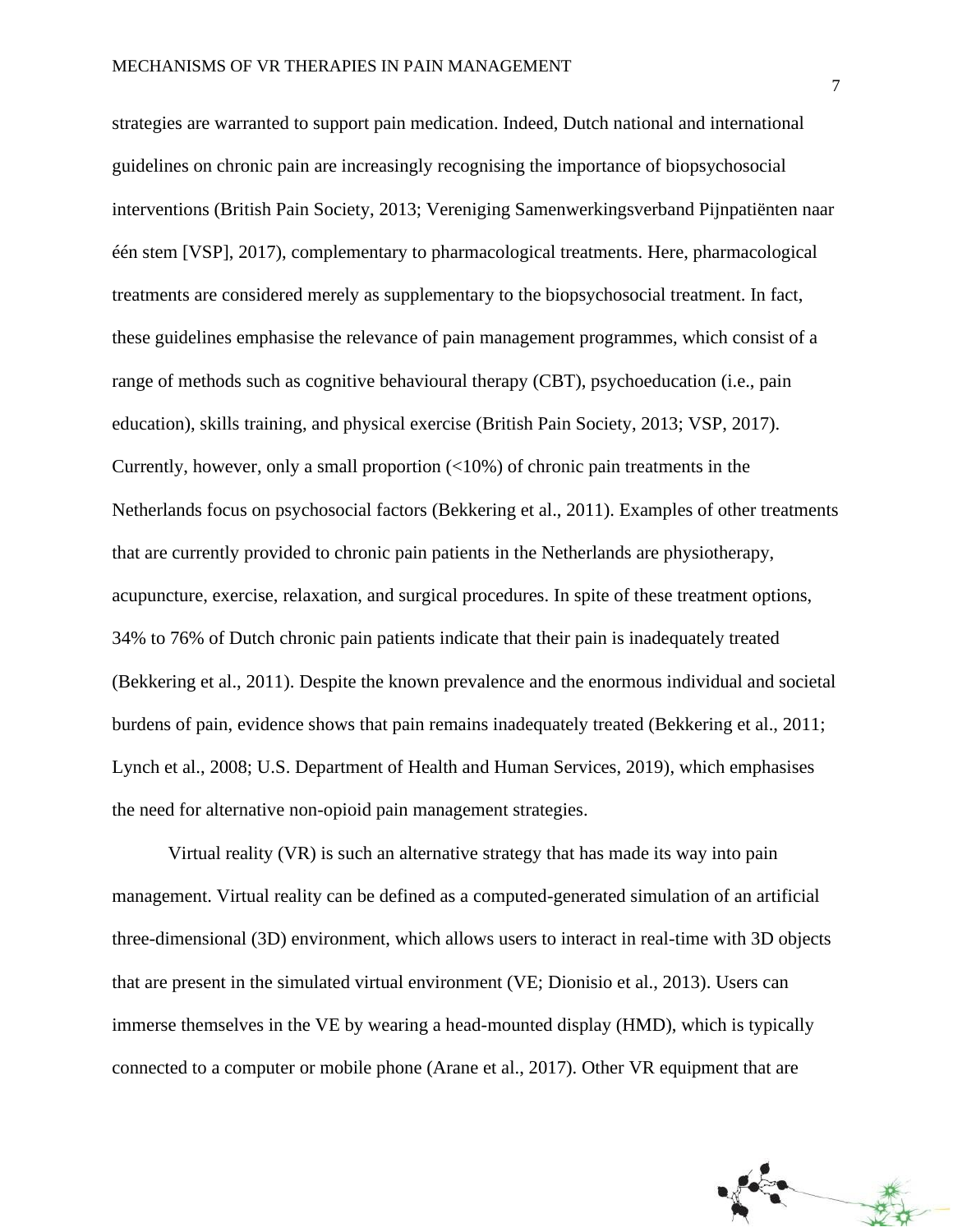strategies are warranted to support pain medication. Indeed, Dutch national and international guidelines on chronic pain are increasingly recognising the importance of biopsychosocial interventions (British Pain Society, 2013; Vereniging Samenwerkingsverband Pijnpatiënten naar één stem [VSP], 2017), complementary to pharmacological treatments. Here, pharmacological treatments are considered merely as supplementary to the biopsychosocial treatment. In fact, these guidelines emphasise the relevance of pain management programmes, which consist of a range of methods such as cognitive behavioural therapy (CBT), psychoeducation (i.e., pain education), skills training, and physical exercise (British Pain Society, 2013; VSP, 2017). Currently, however, only a small proportion  $\left($ <10%) of chronic pain treatments in the Netherlands focus on psychosocial factors (Bekkering et al., 2011). Examples of other treatments that are currently provided to chronic pain patients in the Netherlands are physiotherapy, acupuncture, exercise, relaxation, and surgical procedures. In spite of these treatment options, 34% to 76% of Dutch chronic pain patients indicate that their pain is inadequately treated (Bekkering et al., 2011). Despite the known prevalence and the enormous individual and societal burdens of pain, evidence shows that pain remains inadequately treated (Bekkering et al., 2011; Lynch et al., 2008; U.S. Department of Health and Human Services, 2019), which emphasises the need for alternative non-opioid pain management strategies.

Virtual reality (VR) is such an alternative strategy that has made its way into pain management. Virtual reality can be defined as a computed-generated simulation of an artificial three-dimensional (3D) environment, which allows users to interact in real-time with 3D objects that are present in the simulated virtual environment (VE; Dionisio et al., 2013). Users can immerse themselves in the VE by wearing a head-mounted display (HMD), which is typically connected to a computer or mobile phone (Arane et al., 2017). Other VR equipment that are

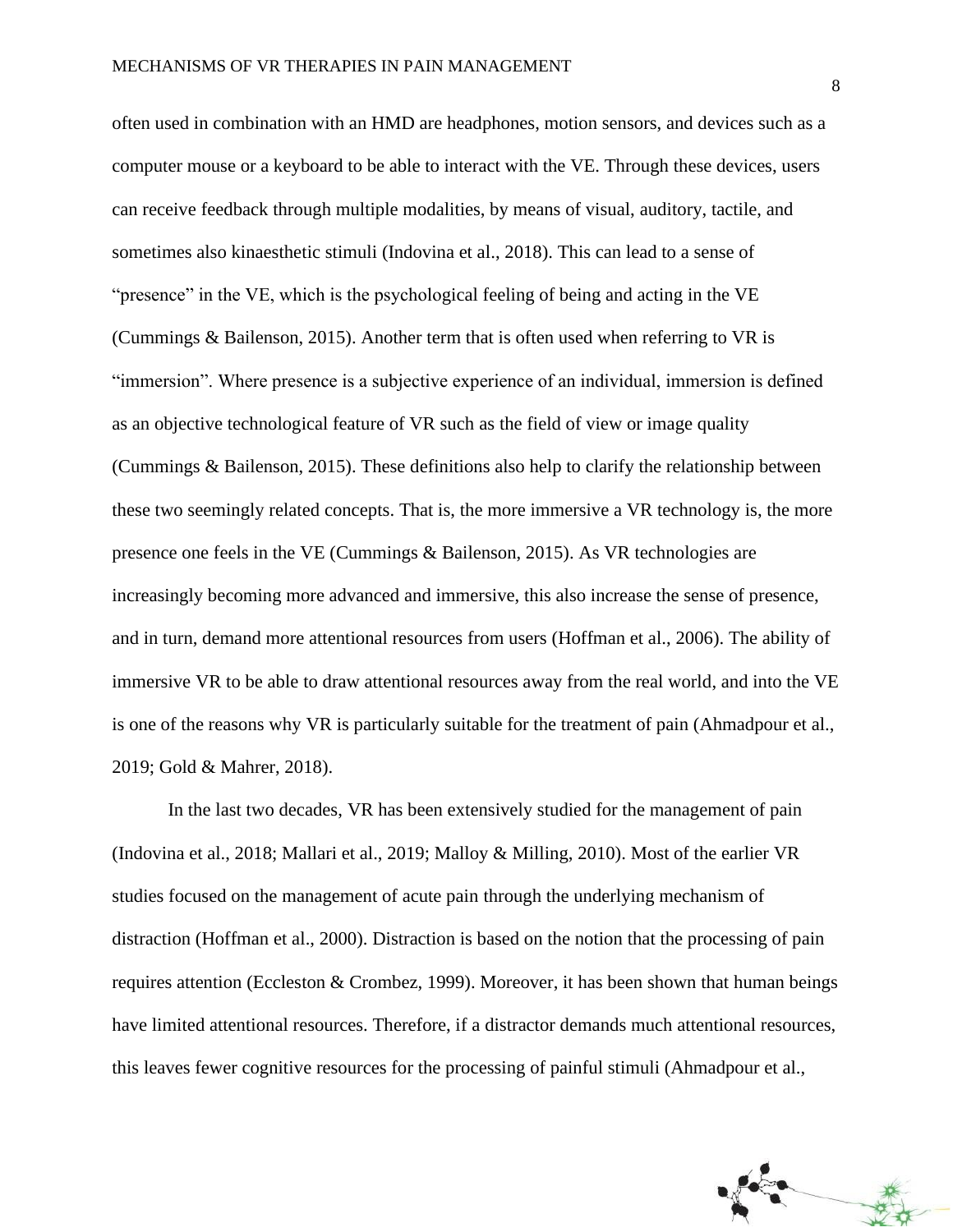often used in combination with an HMD are headphones, motion sensors, and devices such as a computer mouse or a keyboard to be able to interact with the VE. Through these devices, users can receive feedback through multiple modalities, by means of visual, auditory, tactile, and sometimes also kinaesthetic stimuli (Indovina et al., 2018). This can lead to a sense of "presence" in the VE, which is the psychological feeling of being and acting in the VE (Cummings & Bailenson, 2015). Another term that is often used when referring to VR is "immersion". Where presence is a subjective experience of an individual, immersion is defined as an objective technological feature of VR such as the field of view or image quality (Cummings & Bailenson, 2015). These definitions also help to clarify the relationship between these two seemingly related concepts. That is, the more immersive a VR technology is, the more presence one feels in the VE (Cummings & Bailenson, 2015). As VR technologies are increasingly becoming more advanced and immersive, this also increase the sense of presence, and in turn, demand more attentional resources from users (Hoffman et al., 2006). The ability of immersive VR to be able to draw attentional resources away from the real world, and into the VE is one of the reasons why VR is particularly suitable for the treatment of pain (Ahmadpour et al., 2019; Gold & Mahrer, 2018).

In the last two decades, VR has been extensively studied for the management of pain (Indovina et al., 2018; Mallari et al., 2019; Malloy & Milling, 2010). Most of the earlier VR studies focused on the management of acute pain through the underlying mechanism of distraction (Hoffman et al., 2000). Distraction is based on the notion that the processing of pain requires attention (Eccleston & Crombez, 1999). Moreover, it has been shown that human beings have limited attentional resources. Therefore, if a distractor demands much attentional resources, this leaves fewer cognitive resources for the processing of painful stimuli (Ahmadpour et al.,

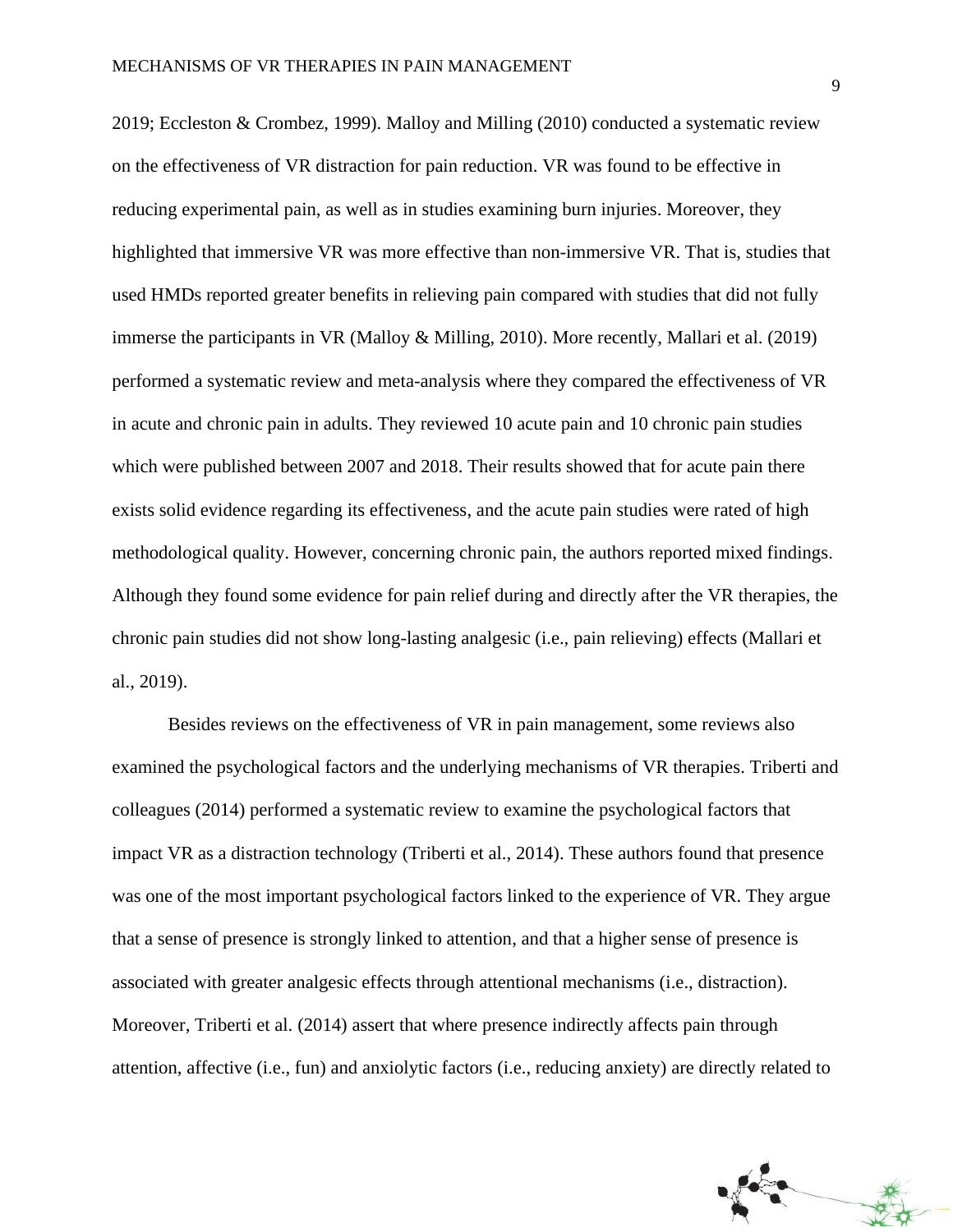2019; Eccleston & Crombez, 1999). Malloy and Milling (2010) conducted a systematic review on the effectiveness of VR distraction for pain reduction. VR was found to be effective in reducing experimental pain, as well as in studies examining burn injuries. Moreover, they highlighted that immersive VR was more effective than non-immersive VR. That is, studies that used HMDs reported greater benefits in relieving pain compared with studies that did not fully immerse the participants in VR (Malloy & Milling, 2010). More recently, Mallari et al. (2019) performed a systematic review and meta-analysis where they compared the effectiveness of VR in acute and chronic pain in adults. They reviewed 10 acute pain and 10 chronic pain studies which were published between 2007 and 2018. Their results showed that for acute pain there exists solid evidence regarding its effectiveness, and the acute pain studies were rated of high methodological quality. However, concerning chronic pain, the authors reported mixed findings. Although they found some evidence for pain relief during and directly after the VR therapies, the chronic pain studies did not show long-lasting analgesic (i.e., pain relieving) effects (Mallari et al., 2019).

Besides reviews on the effectiveness of VR in pain management, some reviews also examined the psychological factors and the underlying mechanisms of VR therapies. Triberti and colleagues (2014) performed a systematic review to examine the psychological factors that impact VR as a distraction technology (Triberti et al., 2014). These authors found that presence was one of the most important psychological factors linked to the experience of VR. They argue that a sense of presence is strongly linked to attention, and that a higher sense of presence is associated with greater analgesic effects through attentional mechanisms (i.e., distraction). Moreover, Triberti et al. (2014) assert that where presence indirectly affects pain through attention, affective (i.e., fun) and anxiolytic factors (i.e., reducing anxiety) are directly related to

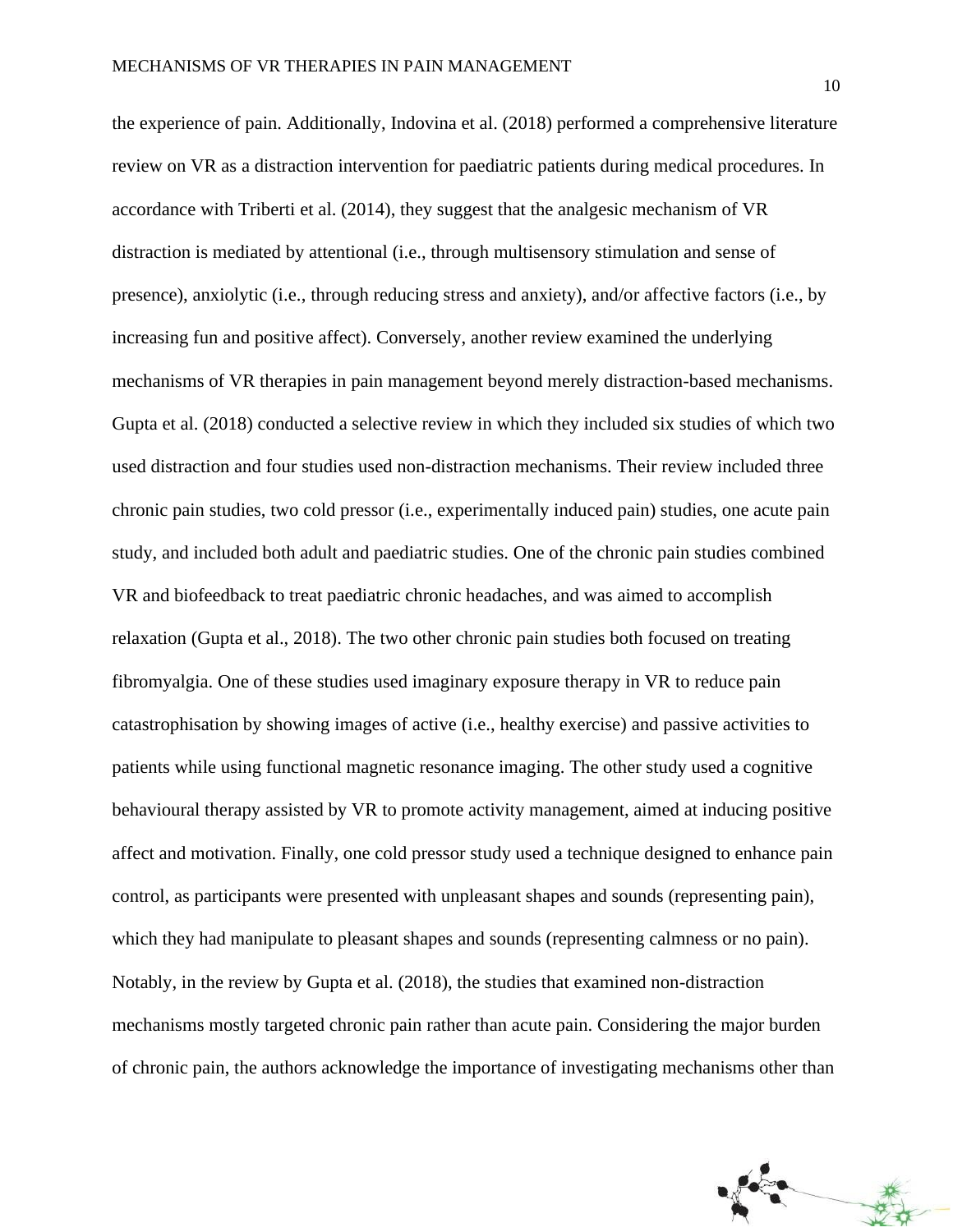the experience of pain. Additionally, Indovina et al. (2018) performed a comprehensive literature review on VR as a distraction intervention for paediatric patients during medical procedures. In accordance with Triberti et al. (2014), they suggest that the analgesic mechanism of VR distraction is mediated by attentional (i.e., through multisensory stimulation and sense of presence), anxiolytic (i.e., through reducing stress and anxiety), and/or affective factors (i.e., by increasing fun and positive affect). Conversely, another review examined the underlying mechanisms of VR therapies in pain management beyond merely distraction-based mechanisms. Gupta et al. (2018) conducted a selective review in which they included six studies of which two used distraction and four studies used non-distraction mechanisms. Their review included three chronic pain studies, two cold pressor (i.e., experimentally induced pain) studies, one acute pain study, and included both adult and paediatric studies. One of the chronic pain studies combined VR and biofeedback to treat paediatric chronic headaches, and was aimed to accomplish relaxation (Gupta et al., 2018). The two other chronic pain studies both focused on treating fibromyalgia. One of these studies used imaginary exposure therapy in VR to reduce pain catastrophisation by showing images of active (i.e., healthy exercise) and passive activities to patients while using functional magnetic resonance imaging. The other study used a cognitive behavioural therapy assisted by VR to promote activity management, aimed at inducing positive affect and motivation. Finally, one cold pressor study used a technique designed to enhance pain control, as participants were presented with unpleasant shapes and sounds (representing pain), which they had manipulate to pleasant shapes and sounds (representing calmness or no pain). Notably, in the review by Gupta et al. (2018), the studies that examined non-distraction mechanisms mostly targeted chronic pain rather than acute pain. Considering the major burden of chronic pain, the authors acknowledge the importance of investigating mechanisms other than

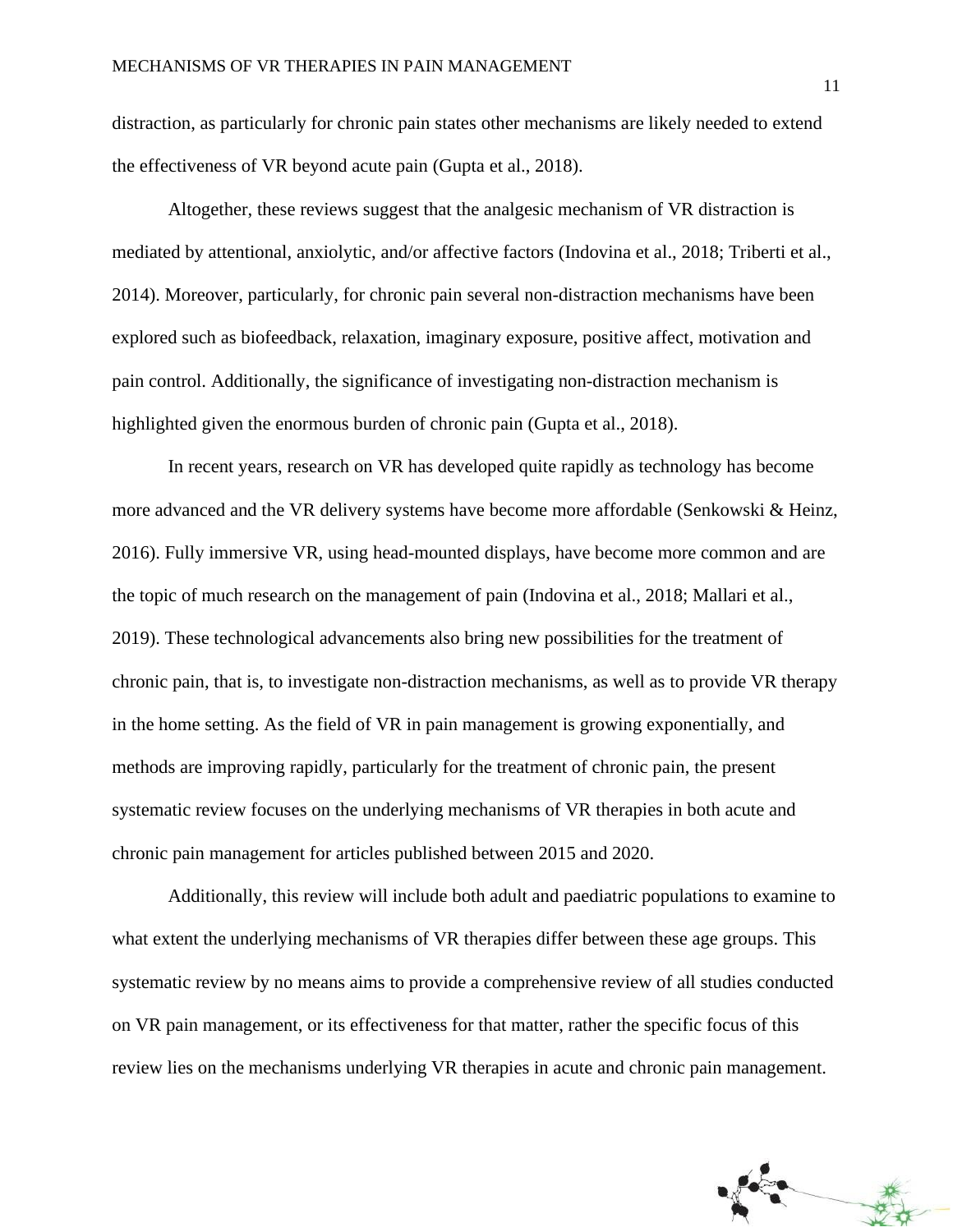distraction, as particularly for chronic pain states other mechanisms are likely needed to extend the effectiveness of VR beyond acute pain (Gupta et al., 2018).

Altogether, these reviews suggest that the analgesic mechanism of VR distraction is mediated by attentional, anxiolytic, and/or affective factors (Indovina et al., 2018; Triberti et al., 2014). Moreover, particularly, for chronic pain several non-distraction mechanisms have been explored such as biofeedback, relaxation, imaginary exposure, positive affect, motivation and pain control. Additionally, the significance of investigating non-distraction mechanism is highlighted given the enormous burden of chronic pain (Gupta et al., 2018).

In recent years, research on VR has developed quite rapidly as technology has become more advanced and the VR delivery systems have become more affordable (Senkowski & Heinz, 2016). Fully immersive VR, using head-mounted displays, have become more common and are the topic of much research on the management of pain (Indovina et al., 2018; Mallari et al., 2019). These technological advancements also bring new possibilities for the treatment of chronic pain, that is, to investigate non-distraction mechanisms, as well as to provide VR therapy in the home setting. As the field of VR in pain management is growing exponentially, and methods are improving rapidly, particularly for the treatment of chronic pain, the present systematic review focuses on the underlying mechanisms of VR therapies in both acute and chronic pain management for articles published between 2015 and 2020.

Additionally, this review will include both adult and paediatric populations to examine to what extent the underlying mechanisms of VR therapies differ between these age groups. This systematic review by no means aims to provide a comprehensive review of all studies conducted on VR pain management, or its effectiveness for that matter, rather the specific focus of this review lies on the mechanisms underlying VR therapies in acute and chronic pain management.

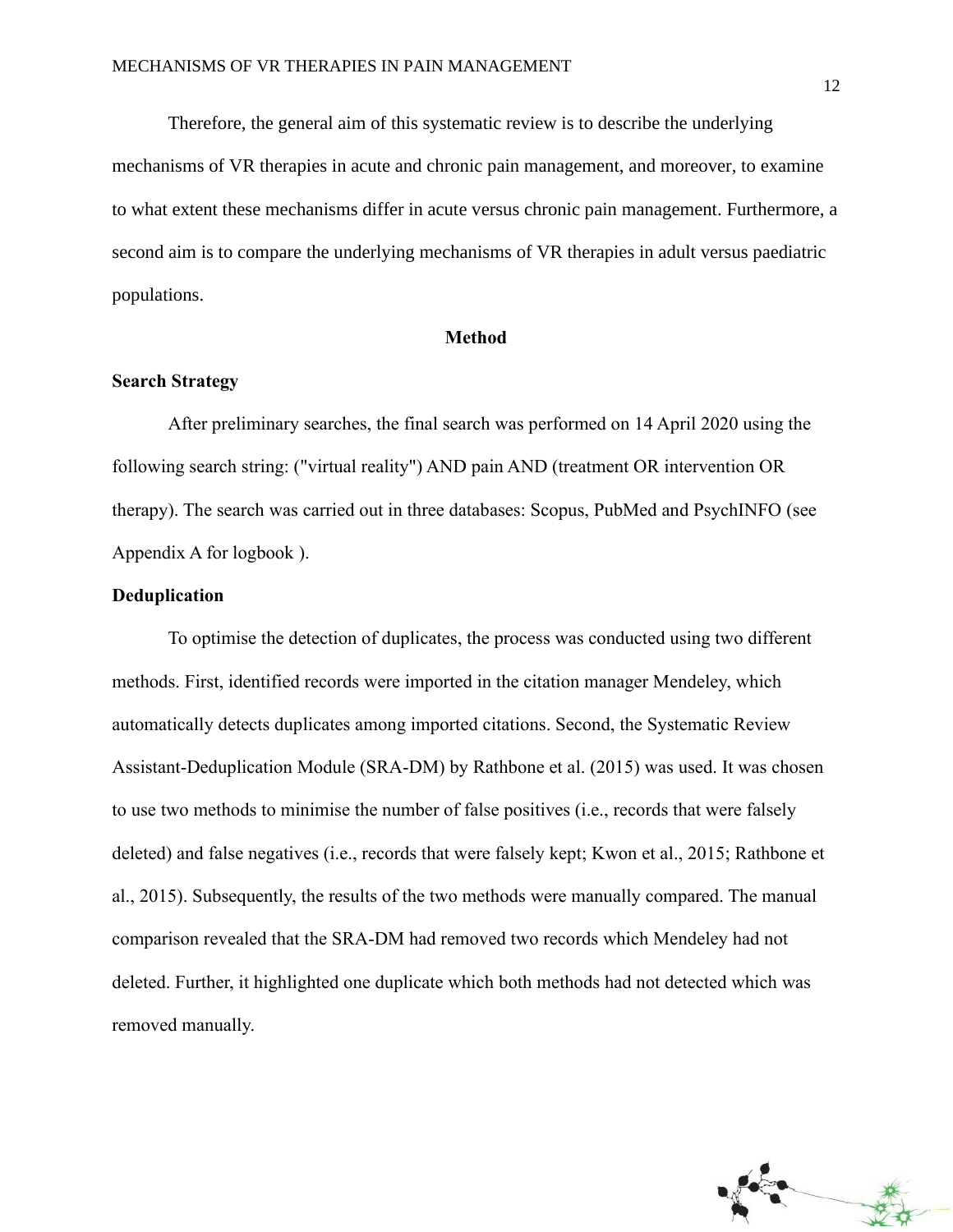Therefore, the general aim of this systematic review is to describe the underlying mechanisms of VR therapies in acute and chronic pain management, and moreover, to examine to what extent these mechanisms differ in acute versus chronic pain management. Furthermore, a second aim is to compare the underlying mechanisms of VR therapies in adult versus paediatric populations.

### **Method**

### **Search Strategy**

After preliminary searches, the final search was performed on 14 April 2020 using the following search string: ("virtual reality") AND pain AND (treatment OR intervention OR therapy). The search was carried out in three databases: Scopus, PubMed and PsychINFO (see Appendix A for logbook ).

### **Deduplication**

To optimise the detection of duplicates, the process was conducted using two different methods. First, identified records were imported in the citation manager Mendeley, which automatically detects duplicates among imported citations. Second, the Systematic Review Assistant-Deduplication Module (SRA-DM) by Rathbone et al. (2015) was used. It was chosen to use two methods to minimise the number of false positives (i.e., records that were falsely deleted) and false negatives (i.e., records that were falsely kept; Kwon et al., 2015; Rathbone et al., 2015). Subsequently, the results of the two methods were manually compared. The manual comparison revealed that the SRA-DM had removed two records which Mendeley had not deleted. Further, it highlighted one duplicate which both methods had not detected which was removed manually.

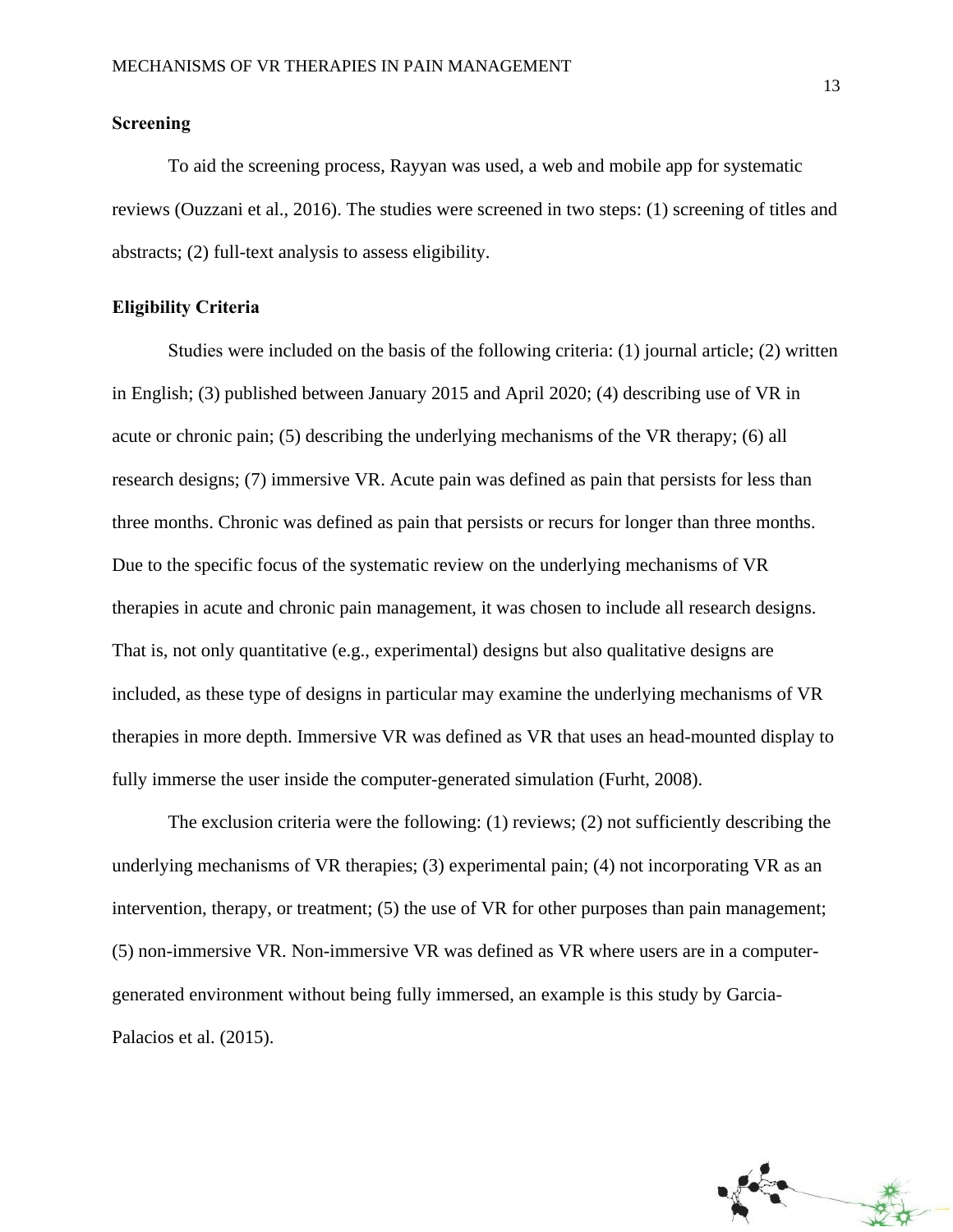### **Screening**

To aid the screening process, Rayyan was used, a web and mobile app for systematic reviews (Ouzzani et al., 2016). The studies were screened in two steps: (1) screening of titles and abstracts; (2) full-text analysis to assess eligibility.

### **Eligibility Criteria**

Studies were included on the basis of the following criteria: (1) journal article; (2) written in English; (3) published between January 2015 and April 2020; (4) describing use of VR in acute or chronic pain; (5) describing the underlying mechanisms of the VR therapy; (6) all research designs; (7) immersive VR. Acute pain was defined as pain that persists for less than three months. Chronic was defined as pain that persists or recurs for longer than three months. Due to the specific focus of the systematic review on the underlying mechanisms of VR therapies in acute and chronic pain management, it was chosen to include all research designs. That is, not only quantitative (e.g., experimental) designs but also qualitative designs are included, as these type of designs in particular may examine the underlying mechanisms of VR therapies in more depth. Immersive VR was defined as VR that uses an head-mounted display to fully immerse the user inside the computer-generated simulation (Furht, 2008).

The exclusion criteria were the following: (1) reviews; (2) not sufficiently describing the underlying mechanisms of VR therapies; (3) experimental pain; (4) not incorporating VR as an intervention, therapy, or treatment; (5) the use of VR for other purposes than pain management; (5) non-immersive VR. Non-immersive VR was defined as VR where users are in a computergenerated environment without being fully immersed, an example is this study by Garcia-Palacios et al. (2015).

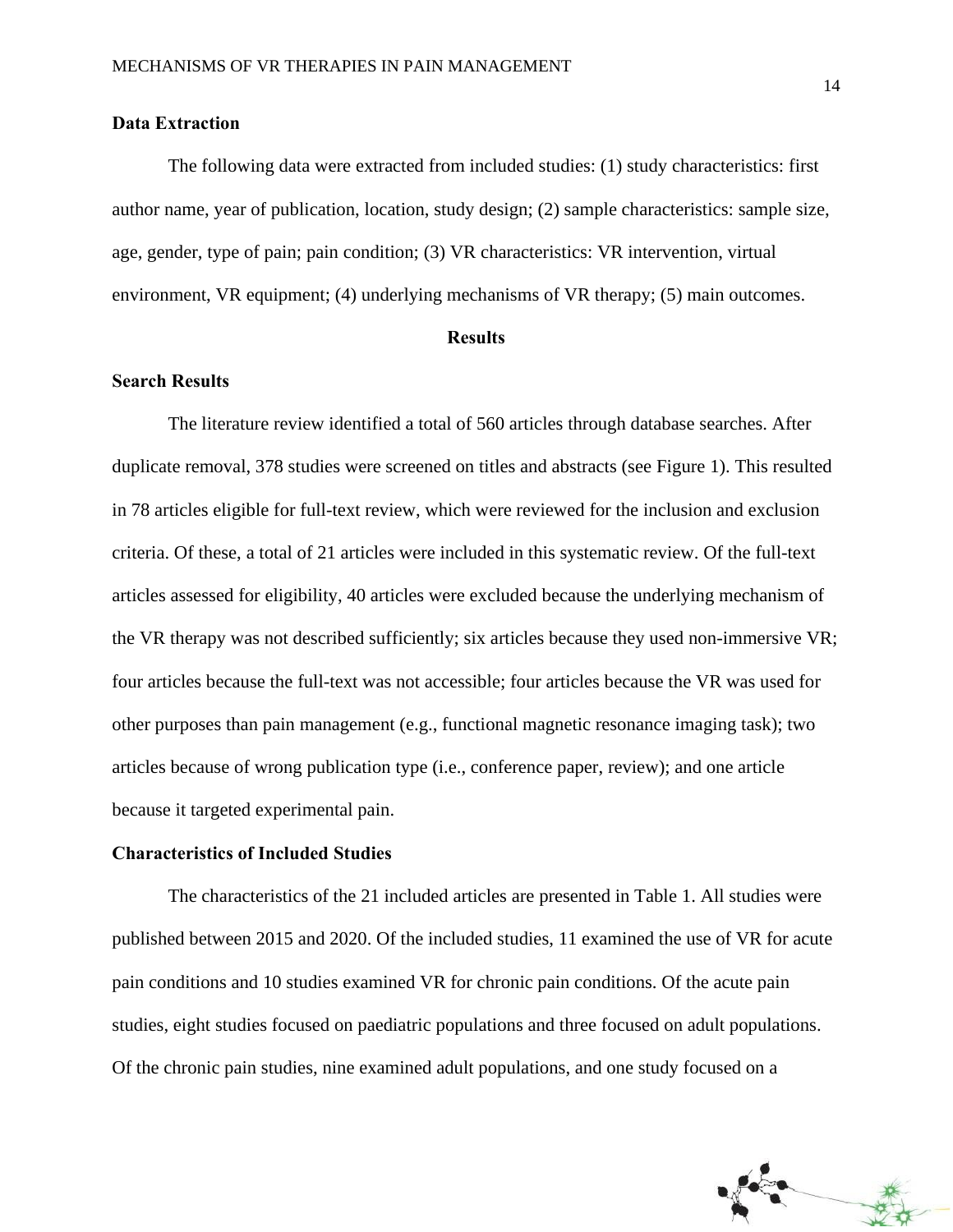### **Data Extraction**

The following data were extracted from included studies: (1) study characteristics: first author name, year of publication, location, study design; (2) sample characteristics: sample size, age, gender, type of pain; pain condition; (3) VR characteristics: VR intervention, virtual environment, VR equipment; (4) underlying mechanisms of VR therapy; (5) main outcomes.

#### **Results**

### **Search Results**

The literature review identified a total of 560 articles through database searches. After duplicate removal, 378 studies were screened on titles and abstracts (see Figure 1). This resulted in 78 articles eligible for full-text review, which were reviewed for the inclusion and exclusion criteria. Of these, a total of 21 articles were included in this systematic review. Of the full-text articles assessed for eligibility, 40 articles were excluded because the underlying mechanism of the VR therapy was not described sufficiently; six articles because they used non-immersive VR; four articles because the full-text was not accessible; four articles because the VR was used for other purposes than pain management (e.g., functional magnetic resonance imaging task); two articles because of wrong publication type (i.e., conference paper, review); and one article because it targeted experimental pain.

### **Characteristics of Included Studies**

The characteristics of the 21 included articles are presented in Table 1. All studies were published between 2015 and 2020. Of the included studies, 11 examined the use of VR for acute pain conditions and 10 studies examined VR for chronic pain conditions. Of the acute pain studies, eight studies focused on paediatric populations and three focused on adult populations. Of the chronic pain studies, nine examined adult populations, and one study focused on a

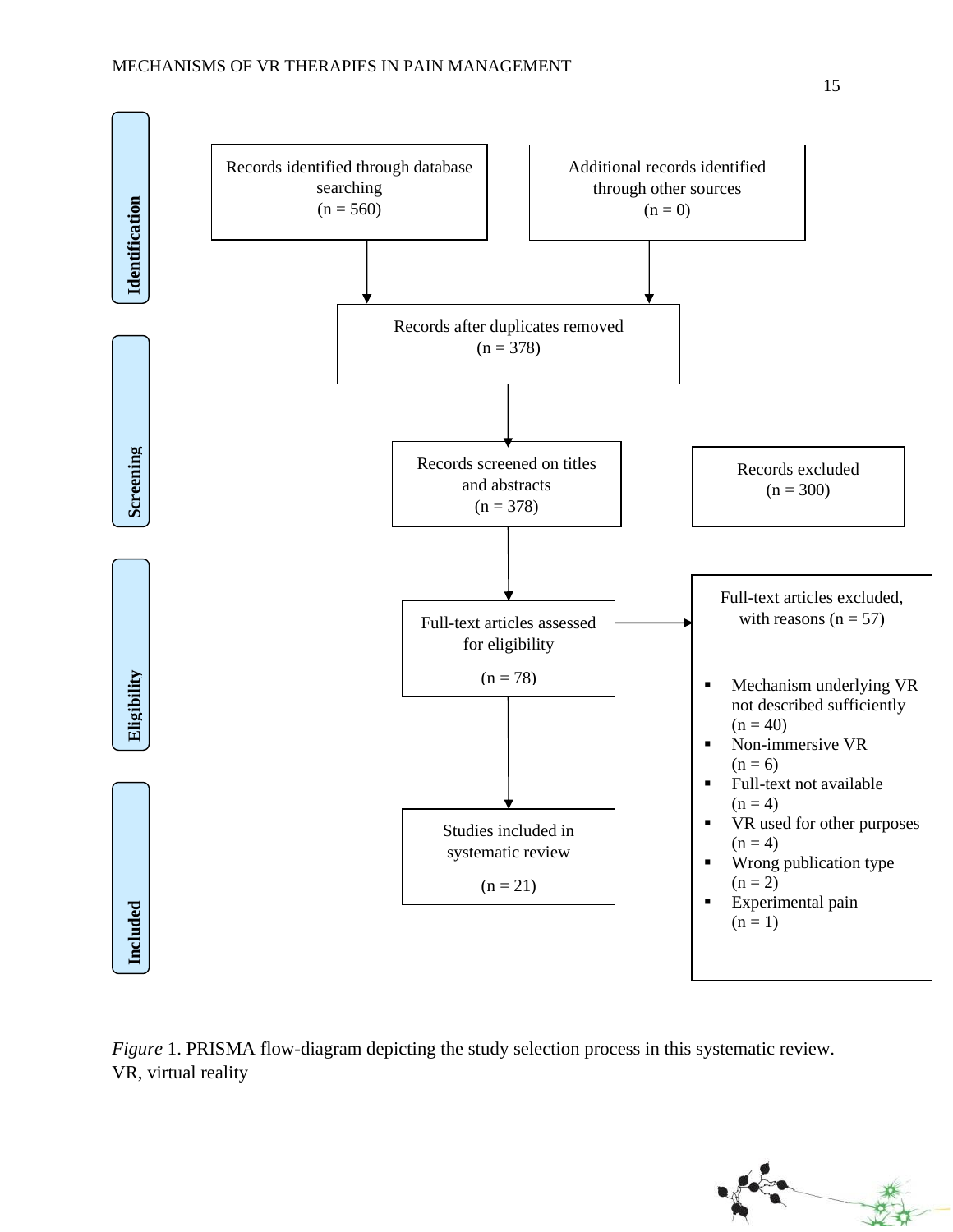

*Figure* 1. PRISMA flow-diagram depicting the study selection process in this systematic review.

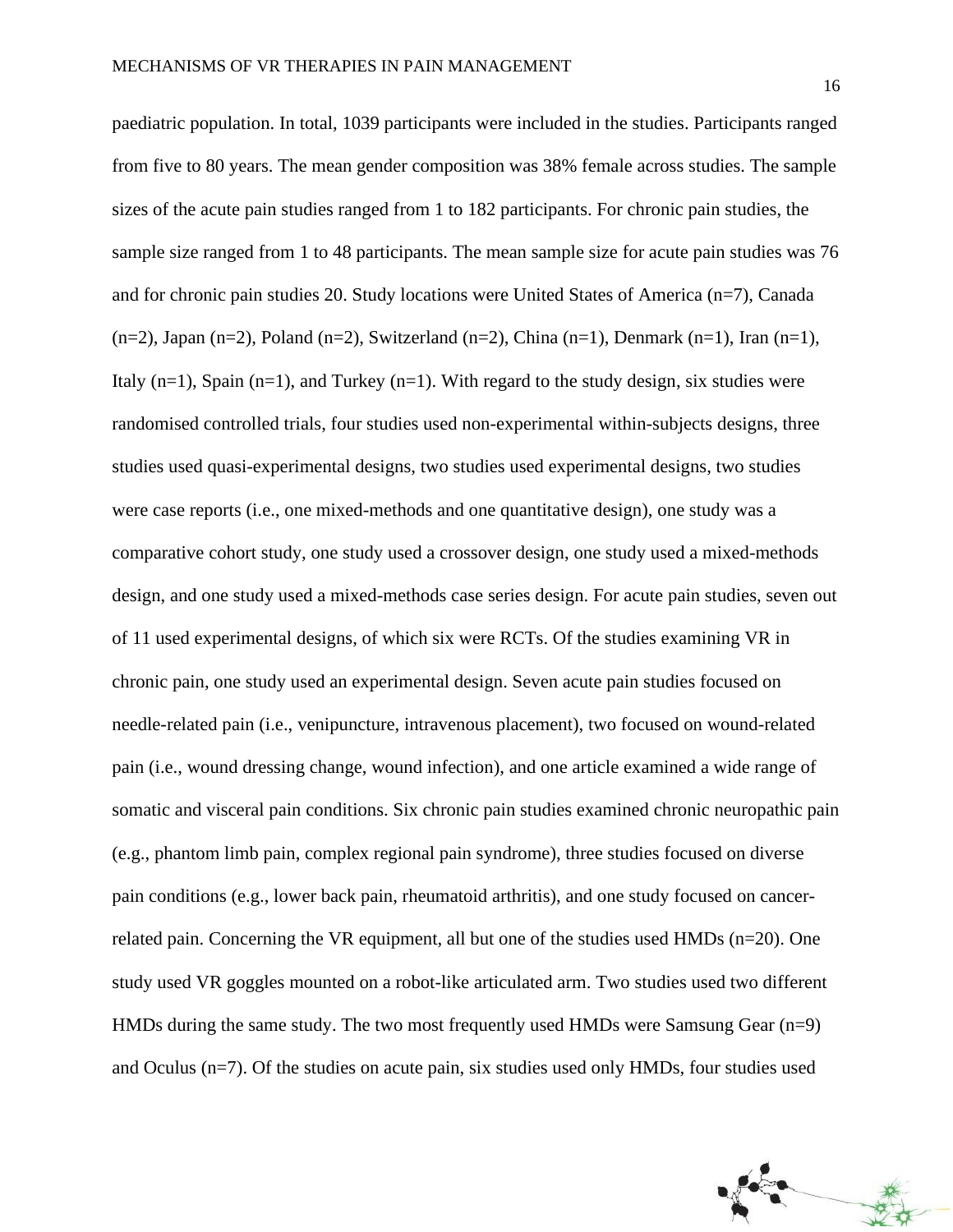paediatric population. In total, 1039 participants were included in the studies. Participants ranged from five to 80 years. The mean gender composition was 38% female across studies. The sample sizes of the acute pain studies ranged from 1 to 182 participants. For chronic pain studies, the sample size ranged from 1 to 48 participants. The mean sample size for acute pain studies was 76 and for chronic pain studies 20. Study locations were United States of America (n=7), Canada  $(n=2)$ , Japan  $(n=2)$ , Poland  $(n=2)$ , Switzerland  $(n=2)$ , China  $(n=1)$ , Denmark  $(n=1)$ , Iran  $(n=1)$ , Italy  $(n=1)$ , Spain  $(n=1)$ , and Turkey  $(n=1)$ . With regard to the study design, six studies were randomised controlled trials, four studies used non-experimental within-subjects designs, three studies used quasi-experimental designs, two studies used experimental designs, two studies were case reports (i.e., one mixed-methods and one quantitative design), one study was a comparative cohort study, one study used a crossover design, one study used a mixed-methods design, and one study used a mixed-methods case series design. For acute pain studies, seven out of 11 used experimental designs, of which six were RCTs. Of the studies examining VR in chronic pain, one study used an experimental design. Seven acute pain studies focused on needle-related pain (i.e., venipuncture, intravenous placement), two focused on wound-related pain (i.e., wound dressing change, wound infection), and one article examined a wide range of somatic and visceral pain conditions. Six chronic pain studies examined chronic neuropathic pain (e.g., phantom limb pain, complex regional pain syndrome), three studies focused on diverse pain conditions (e.g., lower back pain, rheumatoid arthritis), and one study focused on cancerrelated pain. Concerning the VR equipment, all but one of the studies used HMDs (n=20). One study used VR goggles mounted on a robot-like articulated arm. Two studies used two different HMDs during the same study. The two most frequently used HMDs were Samsung Gear (n=9) and Oculus (n=7). Of the studies on acute pain, six studies used only HMDs, four studies used

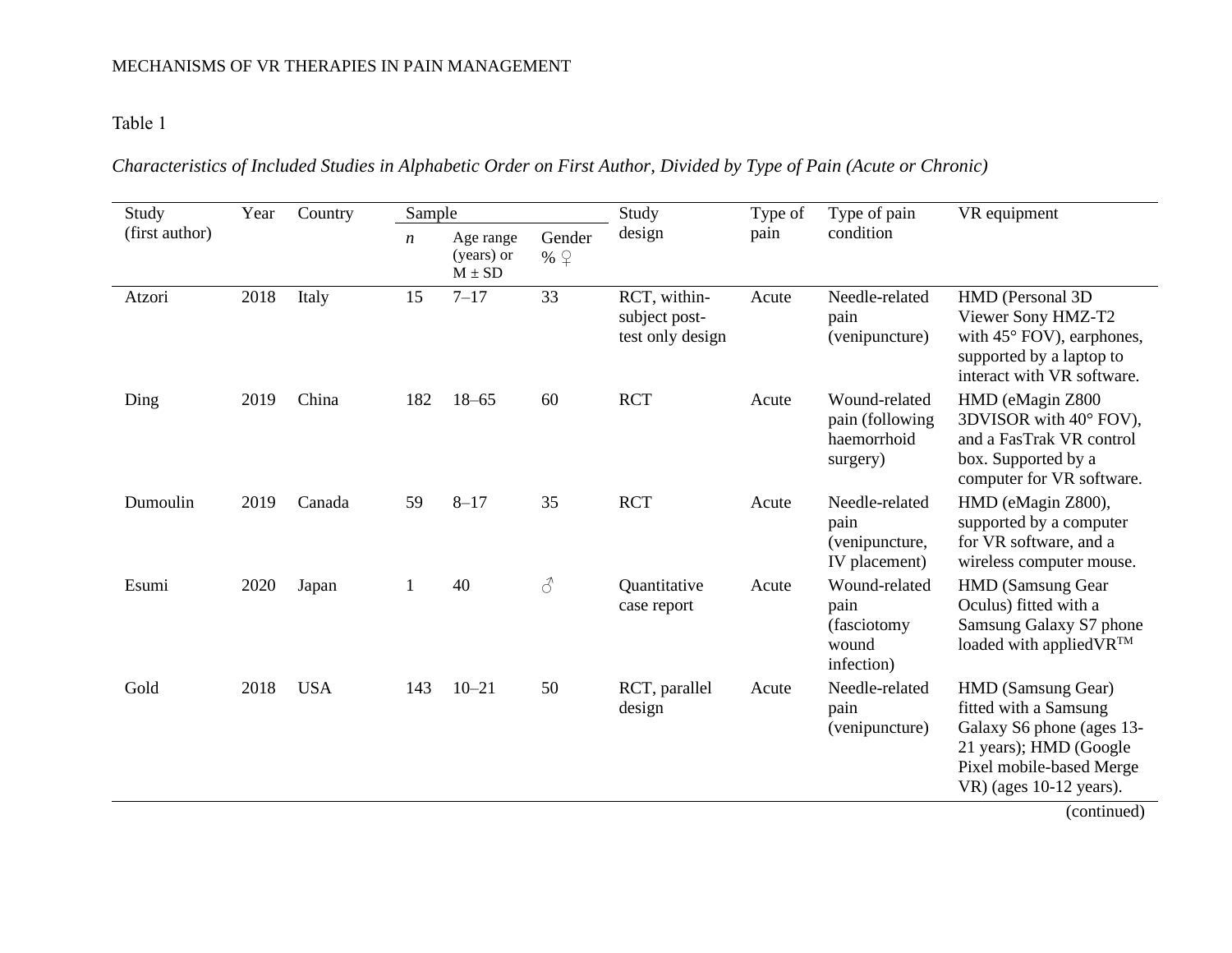## Table 1

# *Characteristics of Included Studies in Alphabetic Order on First Author, Divided by Type of Pain (Acute or Chronic)*

| Study                                                                                                 | Year   | Country    | Sample    |           |                                                                                                                                             | Study                                             | Type of | Type of pain                                                 | VR equipment                                                                                                                                                 |
|-------------------------------------------------------------------------------------------------------|--------|------------|-----------|-----------|---------------------------------------------------------------------------------------------------------------------------------------------|---------------------------------------------------|---------|--------------------------------------------------------------|--------------------------------------------------------------------------------------------------------------------------------------------------------------|
| (first author)<br>Gender<br>Age range<br>$\boldsymbol{n}$<br>(years) or<br>% $\sqrt{Q}$<br>$M \pm SD$ | design | pain       | condition |           |                                                                                                                                             |                                                   |         |                                                              |                                                                                                                                                              |
| Atzori                                                                                                | 2018   | Italy      | 15        | $7 - 17$  | 33                                                                                                                                          | RCT, within-<br>subject post-<br>test only design | Acute   | Needle-related<br>pain<br>(venipuncture)                     | HMD (Personal 3D)<br>Viewer Sony HMZ-T2<br>with 45° FOV), earphones,<br>supported by a laptop to<br>interact with VR software.                               |
| Ding                                                                                                  | 2019   | China      | 182       | $18 - 65$ | 60                                                                                                                                          | <b>RCT</b>                                        | Acute   | Wound-related<br>pain (following<br>haemorrhoid<br>surgery)  | HMD (eMagin Z800<br>3DVISOR with 40° FOV),<br>and a FasTrak VR control<br>box. Supported by a<br>computer for VR software.                                   |
| Dumoulin                                                                                              | 2019   | Canada     | 59        | $8 - 17$  | 35                                                                                                                                          | <b>RCT</b>                                        | Acute   | Needle-related<br>pain<br>(venipuncture,<br>IV placement)    | HMD (eMagin Z800),<br>supported by a computer<br>for VR software, and a<br>wireless computer mouse.                                                          |
| Esumi                                                                                                 | 2020   | Japan      | 1         | 40        | $\mathcal{S}% _{M_{1},M_{2}}^{\ast }=\mathcal{S}_{M_{1},M_{2}}^{\ast }=\mathcal{S}_{M_{1},M_{2}}^{\ast }=\mathcal{S}_{M_{1},M_{2}}^{\ast }$ | Quantitative<br>case report                       | Acute   | Wound-related<br>pain<br>(fasciotomy)<br>wound<br>infection) | <b>HMD</b> (Samsung Gear<br>Oculus) fitted with a<br>Samsung Galaxy S7 phone<br>loaded with applied VR <sup>TM</sup>                                         |
| Gold                                                                                                  | 2018   | <b>USA</b> | 143       | $10 - 21$ | 50                                                                                                                                          | RCT, parallel<br>design                           | Acute   | Needle-related<br>pain<br>(venipuncture)                     | HMD (Samsung Gear)<br>fitted with a Samsung<br>Galaxy S6 phone (ages 13-<br>21 years); HMD (Google<br>Pixel mobile-based Merge<br>$VR$ ) (ages 10-12 years). |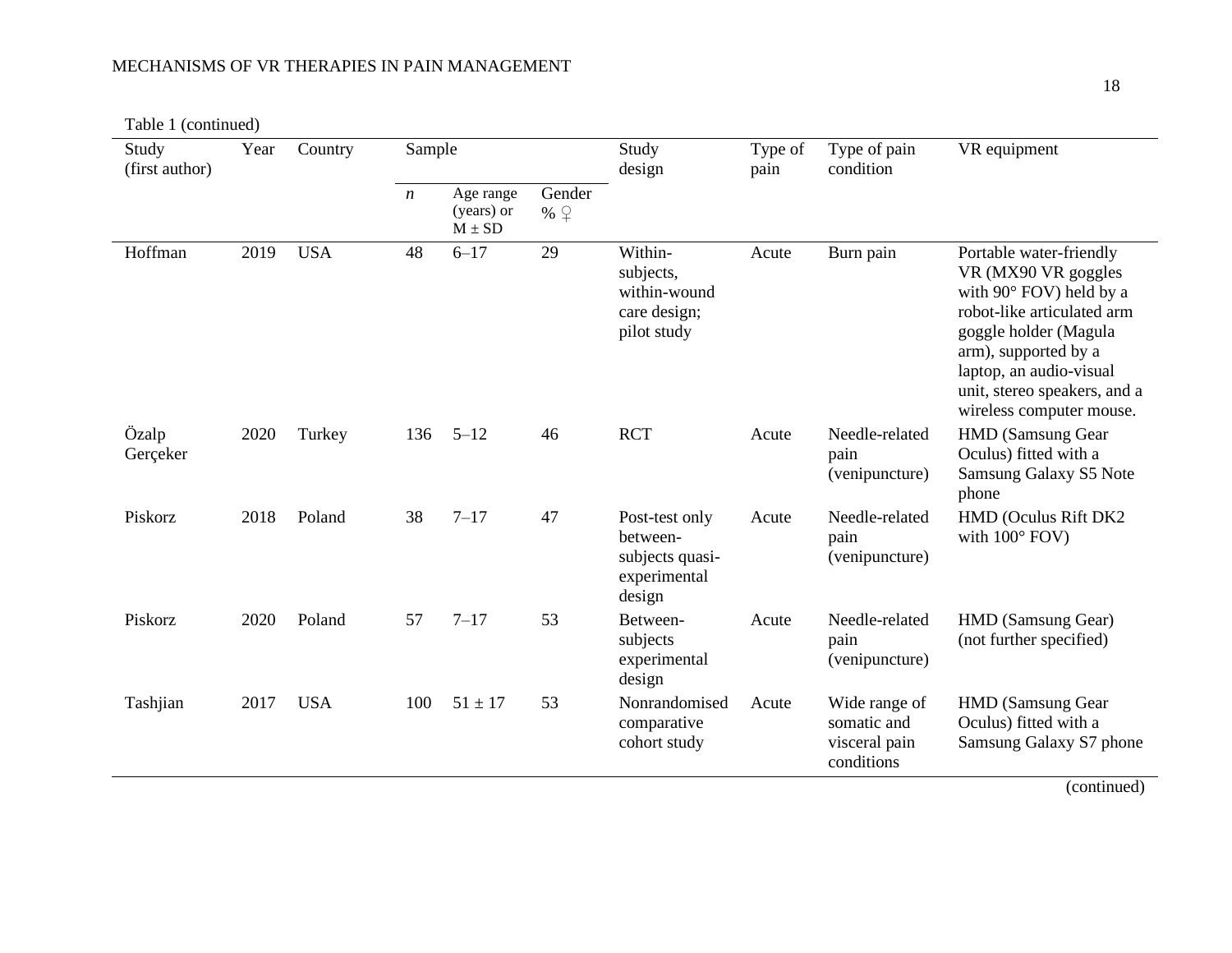Table 1 (continued)

| Study<br>(first author) | Year | Country    | Sample           |                                       |                       | Study<br>design                                                         | Type of<br>pain | Type of pain<br>condition                                   | VR equipment                                                                                                                                                                                                                                    |
|-------------------------|------|------------|------------------|---------------------------------------|-----------------------|-------------------------------------------------------------------------|-----------------|-------------------------------------------------------------|-------------------------------------------------------------------------------------------------------------------------------------------------------------------------------------------------------------------------------------------------|
|                         |      |            | $\boldsymbol{n}$ | Age range<br>(years) or<br>$M \pm SD$ | Gender<br>% $\varphi$ |                                                                         |                 |                                                             |                                                                                                                                                                                                                                                 |
| Hoffman                 | 2019 | <b>USA</b> | 48               | $6 - 17$                              | 29                    | Within-<br>subjects,<br>within-wound<br>care design;<br>pilot study     | Acute           | Burn pain                                                   | Portable water-friendly<br>VR (MX90 VR goggles<br>with 90° FOV) held by a<br>robot-like articulated arm<br>goggle holder (Magula<br>arm), supported by a<br>laptop, an audio-visual<br>unit, stereo speakers, and a<br>wireless computer mouse. |
| Özalp<br>Gerçeker       | 2020 | Turkey     | 136              | $5 - 12$                              | 46                    | <b>RCT</b>                                                              | Acute           | Needle-related<br>pain<br>(venipuncture)                    | <b>HMD</b> (Samsung Gear<br>Oculus) fitted with a<br>Samsung Galaxy S5 Note<br>phone                                                                                                                                                            |
| Piskorz                 | 2018 | Poland     | 38               | $7 - 17$                              | 47                    | Post-test only<br>between-<br>subjects quasi-<br>experimental<br>design | Acute           | Needle-related<br>pain<br>(venipuncture)                    | HMD (Oculus Rift DK2<br>with $100^\circ$ FOV)                                                                                                                                                                                                   |
| Piskorz                 | 2020 | Poland     | 57               | $7 - 17$                              | 53                    | Between-<br>subjects<br>experimental<br>design                          | Acute           | Needle-related<br>pain<br>(venipuncture)                    | HMD (Samsung Gear)<br>(not further specified)                                                                                                                                                                                                   |
| Tashjian                | 2017 | <b>USA</b> | 100              | $51 \pm 17$                           | 53                    | Nonrandomised<br>comparative<br>cohort study                            | Acute           | Wide range of<br>somatic and<br>visceral pain<br>conditions | <b>HMD</b> (Samsung Gear<br>Oculus) fitted with a<br>Samsung Galaxy S7 phone<br>$\left(\frac{1}{2}, \frac{1}{2}, \frac{1}{2}, \frac{1}{2}, \frac{1}{2}, \frac{1}{2}\right)$                                                                     |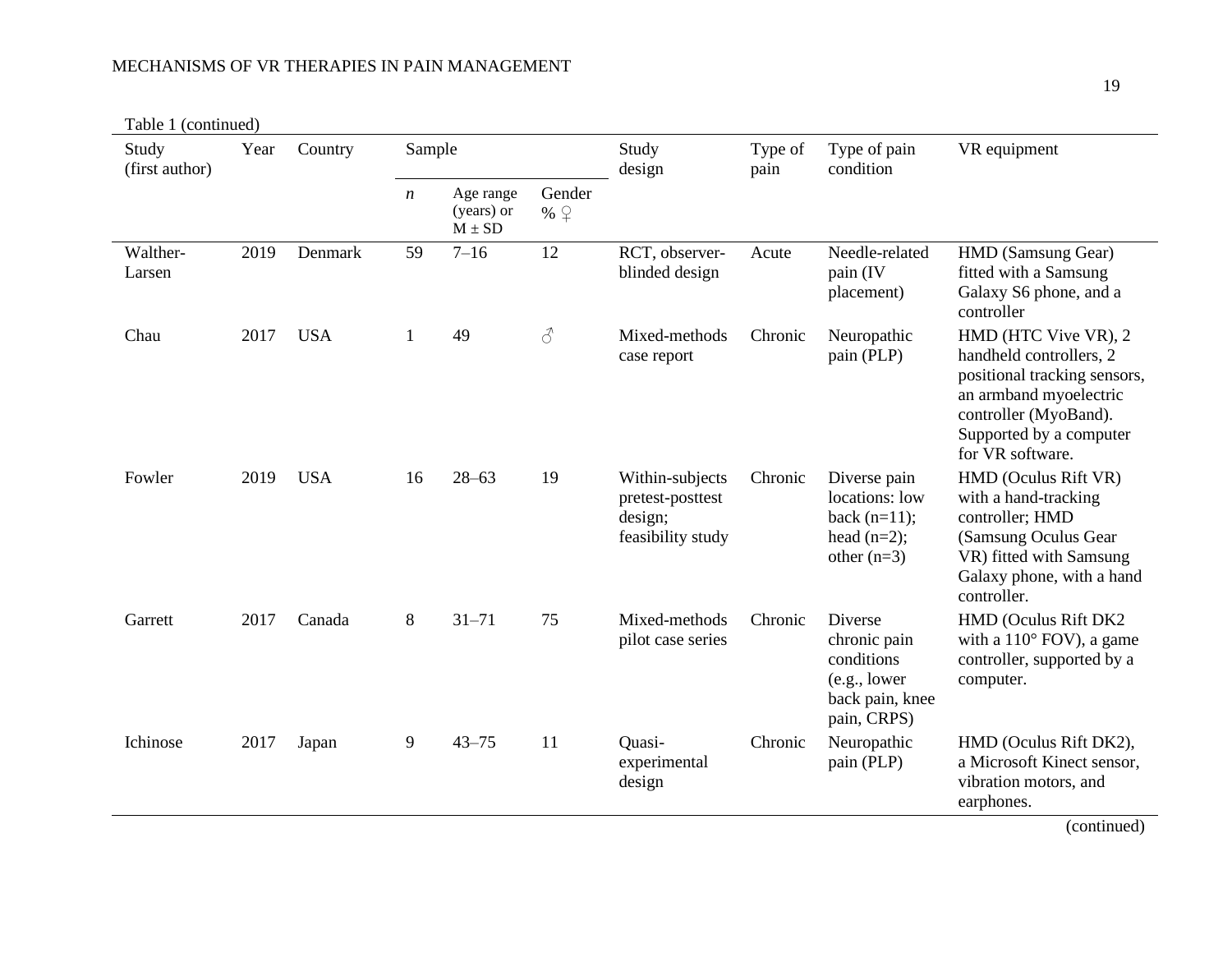Table 1 (continued)

| Study<br>(first author) | Year | Country    | Sample |                                       |                                                                                                           | Study<br>design                                                     | Type of<br>pain | Type of pain<br>condition                                                                | VR equipment                                                                                                                                                                      |
|-------------------------|------|------------|--------|---------------------------------------|-----------------------------------------------------------------------------------------------------------|---------------------------------------------------------------------|-----------------|------------------------------------------------------------------------------------------|-----------------------------------------------------------------------------------------------------------------------------------------------------------------------------------|
|                         |      |            | n      | Age range<br>(years) or<br>$M \pm SD$ | Gender<br>% $\sqrt{Q}$                                                                                    |                                                                     |                 |                                                                                          |                                                                                                                                                                                   |
| Walther-<br>Larsen      | 2019 | Denmark    | 59     | $7 - 16$                              | 12                                                                                                        | RCT, observer-<br>blinded design                                    | Acute           | Needle-related<br>pain (IV<br>placement)                                                 | HMD (Samsung Gear)<br>fitted with a Samsung<br>Galaxy S6 phone, and a<br>controller                                                                                               |
| Chau                    | 2017 | <b>USA</b> | 1      | 49                                    | $\mathcal{S}% _{M_{1},M_{2}}^{\ast }=\mathcal{S}_{M_{1},M_{2}}^{\ast }=\mathcal{S}_{M_{1},M_{2}}^{\ast }$ | Mixed-methods<br>case report                                        | Chronic         | Neuropathic<br>pain (PLP)                                                                | HMD (HTC Vive VR), 2<br>handheld controllers, 2<br>positional tracking sensors,<br>an armband myoelectric<br>controller (MyoBand).<br>Supported by a computer<br>for VR software. |
| Fowler                  | 2019 | <b>USA</b> | 16     | $28 - 63$                             | 19                                                                                                        | Within-subjects<br>pretest-posttest<br>design;<br>feasibility study | Chronic         | Diverse pain<br>locations: low<br>back $(n=11)$ ;<br>head $(n=2)$ ;<br>other $(n=3)$     | HMD (Oculus Rift VR)<br>with a hand-tracking<br>controller; HMD<br>(Samsung Oculus Gear)<br>VR) fitted with Samsung<br>Galaxy phone, with a hand<br>controller.                   |
| Garrett                 | 2017 | Canada     | 8      | $31 - 71$                             | 75                                                                                                        | Mixed-methods<br>pilot case series                                  | Chronic         | Diverse<br>chronic pain<br>conditions<br>(e.g., lower)<br>back pain, knee<br>pain, CRPS) | HMD (Oculus Rift DK2<br>with a $110^{\circ}$ FOV), a game<br>controller, supported by a<br>computer.                                                                              |
| Ichinose                | 2017 | Japan      | 9      | $43 - 75$                             | 11                                                                                                        | Quasi-<br>experimental<br>design                                    | Chronic         | Neuropathic<br>pain (PLP)                                                                | HMD (Oculus Rift DK2),<br>a Microsoft Kinect sensor,<br>vibration motors, and<br>earphones.<br>$\ell$ - and $\ell$ and $\Lambda$                                                  |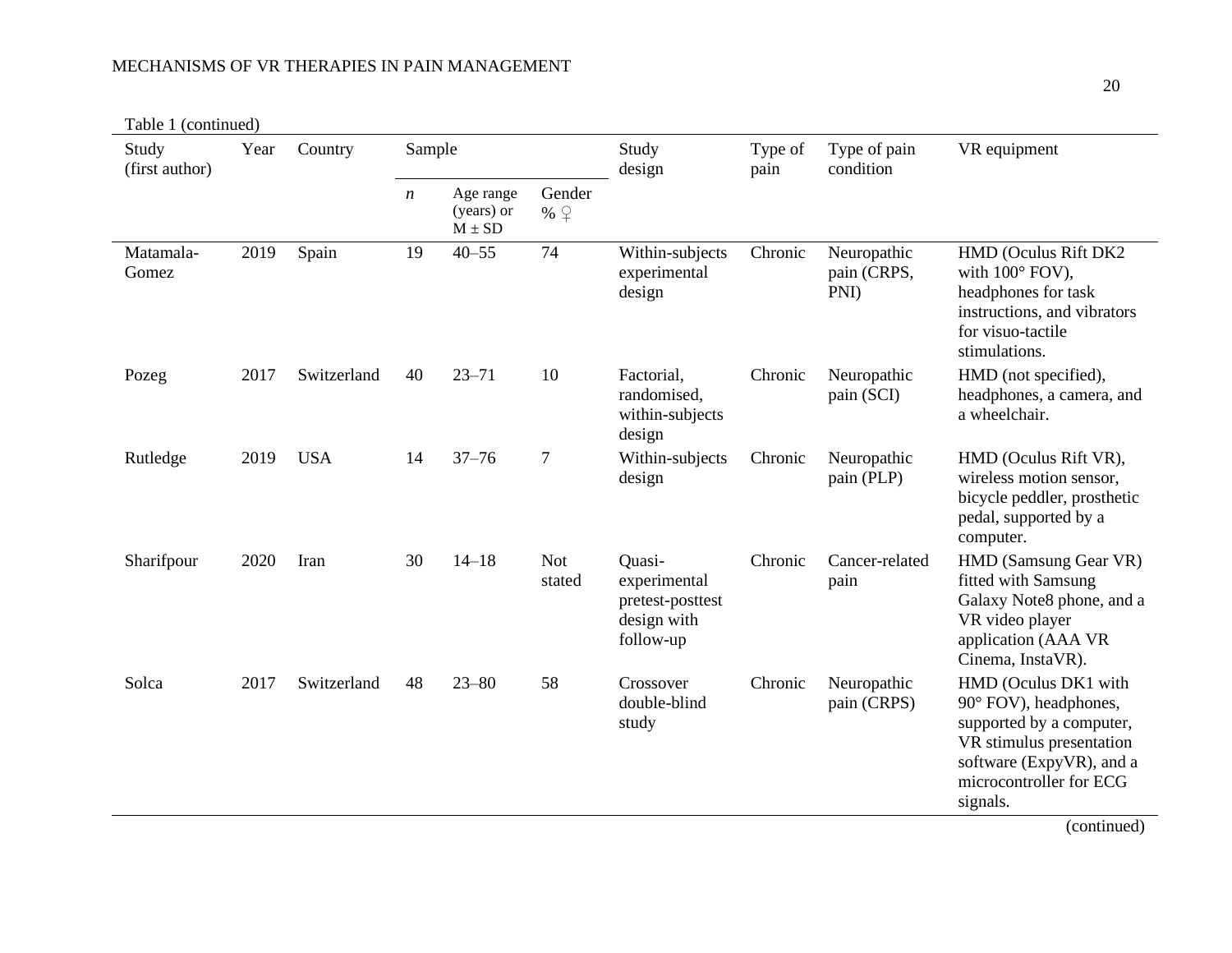Table 1 (continued)

| Study<br>(first author) | Year | Country     | Sample |                                       | Study<br>design       | Type of<br>pain                                                        | Type of pain<br>condition | VR equipment                       |                                                                                                                                                                                                                                                                         |
|-------------------------|------|-------------|--------|---------------------------------------|-----------------------|------------------------------------------------------------------------|---------------------------|------------------------------------|-------------------------------------------------------------------------------------------------------------------------------------------------------------------------------------------------------------------------------------------------------------------------|
|                         |      |             | n      | Age range<br>(years) or<br>$M \pm SD$ | Gender<br>% $\varphi$ |                                                                        |                           |                                    |                                                                                                                                                                                                                                                                         |
| Matamala-<br>Gomez      | 2019 | Spain       | 19     | $40 - 55$                             | 74                    | Within-subjects<br>experimental<br>design                              | Chronic                   | Neuropathic<br>pain (CRPS,<br>PNI) | HMD (Oculus Rift DK2<br>with $100^\circ$ FOV),<br>headphones for task<br>instructions, and vibrators<br>for visuo-tactile<br>stimulations.                                                                                                                              |
| Pozeg                   | 2017 | Switzerland | 40     | $23 - 71$                             | 10                    | Factorial,<br>randomised,<br>within-subjects<br>design                 | Chronic                   | Neuropathic<br>pain (SCI)          | HMD (not specified),<br>headphones, a camera, and<br>a wheelchair.                                                                                                                                                                                                      |
| Rutledge                | 2019 | <b>USA</b>  | 14     | $37 - 76$                             | $\overline{7}$        | Within-subjects<br>design                                              | Chronic                   | Neuropathic<br>pain (PLP)          | HMD (Oculus Rift VR),<br>wireless motion sensor,<br>bicycle peddler, prosthetic<br>pedal, supported by a<br>computer.                                                                                                                                                   |
| Sharifpour              | 2020 | Iran        | 30     | $14 - 18$                             | <b>Not</b><br>stated  | Quasi-<br>experimental<br>pretest-posttest<br>design with<br>follow-up | Chronic                   | Cancer-related<br>pain             | HMD (Samsung Gear VR)<br>fitted with Samsung<br>Galaxy Note8 phone, and a<br>VR video player<br>application (AAA VR<br>Cinema, InstaVR).                                                                                                                                |
| Solca                   | 2017 | Switzerland | 48     | $23 - 80$                             | 58                    | Crossover<br>double-blind<br>study                                     | Chronic                   | Neuropathic<br>pain (CRPS)         | HMD (Oculus DK1 with<br>90° FOV), headphones,<br>supported by a computer,<br>VR stimulus presentation<br>software (ExpyVR), and a<br>microcontroller for ECG<br>signals.<br>$\left(\frac{1}{2}, \frac{1}{2}, \frac{1}{2}, \frac{1}{2}, \frac{1}{2}, \frac{1}{2}\right)$ |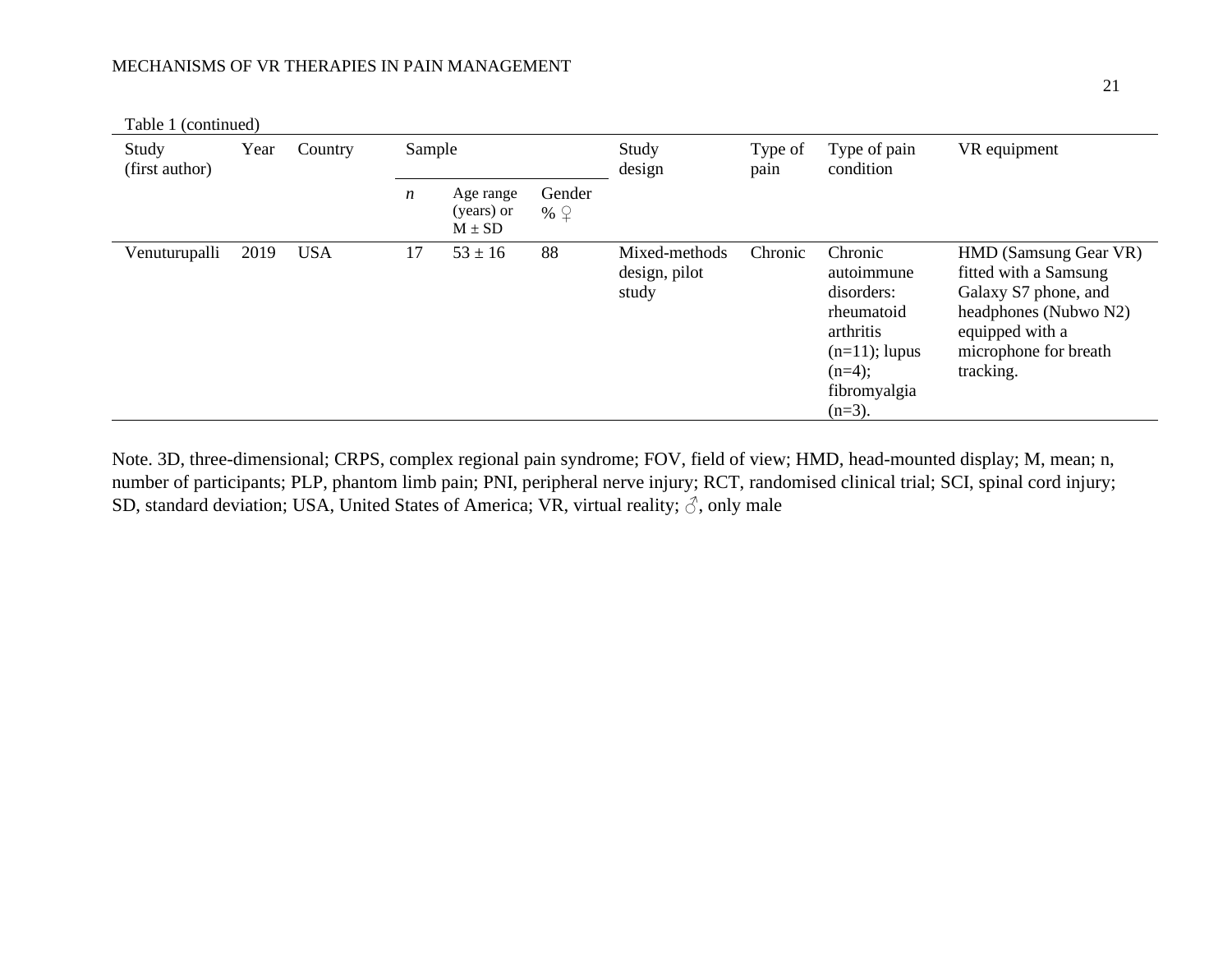| Table 1 (continued)     |      |            |                  |                                       |                         |                                         |                           |                                                                                                                             |                                                                                                                                                          |
|-------------------------|------|------------|------------------|---------------------------------------|-------------------------|-----------------------------------------|---------------------------|-----------------------------------------------------------------------------------------------------------------------------|----------------------------------------------------------------------------------------------------------------------------------------------------------|
| Study<br>(first author) | Year | Country    | Sample           |                                       | Study<br>design<br>pain | Type of                                 | Type of pain<br>condition | VR equipment                                                                                                                |                                                                                                                                                          |
|                         |      |            | $\boldsymbol{n}$ | Age range<br>(years) or<br>$M \pm SD$ | Gender<br>% $\sqrt{Q}$  |                                         |                           |                                                                                                                             |                                                                                                                                                          |
| Venuturupalli           | 2019 | <b>USA</b> | 17               | $53 \pm 16$                           | 88                      | Mixed-methods<br>design, pilot<br>study | Chronic                   | Chronic<br>autoimmune<br>disorders:<br>rheumatoid<br>arthritis<br>$(n=11)$ ; lupus<br>$(n=4);$<br>fibromyalgia<br>$(n=3)$ . | HMD (Samsung Gear VR)<br>fitted with a Samsung<br>Galaxy S7 phone, and<br>headphones (Nubwo N2)<br>equipped with a<br>microphone for breath<br>tracking. |

Note. 3D, three-dimensional; CRPS, complex regional pain syndrome; FOV, field of view; HMD, head-mounted display; M, mean; n, number of participants; PLP, phantom limb pain; PNI, peripheral nerve injury; RCT, randomised clinical trial; SCI, spinal cord injury; SD, standard deviation; USA, United States of America; VR, virtual reality;  $\delta$ , only male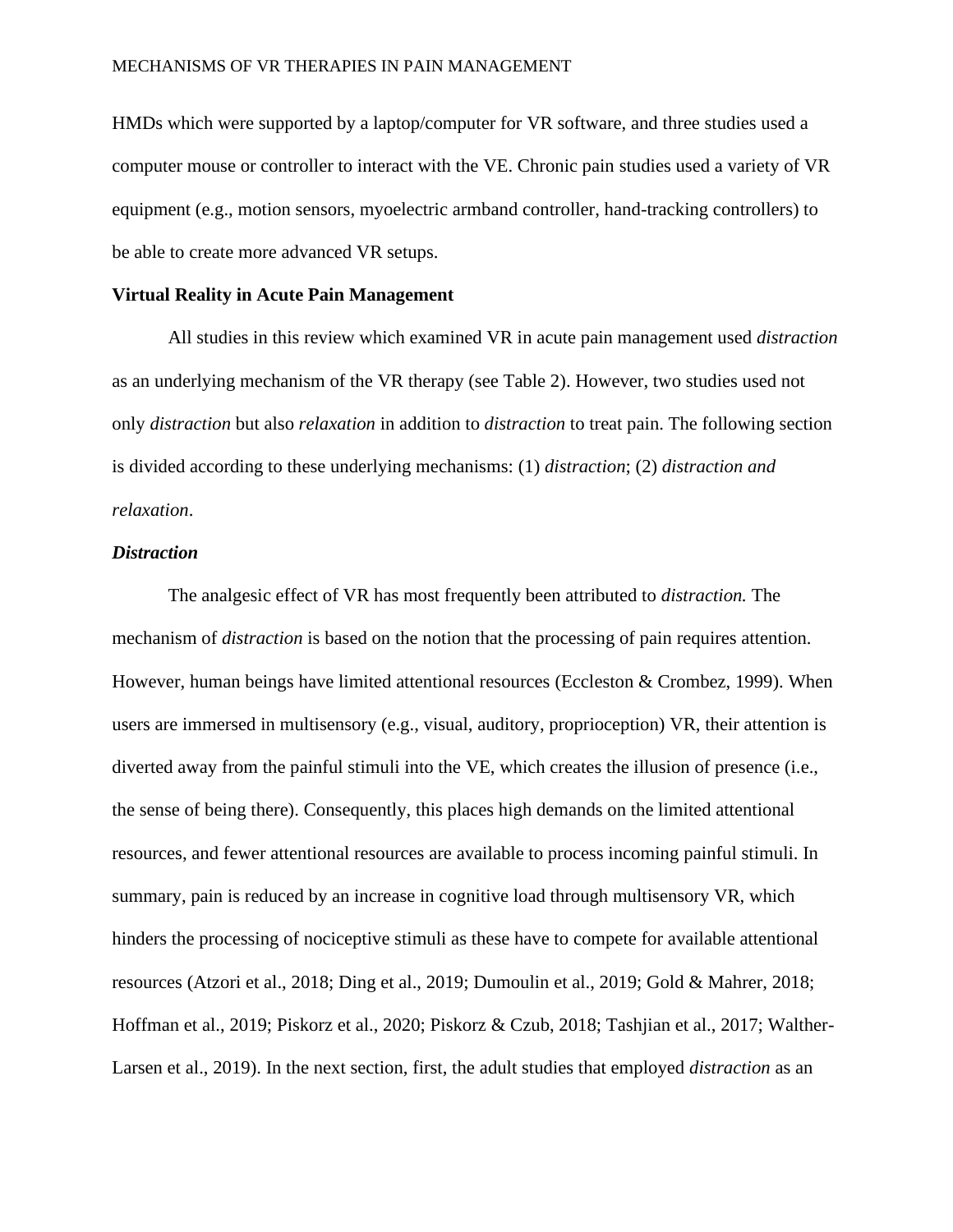HMDs which were supported by a laptop/computer for VR software, and three studies used a computer mouse or controller to interact with the VE. Chronic pain studies used a variety of VR equipment (e.g., motion sensors, myoelectric armband controller, hand-tracking controllers) to be able to create more advanced VR setups.

### **Virtual Reality in Acute Pain Management**

All studies in this review which examined VR in acute pain management used *distraction* as an underlying mechanism of the VR therapy (see Table 2). However, two studies used not only *distraction* but also *relaxation* in addition to *distraction* to treat pain. The following section is divided according to these underlying mechanisms: (1) *distraction*; (2) *distraction and relaxation*.

### *Distraction*

The analgesic effect of VR has most frequently been attributed to *distraction.* The mechanism of *distraction* is based on the notion that the processing of pain requires attention. However, human beings have limited attentional resources (Eccleston & Crombez, 1999). When users are immersed in multisensory (e.g., visual, auditory, proprioception) VR, their attention is diverted away from the painful stimuli into the VE, which creates the illusion of presence (i.e., the sense of being there). Consequently, this places high demands on the limited attentional resources, and fewer attentional resources are available to process incoming painful stimuli. In summary, pain is reduced by an increase in cognitive load through multisensory VR, which hinders the processing of nociceptive stimuli as these have to compete for available attentional resources (Atzori et al., 2018; Ding et al., 2019; Dumoulin et al., 2019; Gold & Mahrer, 2018; Hoffman et al., 2019; Piskorz et al., 2020; Piskorz & Czub, 2018; Tashjian et al., 2017; Walther-Larsen et al., 2019). In the next section, first, the adult studies that employed *distraction* as an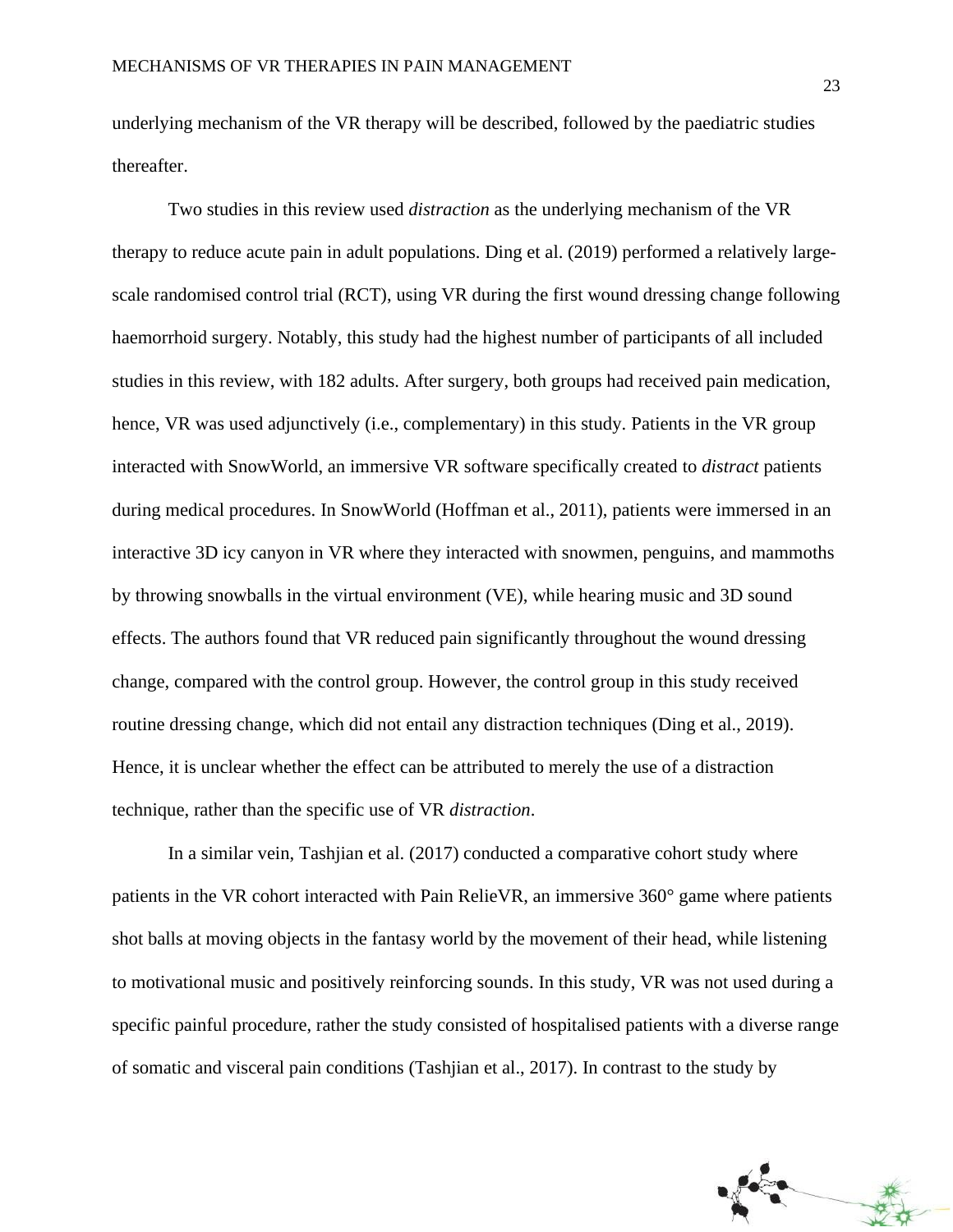underlying mechanism of the VR therapy will be described, followed by the paediatric studies thereafter.

Two studies in this review used *distraction* as the underlying mechanism of the VR therapy to reduce acute pain in adult populations. Ding et al. (2019) performed a relatively largescale randomised control trial (RCT), using VR during the first wound dressing change following haemorrhoid surgery. Notably, this study had the highest number of participants of all included studies in this review, with 182 adults. After surgery, both groups had received pain medication, hence, VR was used adjunctively (i.e., complementary) in this study. Patients in the VR group interacted with SnowWorld, an immersive VR software specifically created to *distract* patients during medical procedures. In SnowWorld (Hoffman et al., 2011), patients were immersed in an interactive 3D icy canyon in VR where they interacted with snowmen, penguins, and mammoths by throwing snowballs in the virtual environment (VE), while hearing music and 3D sound effects. The authors found that VR reduced pain significantly throughout the wound dressing change, compared with the control group. However, the control group in this study received routine dressing change, which did not entail any distraction techniques (Ding et al., 2019). Hence, it is unclear whether the effect can be attributed to merely the use of a distraction technique, rather than the specific use of VR *distraction*.

In a similar vein, Tashjian et al. (2017) conducted a comparative cohort study where patients in the VR cohort interacted with Pain RelieVR, an immersive 360° game where patients shot balls at moving objects in the fantasy world by the movement of their head, while listening to motivational music and positively reinforcing sounds. In this study, VR was not used during a specific painful procedure, rather the study consisted of hospitalised patients with a diverse range of somatic and visceral pain conditions (Tashjian et al., 2017). In contrast to the study by

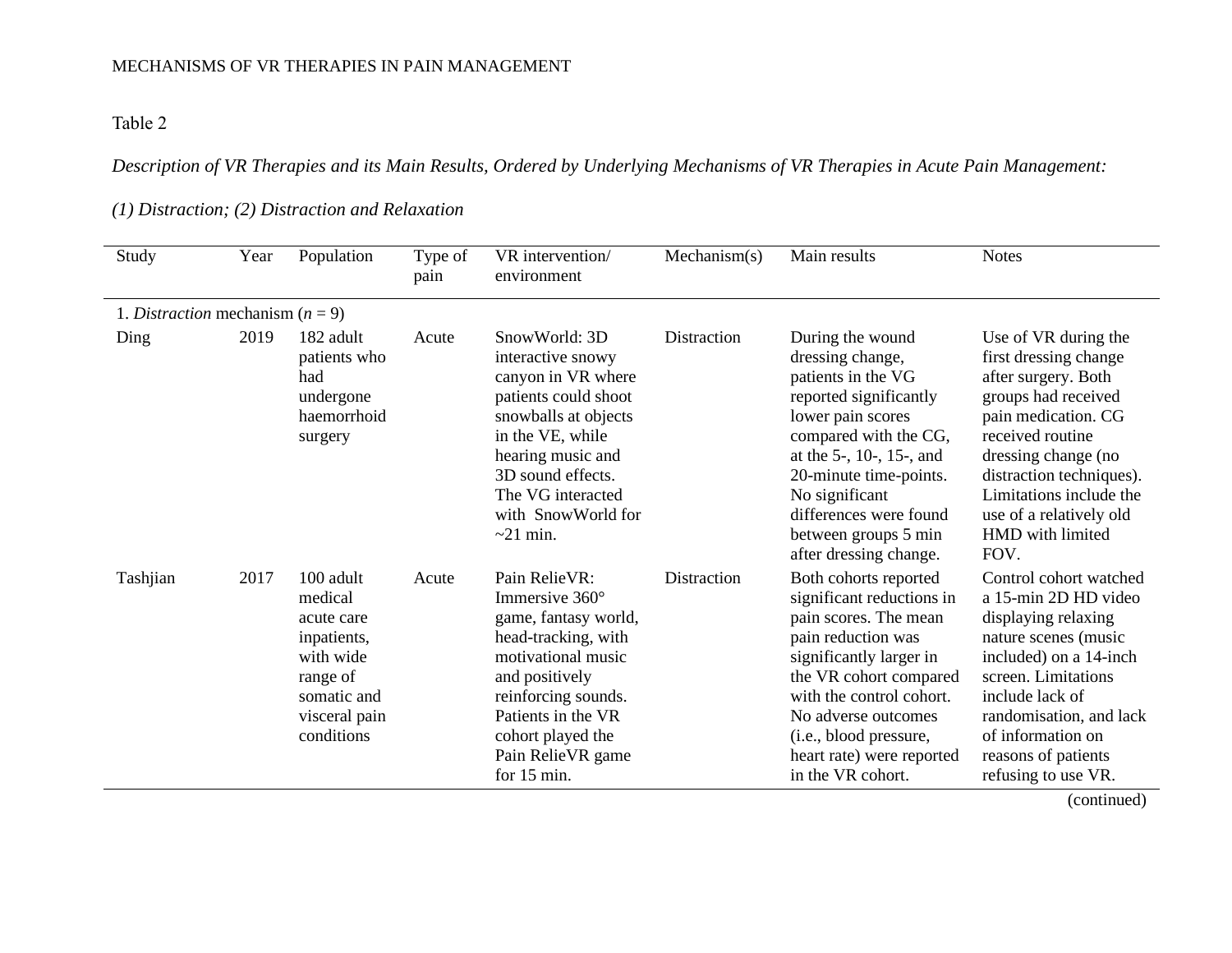Table 2

## *Description of VR Therapies and its Main Results, Ordered by Underlying Mechanisms of VR Therapies in Acute Pain Management:*

## *(1) Distraction; (2) Distraction and Relaxation*

| Study                              | Year | Population                                                                                                               | Type of<br>pain | VR intervention/<br>environment                                                                                                                                                                                                     | Mechanism(s) | Main results                                                                                                                                                                                                                                                                                    | <b>Notes</b>                                                                                                                                                                                                                                                                |
|------------------------------------|------|--------------------------------------------------------------------------------------------------------------------------|-----------------|-------------------------------------------------------------------------------------------------------------------------------------------------------------------------------------------------------------------------------------|--------------|-------------------------------------------------------------------------------------------------------------------------------------------------------------------------------------------------------------------------------------------------------------------------------------------------|-----------------------------------------------------------------------------------------------------------------------------------------------------------------------------------------------------------------------------------------------------------------------------|
| 1. Distraction mechanism $(n = 9)$ |      |                                                                                                                          |                 |                                                                                                                                                                                                                                     |              |                                                                                                                                                                                                                                                                                                 |                                                                                                                                                                                                                                                                             |
| Ding                               | 2019 | 182 adult<br>patients who<br>had<br>undergone<br>haemorrhoid<br>surgery                                                  | Acute           | SnowWorld: 3D<br>interactive snowy<br>canyon in VR where<br>patients could shoot<br>snowballs at objects<br>in the VE, while<br>hearing music and<br>3D sound effects.<br>The VG interacted<br>with SnowWorld for<br>$\sim$ 21 min. | Distraction  | During the wound<br>dressing change,<br>patients in the VG<br>reported significantly<br>lower pain scores<br>compared with the CG,<br>at the $5-$ , $10-$ , $15-$ , and<br>20-minute time-points.<br>No significant<br>differences were found<br>between groups 5 min<br>after dressing change. | Use of VR during the<br>first dressing change<br>after surgery. Both<br>groups had received<br>pain medication. CG<br>received routine<br>dressing change (no<br>distraction techniques).<br>Limitations include the<br>use of a relatively old<br>HMD with limited<br>FOV. |
| Tashjian                           | 2017 | 100 adult<br>medical<br>acute care<br>inpatients,<br>with wide<br>range of<br>somatic and<br>visceral pain<br>conditions | Acute           | Pain RelieVR:<br>Immersive $360^\circ$<br>game, fantasy world,<br>head-tracking, with<br>motivational music<br>and positively<br>reinforcing sounds.<br>Patients in the VR<br>cohort played the<br>Pain RelieVR game<br>for 15 min. | Distraction  | Both cohorts reported<br>significant reductions in<br>pain scores. The mean<br>pain reduction was<br>significantly larger in<br>the VR cohort compared<br>with the control cohort.<br>No adverse outcomes<br>(i.e., blood pressure,<br>heart rate) were reported<br>in the VR cohort.           | Control cohort watched<br>a 15-min 2D HD video<br>displaying relaxing<br>nature scenes (music<br>included) on a 14-inch<br>screen. Limitations<br>include lack of<br>randomisation, and lack<br>of information on<br>reasons of patients<br>refusing to use VR.             |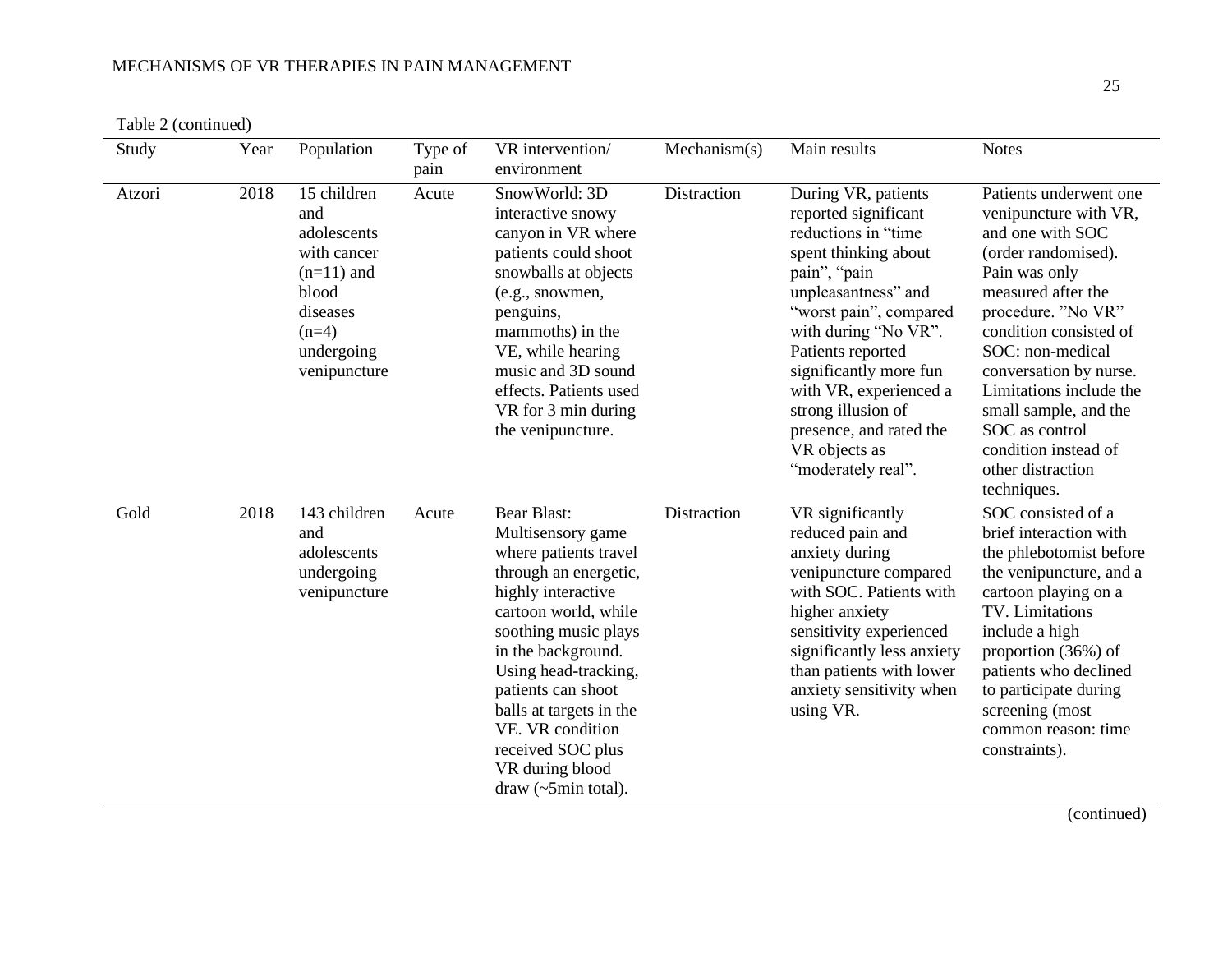Table 2 (continued)

| Study  | Year | Population                                                                                                                     | Type of<br>pain | VR intervention/<br>environment                                                                                                                                                                                                                                                                                                                          | Mechanism(s) | Main results                                                                                                                                                                                                                                                                                                                                         | <b>Notes</b>                                                                                                                                                                                                                                                                                                                                                      |
|--------|------|--------------------------------------------------------------------------------------------------------------------------------|-----------------|----------------------------------------------------------------------------------------------------------------------------------------------------------------------------------------------------------------------------------------------------------------------------------------------------------------------------------------------------------|--------------|------------------------------------------------------------------------------------------------------------------------------------------------------------------------------------------------------------------------------------------------------------------------------------------------------------------------------------------------------|-------------------------------------------------------------------------------------------------------------------------------------------------------------------------------------------------------------------------------------------------------------------------------------------------------------------------------------------------------------------|
| Atzori | 2018 | 15 children<br>and<br>adolescents<br>with cancer<br>$(n=11)$ and<br>blood<br>diseases<br>$(n=4)$<br>undergoing<br>venipuncture | Acute           | SnowWorld: 3D<br>interactive snowy<br>canyon in VR where<br>patients could shoot<br>snowballs at objects<br>(e.g., snowmen,<br>penguins,<br>mammoths) in the<br>VE, while hearing<br>music and 3D sound<br>effects. Patients used<br>VR for 3 min during<br>the venipuncture.                                                                            | Distraction  | During VR, patients<br>reported significant<br>reductions in "time<br>spent thinking about<br>pain", "pain<br>unpleasantness" and<br>"worst pain", compared<br>with during "No VR".<br>Patients reported<br>significantly more fun<br>with VR, experienced a<br>strong illusion of<br>presence, and rated the<br>VR objects as<br>"moderately real". | Patients underwent one<br>venipuncture with VR,<br>and one with SOC<br>(order randomised).<br>Pain was only<br>measured after the<br>procedure. "No VR"<br>condition consisted of<br>SOC: non-medical<br>conversation by nurse.<br>Limitations include the<br>small sample, and the<br>SOC as control<br>condition instead of<br>other distraction<br>techniques. |
| Gold   | 2018 | 143 children<br>and<br>adolescents<br>undergoing<br>venipuncture                                                               | Acute           | <b>Bear Blast:</b><br>Multisensory game<br>where patients travel<br>through an energetic,<br>highly interactive<br>cartoon world, while<br>soothing music plays<br>in the background.<br>Using head-tracking,<br>patients can shoot<br>balls at targets in the<br>VE. VR condition<br>received SOC plus<br>VR during blood<br>draw $(\sim 5$ min total). | Distraction  | VR significantly<br>reduced pain and<br>anxiety during<br>venipuncture compared<br>with SOC. Patients with<br>higher anxiety<br>sensitivity experienced<br>significantly less anxiety<br>than patients with lower<br>anxiety sensitivity when<br>using VR.                                                                                           | SOC consisted of a<br>brief interaction with<br>the phlebotomist before<br>the venipuncture, and a<br>cartoon playing on a<br>TV. Limitations<br>include a high<br>proportion (36%) of<br>patients who declined<br>to participate during<br>screening (most<br>common reason: time<br>constraints).                                                               |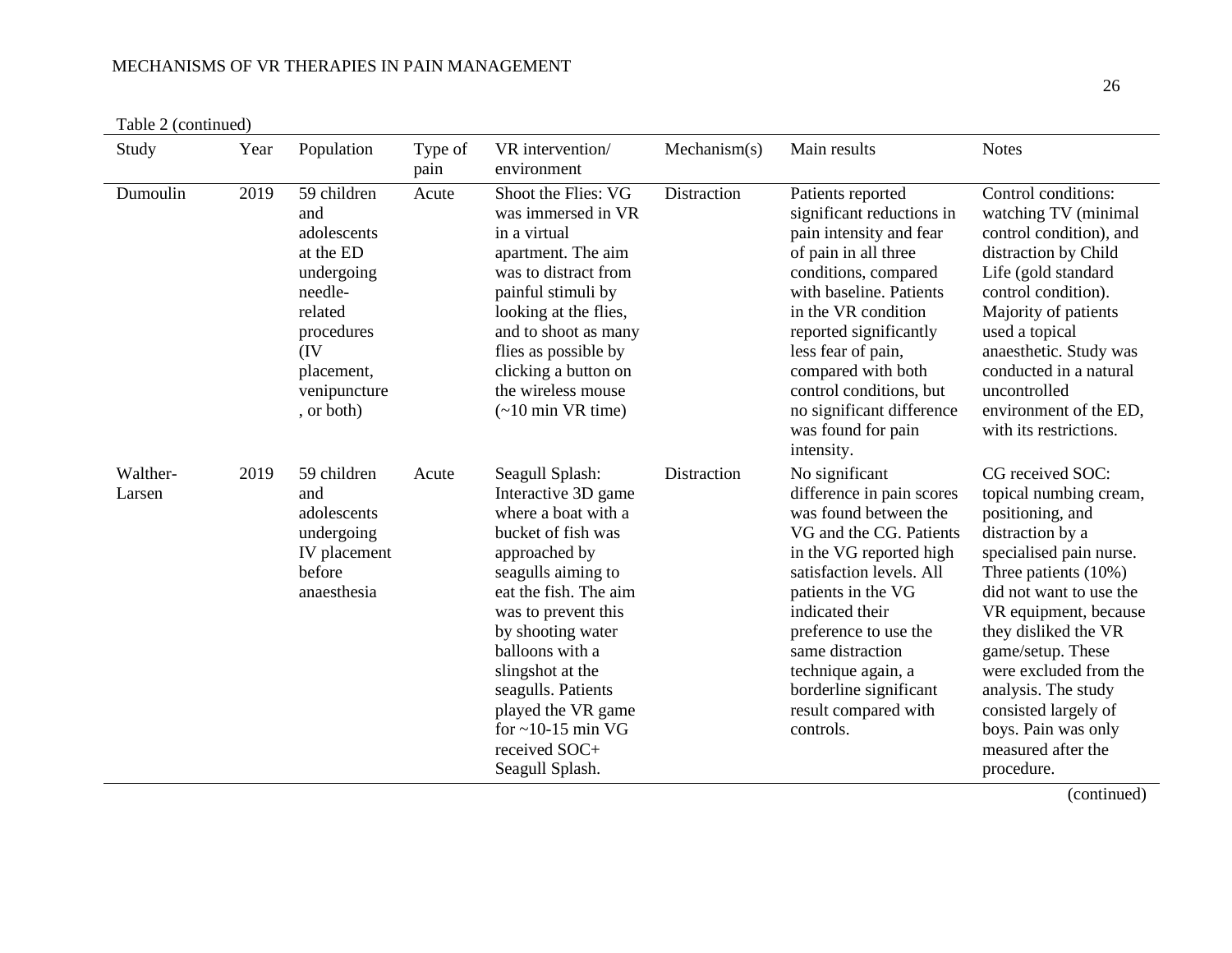|  | Table 2 (continued) |
|--|---------------------|
|--|---------------------|

| Study              | Year | Population                                                                                                                                          | Type of<br>pain | VR intervention/<br>environment                                                                                                                                                                                                                                                                                                                   | Mechanism(s) | Main results                                                                                                                                                                                                                                                                                                                                  | <b>Notes</b>                                                                                                                                                                                                                                                                                                                                                                  |
|--------------------|------|-----------------------------------------------------------------------------------------------------------------------------------------------------|-----------------|---------------------------------------------------------------------------------------------------------------------------------------------------------------------------------------------------------------------------------------------------------------------------------------------------------------------------------------------------|--------------|-----------------------------------------------------------------------------------------------------------------------------------------------------------------------------------------------------------------------------------------------------------------------------------------------------------------------------------------------|-------------------------------------------------------------------------------------------------------------------------------------------------------------------------------------------------------------------------------------------------------------------------------------------------------------------------------------------------------------------------------|
| Dumoulin           | 2019 | 59 children<br>and<br>adolescents<br>at the ED<br>undergoing<br>needle-<br>related<br>procedures<br>(IV<br>placement,<br>venipuncture<br>, or both) | Acute           | Shoot the Flies: VG<br>was immersed in VR<br>in a virtual<br>apartment. The aim<br>was to distract from<br>painful stimuli by<br>looking at the flies,<br>and to shoot as many<br>flies as possible by<br>clicking a button on<br>the wireless mouse<br>$($ ~10 min VR time)                                                                      | Distraction  | Patients reported<br>significant reductions in<br>pain intensity and fear<br>of pain in all three<br>conditions, compared<br>with baseline. Patients<br>in the VR condition<br>reported significantly<br>less fear of pain,<br>compared with both<br>control conditions, but<br>no significant difference<br>was found for pain<br>intensity. | Control conditions:<br>watching TV (minimal<br>control condition), and<br>distraction by Child<br>Life (gold standard<br>control condition).<br>Majority of patients<br>used a topical<br>anaesthetic. Study was<br>conducted in a natural<br>uncontrolled<br>environment of the ED,<br>with its restrictions.                                                                |
| Walther-<br>Larsen | 2019 | 59 children<br>and<br>adolescents<br>undergoing<br>IV placement<br>before<br>anaesthesia                                                            | Acute           | Seagull Splash:<br>Interactive 3D game<br>where a boat with a<br>bucket of fish was<br>approached by<br>seagulls aiming to<br>eat the fish. The aim<br>was to prevent this<br>by shooting water<br>balloons with a<br>slingshot at the<br>seagulls. Patients<br>played the VR game<br>for $\sim$ 10-15 min VG<br>received SOC+<br>Seagull Splash. | Distraction  | No significant<br>difference in pain scores<br>was found between the<br>VG and the CG. Patients<br>in the VG reported high<br>satisfaction levels. All<br>patients in the VG<br>indicated their<br>preference to use the<br>same distraction<br>technique again, a<br>borderline significant<br>result compared with<br>controls.             | CG received SOC:<br>topical numbing cream,<br>positioning, and<br>distraction by a<br>specialised pain nurse.<br>Three patients $(10\%)$<br>did not want to use the<br>VR equipment, because<br>they disliked the VR<br>game/setup. These<br>were excluded from the<br>analysis. The study<br>consisted largely of<br>boys. Pain was only<br>measured after the<br>procedure. |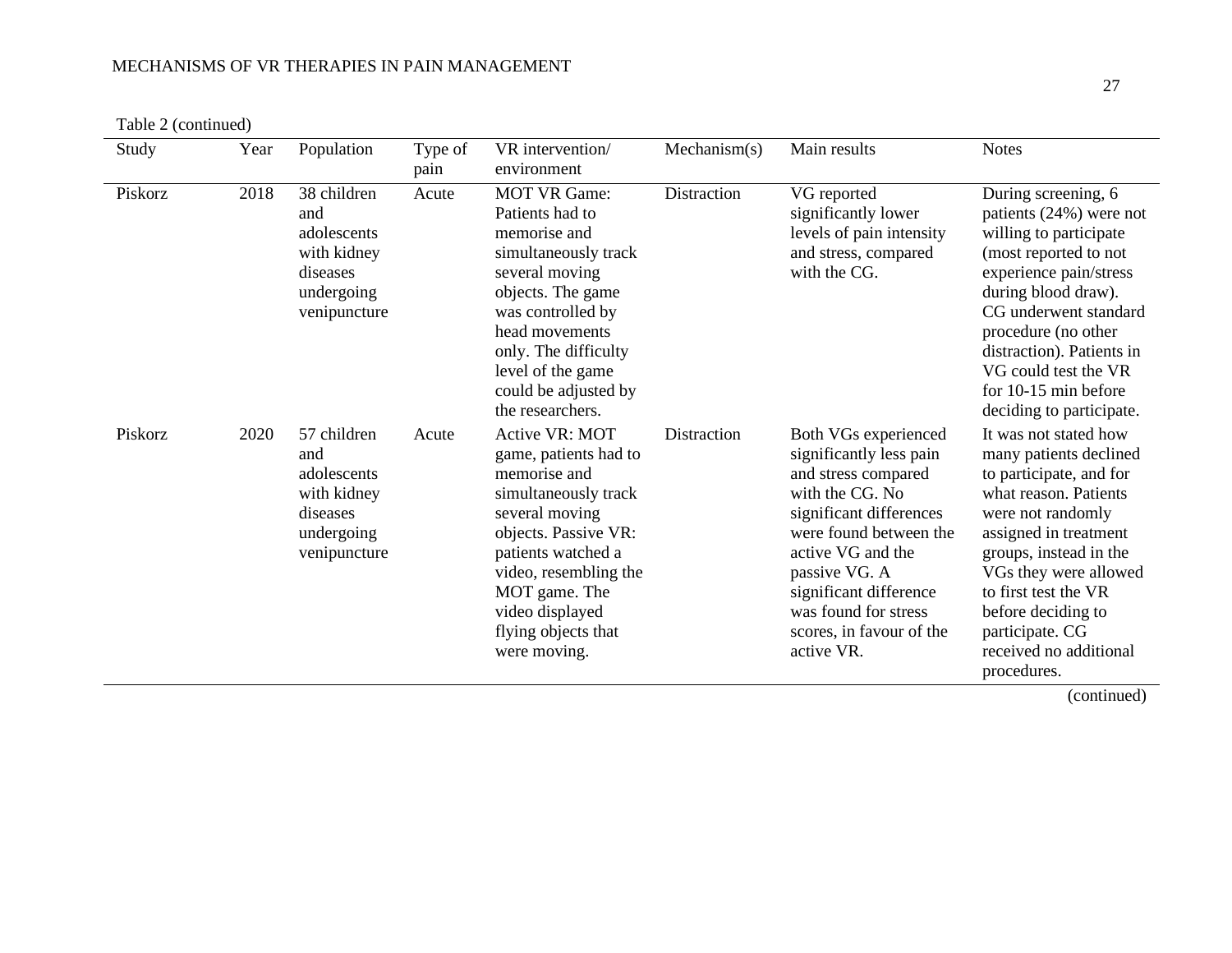|  | Table 2 (continued) |
|--|---------------------|
|--|---------------------|

| Study   | Year | Population                                                                                 | Type of<br>pain | VR intervention/<br>environment                                                                                                                                                                                                                       | Mechanism(s) | Main results                                                                                                                                                                                                                                                                     | <b>Notes</b>                                                                                                                                                                                                                                                                                                    |
|---------|------|--------------------------------------------------------------------------------------------|-----------------|-------------------------------------------------------------------------------------------------------------------------------------------------------------------------------------------------------------------------------------------------------|--------------|----------------------------------------------------------------------------------------------------------------------------------------------------------------------------------------------------------------------------------------------------------------------------------|-----------------------------------------------------------------------------------------------------------------------------------------------------------------------------------------------------------------------------------------------------------------------------------------------------------------|
| Piskorz | 2018 | 38 children<br>and<br>adolescents<br>with kidney<br>diseases<br>undergoing<br>venipuncture | Acute           | <b>MOT VR Game:</b><br>Patients had to<br>memorise and<br>simultaneously track<br>several moving<br>objects. The game<br>was controlled by<br>head movements<br>only. The difficulty<br>level of the game<br>could be adjusted by<br>the researchers. | Distraction  | VG reported<br>significantly lower<br>levels of pain intensity<br>and stress, compared<br>with the CG.                                                                                                                                                                           | During screening, 6<br>patients $(24%)$ were not<br>willing to participate<br>(most reported to not<br>experience pain/stress<br>during blood draw).<br>CG underwent standard<br>procedure (no other<br>distraction). Patients in<br>VG could test the VR<br>for $10-15$ min before<br>deciding to participate. |
| Piskorz | 2020 | 57 children<br>and<br>adolescents<br>with kidney<br>diseases<br>undergoing<br>venipuncture | Acute           | Active VR: MOT<br>game, patients had to<br>memorise and<br>simultaneously track<br>several moving<br>objects. Passive VR:<br>patients watched a<br>video, resembling the<br>MOT game. The<br>video displayed<br>flying objects that<br>were moving.   | Distraction  | Both VGs experienced<br>significantly less pain<br>and stress compared<br>with the CG. No<br>significant differences<br>were found between the<br>active VG and the<br>passive VG. A<br>significant difference<br>was found for stress<br>scores, in favour of the<br>active VR. | It was not stated how<br>many patients declined<br>to participate, and for<br>what reason. Patients<br>were not randomly<br>assigned in treatment<br>groups, instead in the<br>VGs they were allowed<br>to first test the VR<br>before deciding to<br>participate. CG<br>received no additional<br>procedures.  |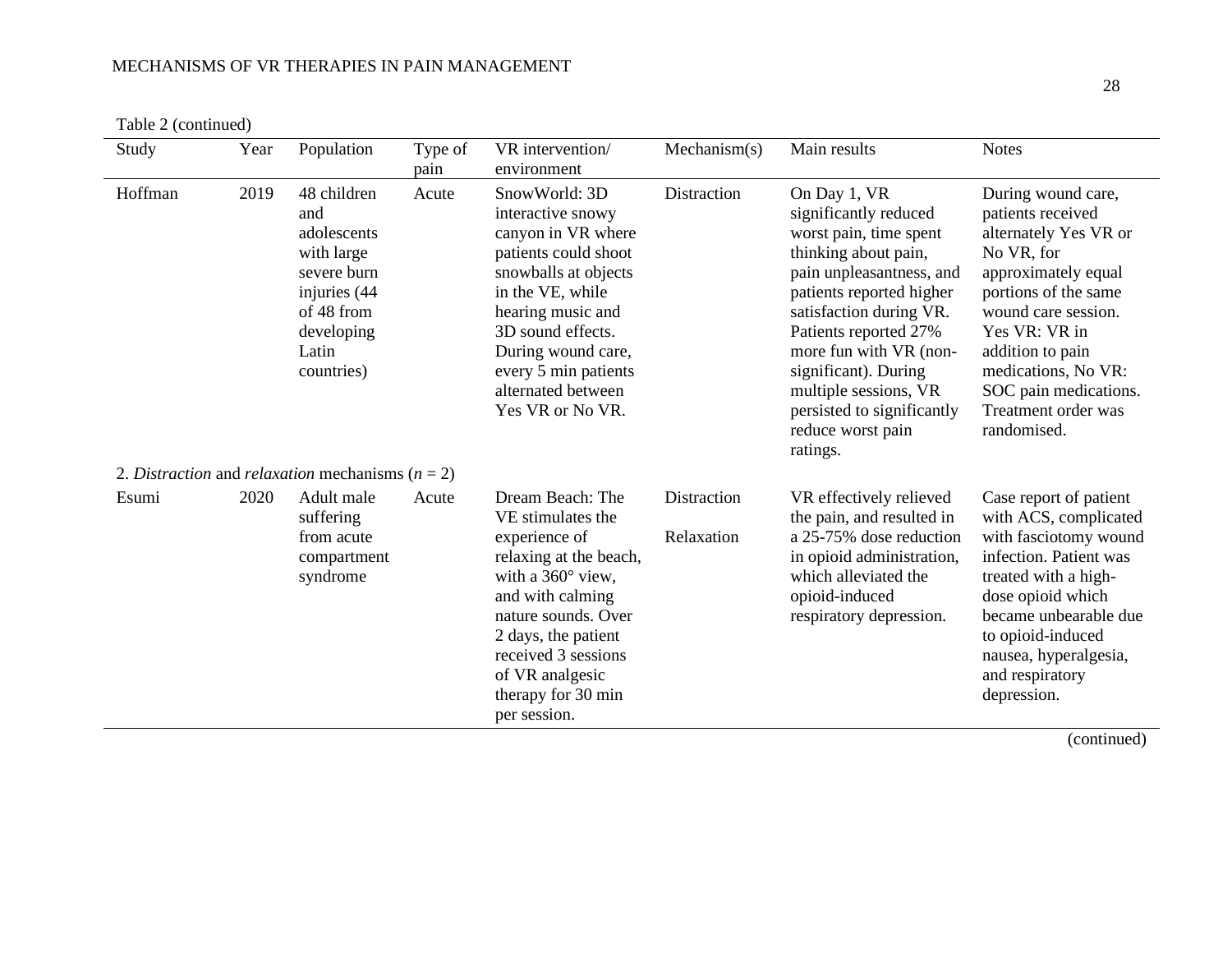| Table 2 (continued) |
|---------------------|
|                     |

| Study   | Year | Population                                                                                                                        | Type of<br>pain | VR intervention/<br>environment                                                                                                                                                                                                                                | Mechanism(s)              | Main results                                                                                                                                                                                                                                                                                                                                  | <b>Notes</b>                                                                                                                                                                                                                                                                    |
|---------|------|-----------------------------------------------------------------------------------------------------------------------------------|-----------------|----------------------------------------------------------------------------------------------------------------------------------------------------------------------------------------------------------------------------------------------------------------|---------------------------|-----------------------------------------------------------------------------------------------------------------------------------------------------------------------------------------------------------------------------------------------------------------------------------------------------------------------------------------------|---------------------------------------------------------------------------------------------------------------------------------------------------------------------------------------------------------------------------------------------------------------------------------|
| Hoffman | 2019 | 48 children<br>and<br>adolescents<br>with large<br>severe burn<br>injuries (44<br>of 48 from<br>developing<br>Latin<br>countries) | Acute           | SnowWorld: 3D<br>interactive snowy<br>canyon in VR where<br>patients could shoot<br>snowballs at objects<br>in the VE, while<br>hearing music and<br>3D sound effects.<br>During wound care,<br>every 5 min patients<br>alternated between<br>Yes VR or No VR. | Distraction               | On Day 1, VR<br>significantly reduced<br>worst pain, time spent<br>thinking about pain,<br>pain unpleasantness, and<br>patients reported higher<br>satisfaction during VR.<br>Patients reported 27%<br>more fun with VR (non-<br>significant). During<br>multiple sessions, VR<br>persisted to significantly<br>reduce worst pain<br>ratings. | During wound care,<br>patients received<br>alternately Yes VR or<br>No VR, for<br>approximately equal<br>portions of the same<br>wound care session.<br>Yes VR: VR in<br>addition to pain<br>medications, No VR:<br>SOC pain medications.<br>Treatment order was<br>randomised. |
|         |      | 2. Distraction and relaxation mechanisms ( $n = 2$ )                                                                              |                 |                                                                                                                                                                                                                                                                |                           |                                                                                                                                                                                                                                                                                                                                               |                                                                                                                                                                                                                                                                                 |
| Esumi   | 2020 | Adult male<br>suffering<br>from acute<br>compartment<br>syndrome                                                                  | Acute           | Dream Beach: The<br>VE stimulates the<br>experience of<br>relaxing at the beach,<br>with a $360^\circ$ view,<br>and with calming<br>nature sounds. Over<br>2 days, the patient<br>received 3 sessions<br>of VR analgesic<br>therapy for 30 min<br>per session. | Distraction<br>Relaxation | VR effectively relieved<br>the pain, and resulted in<br>a 25-75% dose reduction<br>in opioid administration,<br>which alleviated the<br>opioid-induced<br>respiratory depression.                                                                                                                                                             | Case report of patient<br>with ACS, complicated<br>with fasciotomy wound<br>infection. Patient was<br>treated with a high-<br>dose opioid which<br>became unbearable due<br>to opioid-induced<br>nausea, hyperalgesia,<br>and respiratory<br>depression.                        |

28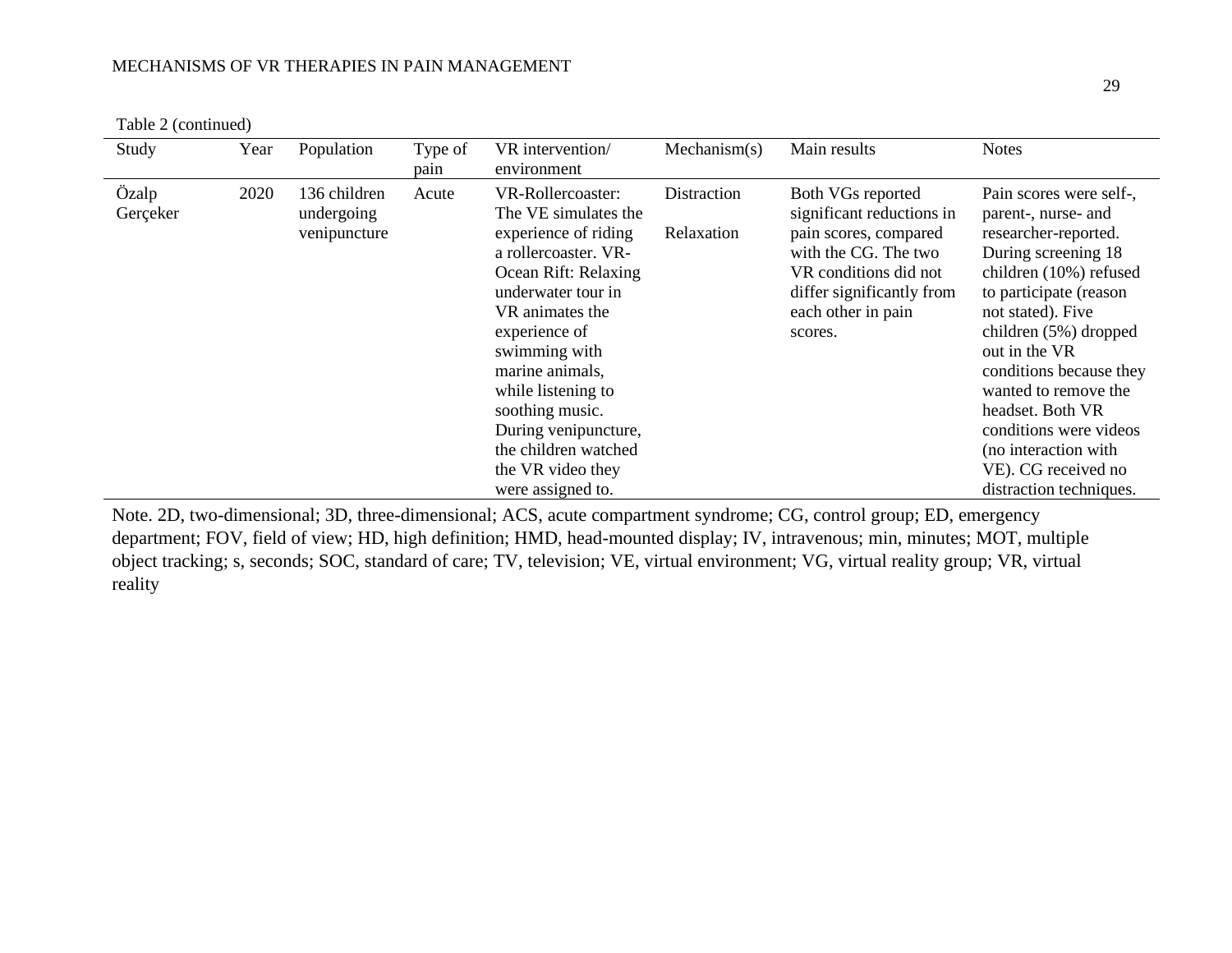|  | Table 2 (continued) |
|--|---------------------|
|--|---------------------|

| Study             | Year | Population                                 | Type of<br>pain | VR intervention/<br>environment                                                                                                                                                                                                                                                                                                                    | Mechanism(s)              | Main results                                                                                                                                                                           | <b>Notes</b>                                                                                                                                                                                                                                                                                                                                                                                |
|-------------------|------|--------------------------------------------|-----------------|----------------------------------------------------------------------------------------------------------------------------------------------------------------------------------------------------------------------------------------------------------------------------------------------------------------------------------------------------|---------------------------|----------------------------------------------------------------------------------------------------------------------------------------------------------------------------------------|---------------------------------------------------------------------------------------------------------------------------------------------------------------------------------------------------------------------------------------------------------------------------------------------------------------------------------------------------------------------------------------------|
| Özalp<br>Gerçeker | 2020 | 136 children<br>undergoing<br>venipuncture | Acute           | VR-Rollercoaster:<br>The VE simulates the<br>experience of riding<br>a rollercoaster. VR-<br>Ocean Rift: Relaxing<br>underwater tour in<br>VR animates the<br>experience of<br>swimming with<br>marine animals,<br>while listening to<br>soothing music.<br>During venipuncture,<br>the children watched<br>the VR video they<br>were assigned to. | Distraction<br>Relaxation | Both VGs reported<br>significant reductions in<br>pain scores, compared<br>with the CG. The two<br>VR conditions did not<br>differ significantly from<br>each other in pain<br>scores. | Pain scores were self-,<br>parent-, nurse- and<br>researcher-reported.<br>During screening 18<br>children (10%) refused<br>to participate (reason<br>not stated). Five<br>children (5%) dropped<br>out in the VR<br>conditions because they<br>wanted to remove the<br>headset. Both VR<br>conditions were videos<br>(no interaction with<br>VE). CG received no<br>distraction techniques. |

Note. 2D, two-dimensional; 3D, three-dimensional; ACS, acute compartment syndrome; CG, control group; ED, emergency department; FOV, field of view; HD, high definition; HMD, head-mounted display; IV, intravenous; min, minutes; MOT, multiple object tracking; s, seconds; SOC, standard of care; TV, television; VE, virtual environment; VG, virtual reality group; VR, virtual reality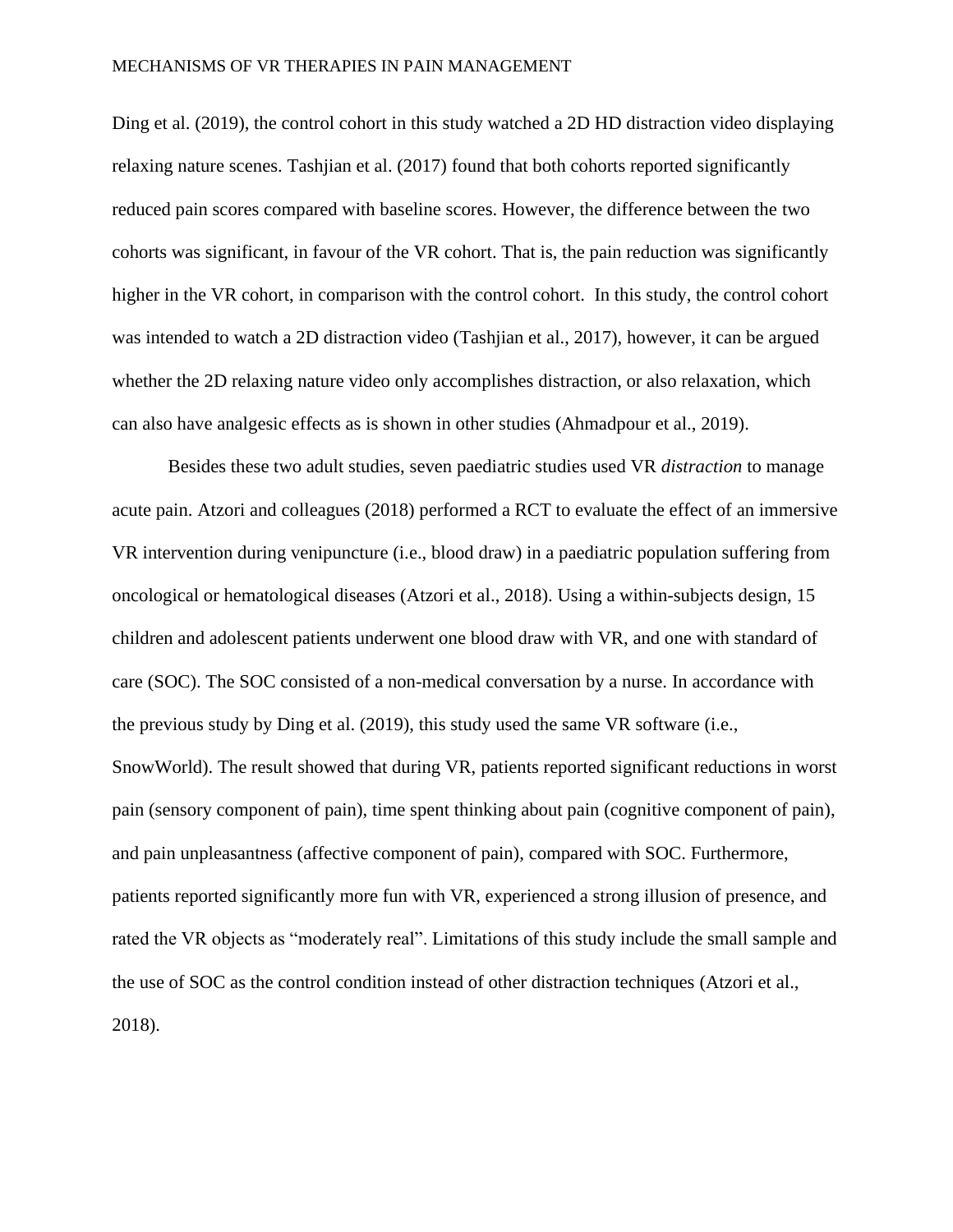Ding et al. (2019), the control cohort in this study watched a 2D HD distraction video displaying relaxing nature scenes. Tashjian et al. (2017) found that both cohorts reported significantly reduced pain scores compared with baseline scores. However, the difference between the two cohorts was significant, in favour of the VR cohort. That is, the pain reduction was significantly higher in the VR cohort, in comparison with the control cohort. In this study, the control cohort was intended to watch a 2D distraction video (Tashjian et al., 2017), however, it can be argued whether the 2D relaxing nature video only accomplishes distraction, or also relaxation, which can also have analgesic effects as is shown in other studies (Ahmadpour et al., 2019).

Besides these two adult studies, seven paediatric studies used VR *distraction* to manage acute pain. Atzori and colleagues (2018) performed a RCT to evaluate the effect of an immersive VR intervention during venipuncture (i.e., blood draw) in a paediatric population suffering from oncological or hematological diseases (Atzori et al., 2018). Using a within-subjects design, 15 children and adolescent patients underwent one blood draw with VR, and one with standard of care (SOC). The SOC consisted of a non-medical conversation by a nurse. In accordance with the previous study by Ding et al. (2019), this study used the same VR software (i.e., SnowWorld). The result showed that during VR, patients reported significant reductions in worst pain (sensory component of pain), time spent thinking about pain (cognitive component of pain), and pain unpleasantness (affective component of pain), compared with SOC. Furthermore, patients reported significantly more fun with VR, experienced a strong illusion of presence, and rated the VR objects as "moderately real". Limitations of this study include the small sample and the use of SOC as the control condition instead of other distraction techniques (Atzori et al., 2018).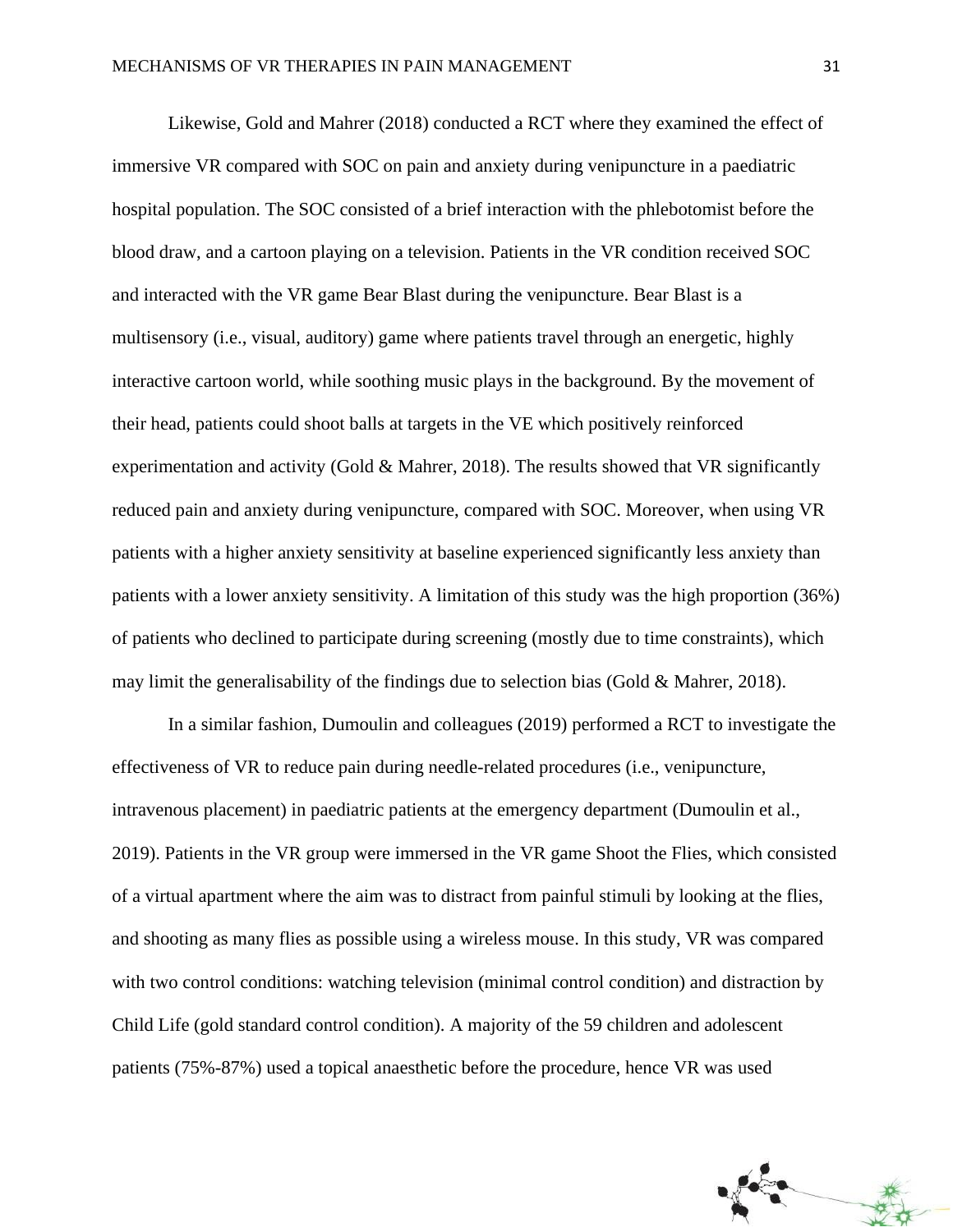Likewise, Gold and Mahrer (2018) conducted a RCT where they examined the effect of immersive VR compared with SOC on pain and anxiety during venipuncture in a paediatric hospital population. The SOC consisted of a brief interaction with the phlebotomist before the blood draw, and a cartoon playing on a television. Patients in the VR condition received SOC and interacted with the VR game Bear Blast during the venipuncture. Bear Blast is a multisensory (i.e., visual, auditory) game where patients travel through an energetic, highly interactive cartoon world, while soothing music plays in the background. By the movement of their head, patients could shoot balls at targets in the VE which positively reinforced experimentation and activity (Gold & Mahrer, 2018). The results showed that VR significantly reduced pain and anxiety during venipuncture, compared with SOC. Moreover, when using VR patients with a higher anxiety sensitivity at baseline experienced significantly less anxiety than patients with a lower anxiety sensitivity. A limitation of this study was the high proportion (36%) of patients who declined to participate during screening (mostly due to time constraints), which may limit the generalisability of the findings due to selection bias (Gold & Mahrer, 2018).

In a similar fashion, Dumoulin and colleagues (2019) performed a RCT to investigate the effectiveness of VR to reduce pain during needle-related procedures (i.e., venipuncture, intravenous placement) in paediatric patients at the emergency department (Dumoulin et al., 2019). Patients in the VR group were immersed in the VR game Shoot the Flies, which consisted of a virtual apartment where the aim was to distract from painful stimuli by looking at the flies, and shooting as many flies as possible using a wireless mouse. In this study, VR was compared with two control conditions: watching television (minimal control condition) and distraction by Child Life (gold standard control condition). A majority of the 59 children and adolescent patients (75%-87%) used a topical anaesthetic before the procedure, hence VR was used

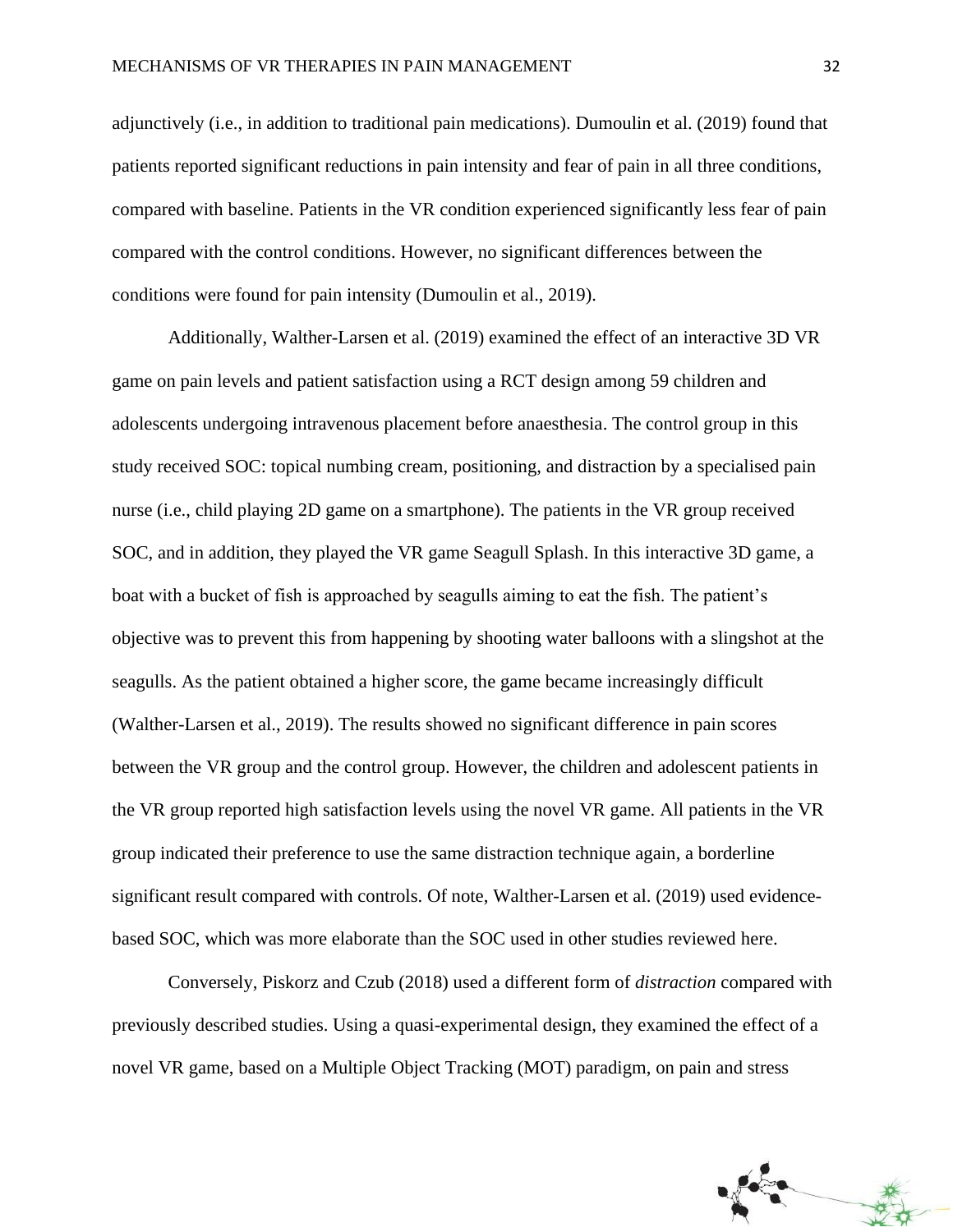adjunctively (i.e., in addition to traditional pain medications). Dumoulin et al. (2019) found that patients reported significant reductions in pain intensity and fear of pain in all three conditions, compared with baseline. Patients in the VR condition experienced significantly less fear of pain compared with the control conditions. However, no significant differences between the conditions were found for pain intensity (Dumoulin et al., 2019).

Additionally, Walther-Larsen et al. (2019) examined the effect of an interactive 3D VR game on pain levels and patient satisfaction using a RCT design among 59 children and adolescents undergoing intravenous placement before anaesthesia. The control group in this study received SOC: topical numbing cream, positioning, and distraction by a specialised pain nurse (i.e., child playing 2D game on a smartphone). The patients in the VR group received SOC, and in addition, they played the VR game Seagull Splash. In this interactive 3D game, a boat with a bucket of fish is approached by seagulls aiming to eat the fish. The patient's objective was to prevent this from happening by shooting water balloons with a slingshot at the seagulls. As the patient obtained a higher score, the game became increasingly difficult (Walther-Larsen et al., 2019). The results showed no significant difference in pain scores between the VR group and the control group. However, the children and adolescent patients in the VR group reported high satisfaction levels using the novel VR game. All patients in the VR group indicated their preference to use the same distraction technique again, a borderline significant result compared with controls. Of note, Walther-Larsen et al. (2019) used evidencebased SOC, which was more elaborate than the SOC used in other studies reviewed here.

Conversely, Piskorz and Czub (2018) used a different form of *distraction* compared with previously described studies. Using a quasi-experimental design, they examined the effect of a novel VR game, based on a Multiple Object Tracking (MOT) paradigm, on pain and stress

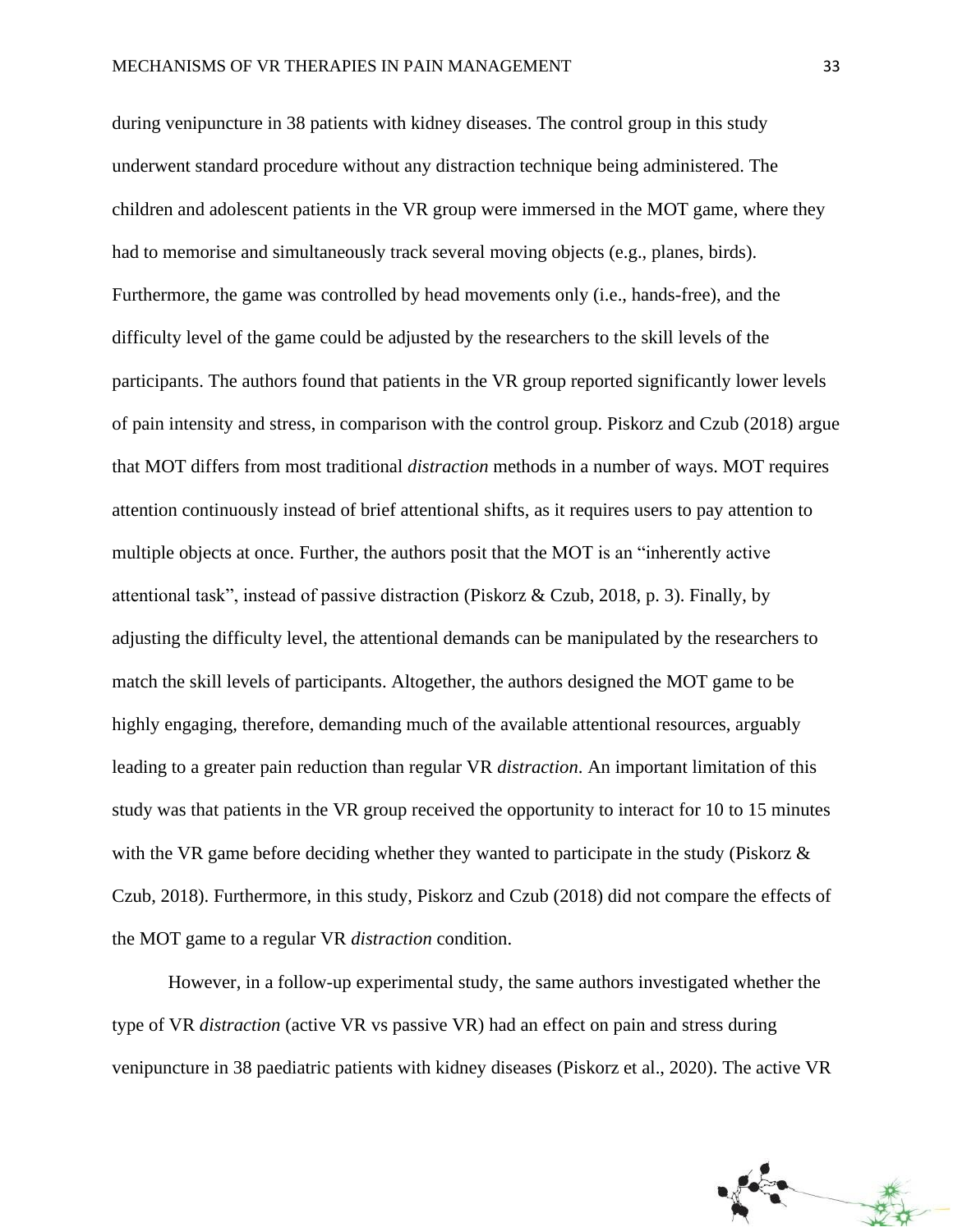during venipuncture in 38 patients with kidney diseases. The control group in this study underwent standard procedure without any distraction technique being administered. The children and adolescent patients in the VR group were immersed in the MOT game, where they had to memorise and simultaneously track several moving objects (e.g., planes, birds). Furthermore, the game was controlled by head movements only (i.e., hands-free), and the difficulty level of the game could be adjusted by the researchers to the skill levels of the participants. The authors found that patients in the VR group reported significantly lower levels of pain intensity and stress, in comparison with the control group. Piskorz and Czub (2018) argue that MOT differs from most traditional *distraction* methods in a number of ways. MOT requires attention continuously instead of brief attentional shifts, as it requires users to pay attention to multiple objects at once. Further, the authors posit that the MOT is an "inherently active attentional task", instead of passive distraction (Piskorz & Czub, 2018, p. 3). Finally, by adjusting the difficulty level, the attentional demands can be manipulated by the researchers to match the skill levels of participants. Altogether, the authors designed the MOT game to be highly engaging, therefore, demanding much of the available attentional resources, arguably leading to a greater pain reduction than regular VR *distraction*. An important limitation of this study was that patients in the VR group received the opportunity to interact for 10 to 15 minutes with the VR game before deciding whether they wanted to participate in the study (Piskorz  $\&$ Czub, 2018). Furthermore, in this study, Piskorz and Czub (2018) did not compare the effects of the MOT game to a regular VR *distraction* condition.

However, in a follow-up experimental study, the same authors investigated whether the type of VR *distraction* (active VR vs passive VR) had an effect on pain and stress during venipuncture in 38 paediatric patients with kidney diseases (Piskorz et al., 2020). The active VR

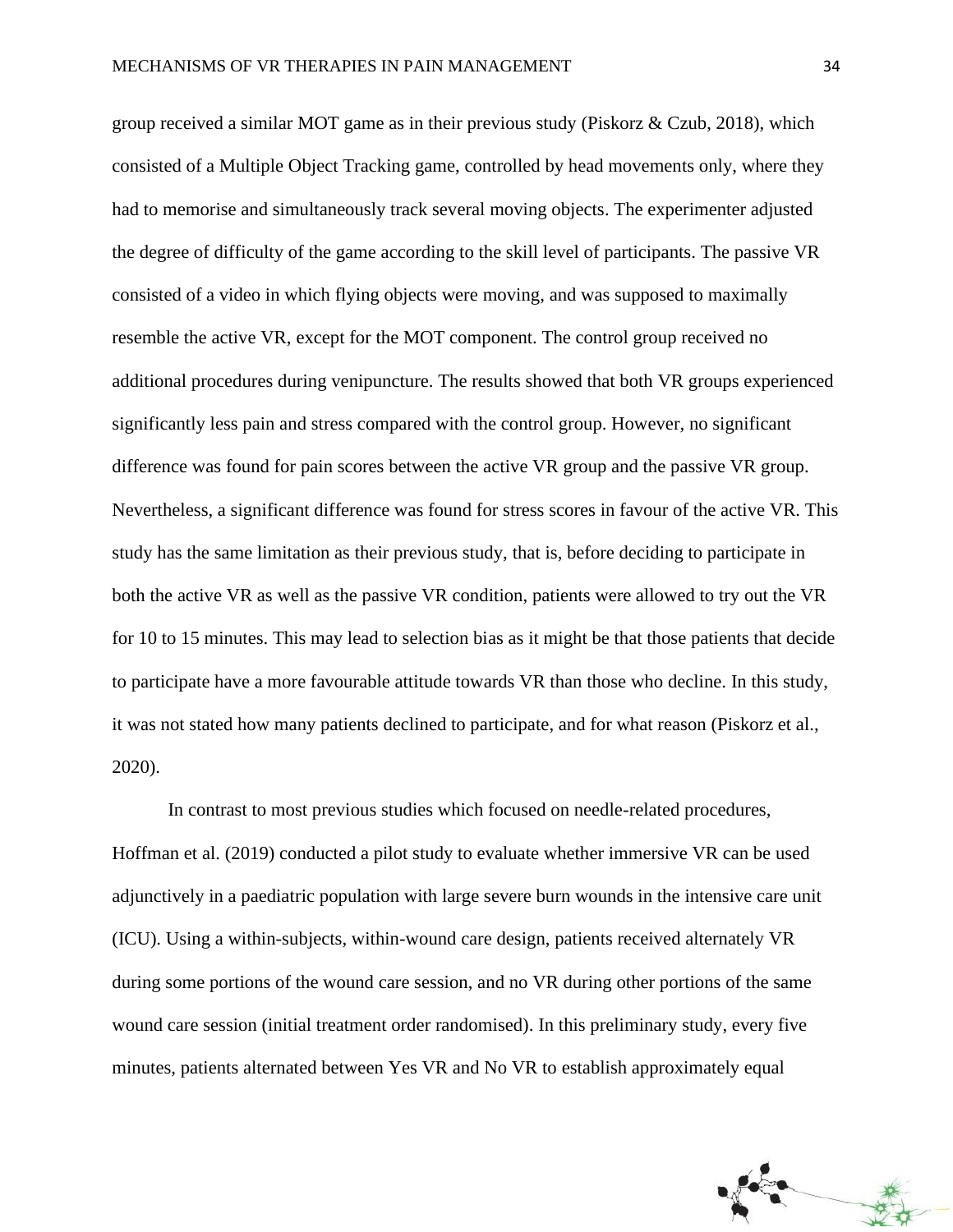group received a similar MOT game as in their previous study (Piskorz & Czub, 2018), which consisted of a Multiple Object Tracking game, controlled by head movements only, where they had to memorise and simultaneously track several moving objects. The experimenter adjusted the degree of difficulty of the game according to the skill level of participants. The passive VR consisted of a video in which flying objects were moving, and was supposed to maximally resemble the active VR, except for the MOT component. The control group received no additional procedures during venipuncture. The results showed that both VR groups experienced significantly less pain and stress compared with the control group. However, no significant difference was found for pain scores between the active VR group and the passive VR group. Nevertheless, a significant difference was found for stress scores in favour of the active VR. This study has the same limitation as their previous study, that is, before deciding to participate in both the active VR as well as the passive VR condition, patients were allowed to try out the VR for 10 to 15 minutes. This may lead to selection bias as it might be that those patients that decide to participate have a more favourable attitude towards VR than those who decline. In this study, it was not stated how many patients declined to participate, and for what reason (Piskorz et al., 2020).

In contrast to most previous studies which focused on needle-related procedures, Hoffman et al. (2019) conducted a pilot study to evaluate whether immersive VR can be used adjunctively in a paediatric population with large severe burn wounds in the intensive care unit (ICU). Using a within-subjects, within-wound care design, patients received alternately VR during some portions of the wound care session, and no VR during other portions of the same wound care session (initial treatment order randomised). In this preliminary study, every five minutes, patients alternated between Yes VR and No VR to establish approximately equal

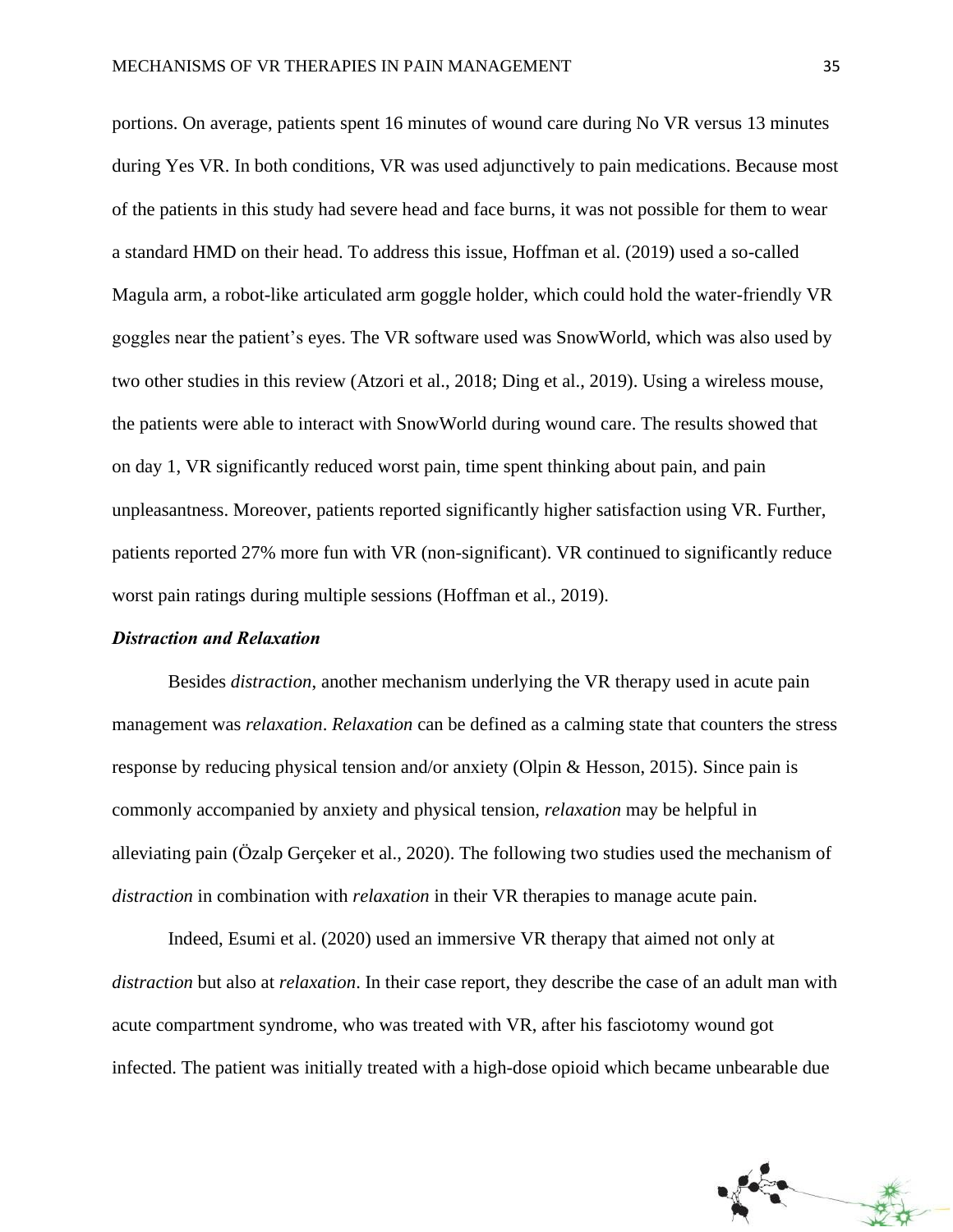portions. On average, patients spent 16 minutes of wound care during No VR versus 13 minutes during Yes VR. In both conditions, VR was used adjunctively to pain medications. Because most of the patients in this study had severe head and face burns, it was not possible for them to wear a standard HMD on their head. To address this issue, Hoffman et al. (2019) used a so-called Magula arm, a robot-like articulated arm goggle holder, which could hold the water-friendly VR goggles near the patient's eyes. The VR software used was SnowWorld, which was also used by two other studies in this review (Atzori et al., 2018; Ding et al., 2019). Using a wireless mouse, the patients were able to interact with SnowWorld during wound care. The results showed that on day 1, VR significantly reduced worst pain, time spent thinking about pain, and pain unpleasantness. Moreover, patients reported significantly higher satisfaction using VR. Further, patients reported 27% more fun with VR (non-significant). VR continued to significantly reduce worst pain ratings during multiple sessions (Hoffman et al., 2019).

### *Distraction and Relaxation*

Besides *distraction*, another mechanism underlying the VR therapy used in acute pain management was *relaxation*. *Relaxation* can be defined as a calming state that counters the stress response by reducing physical tension and/or anxiety (Olpin & Hesson, 2015). Since pain is commonly accompanied by anxiety and physical tension, *relaxation* may be helpful in alleviating pain (Özalp Gerçeker et al., 2020). The following two studies used the mechanism of *distraction* in combination with *relaxation* in their VR therapies to manage acute pain.

Indeed, Esumi et al. (2020) used an immersive VR therapy that aimed not only at *distraction* but also at *relaxation*. In their case report, they describe the case of an adult man with acute compartment syndrome, who was treated with VR, after his fasciotomy wound got infected. The patient was initially treated with a high-dose opioid which became unbearable due

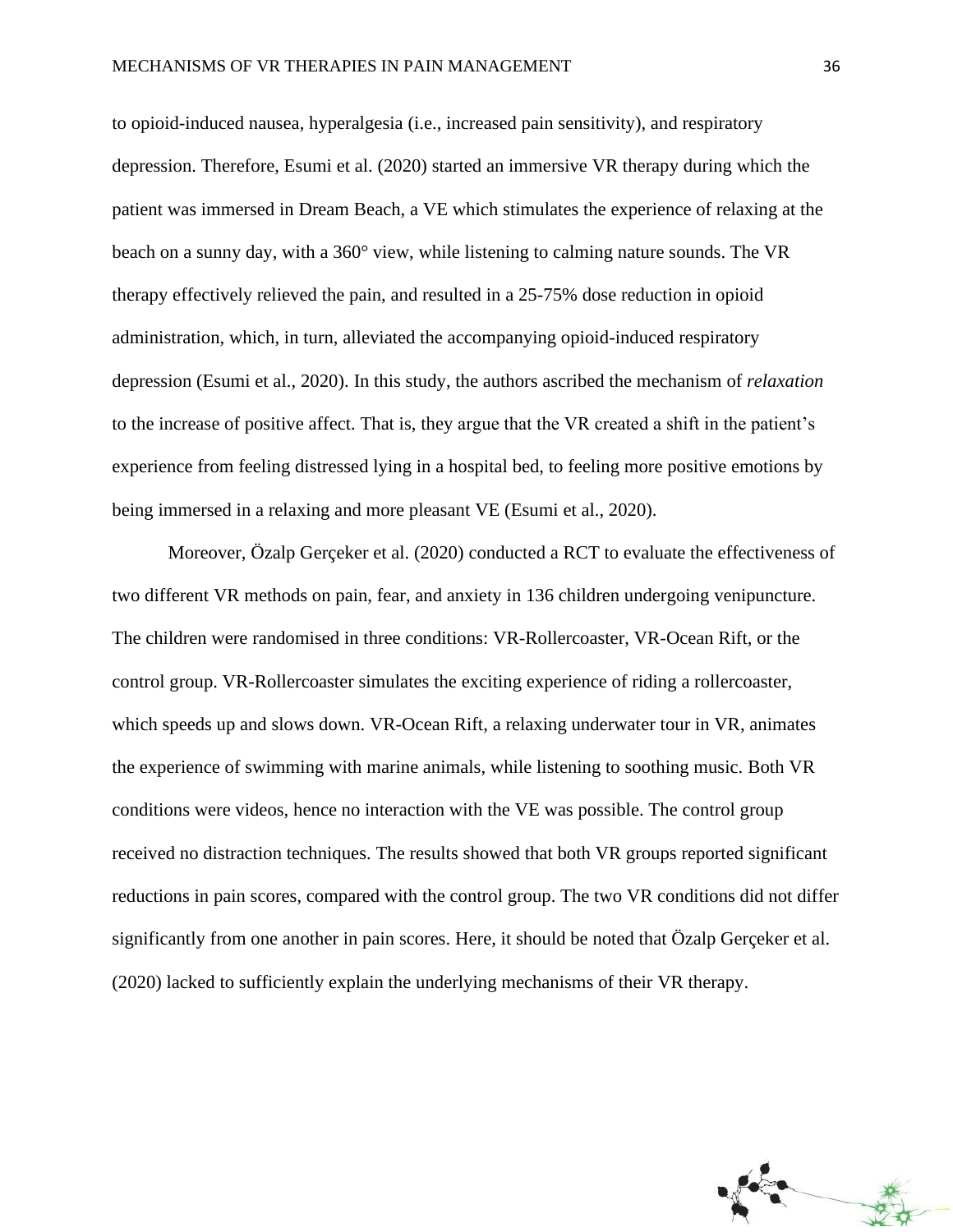to opioid-induced nausea, hyperalgesia (i.e., increased pain sensitivity), and respiratory depression. Therefore, Esumi et al. (2020) started an immersive VR therapy during which the patient was immersed in Dream Beach, a VE which stimulates the experience of relaxing at the beach on a sunny day, with a 360° view, while listening to calming nature sounds. The VR therapy effectively relieved the pain, and resulted in a 25-75% dose reduction in opioid administration, which, in turn, alleviated the accompanying opioid-induced respiratory depression (Esumi et al., 2020). In this study, the authors ascribed the mechanism of *relaxation* to the increase of positive affect. That is, they argue that the VR created a shift in the patient's experience from feeling distressed lying in a hospital bed, to feeling more positive emotions by being immersed in a relaxing and more pleasant VE (Esumi et al., 2020).

Moreover, Özalp Gerçeker et al. (2020) conducted a RCT to evaluate the effectiveness of two different VR methods on pain, fear, and anxiety in 136 children undergoing venipuncture. The children were randomised in three conditions: VR-Rollercoaster, VR-Ocean Rift, or the control group. VR-Rollercoaster simulates the exciting experience of riding a rollercoaster, which speeds up and slows down. VR-Ocean Rift, a relaxing underwater tour in VR, animates the experience of swimming with marine animals, while listening to soothing music. Both VR conditions were videos, hence no interaction with the VE was possible. The control group received no distraction techniques. The results showed that both VR groups reported significant reductions in pain scores, compared with the control group. The two VR conditions did not differ significantly from one another in pain scores. Here, it should be noted that Özalp Gerçeker et al. (2020) lacked to sufficiently explain the underlying mechanisms of their VR therapy.

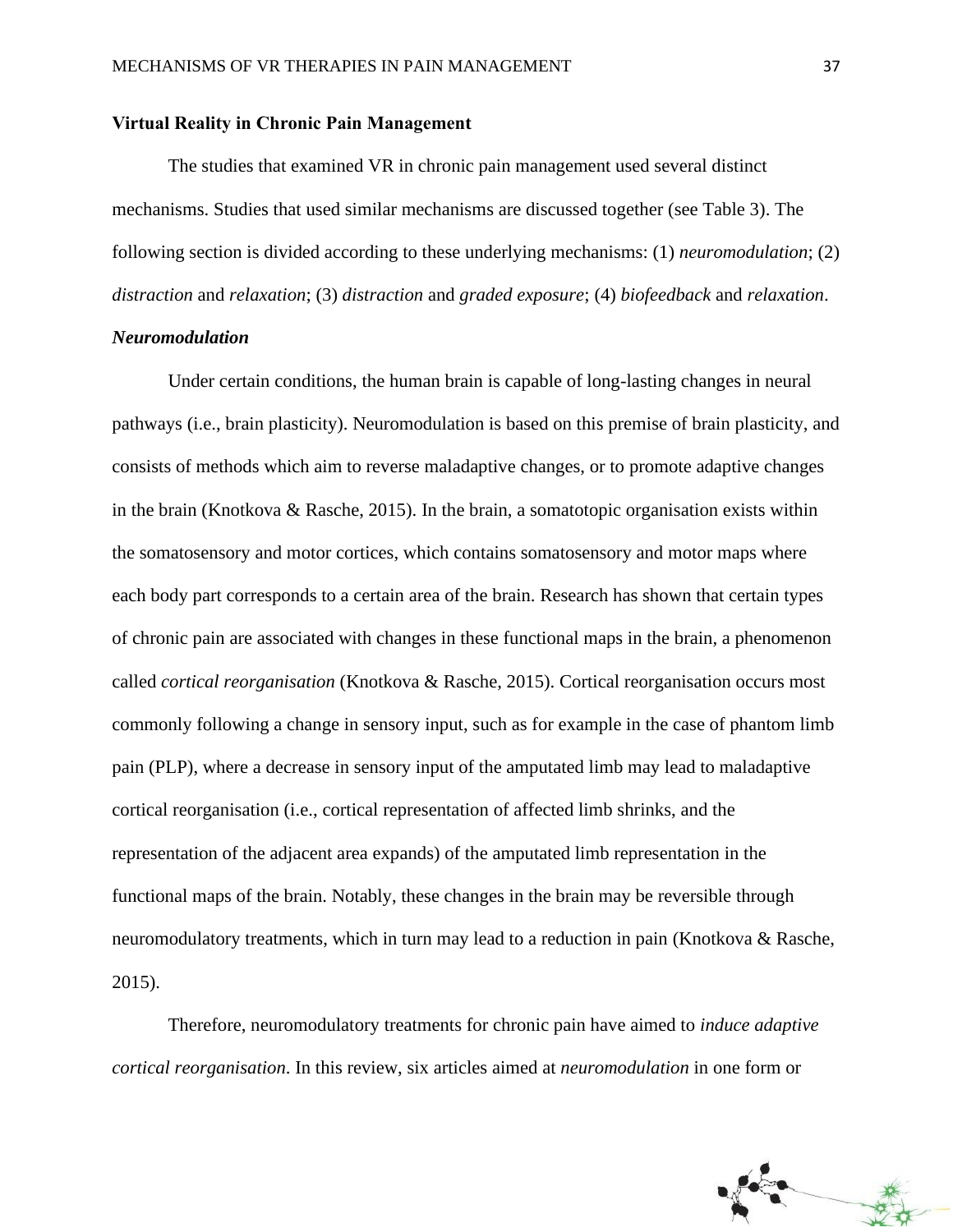### **Virtual Reality in Chronic Pain Management**

The studies that examined VR in chronic pain management used several distinct mechanisms. Studies that used similar mechanisms are discussed together (see Table 3). The following section is divided according to these underlying mechanisms: (1) *neuromodulation*; (2) *distraction* and *relaxation*; (3) *distraction* and *graded exposure*; (4) *biofeedback* and *relaxation*.

### *Neuromodulation*

Under certain conditions, the human brain is capable of long-lasting changes in neural pathways (i.e., brain plasticity). Neuromodulation is based on this premise of brain plasticity, and consists of methods which aim to reverse maladaptive changes, or to promote adaptive changes in the brain (Knotkova & Rasche, 2015). In the brain, a somatotopic organisation exists within the somatosensory and motor cortices, which contains somatosensory and motor maps where each body part corresponds to a certain area of the brain. Research has shown that certain types of chronic pain are associated with changes in these functional maps in the brain, a phenomenon called *cortical reorganisation* (Knotkova & Rasche, 2015). Cortical reorganisation occurs most commonly following a change in sensory input, such as for example in the case of phantom limb pain (PLP), where a decrease in sensory input of the amputated limb may lead to maladaptive cortical reorganisation (i.e., cortical representation of affected limb shrinks, and the representation of the adjacent area expands) of the amputated limb representation in the functional maps of the brain. Notably, these changes in the brain may be reversible through neuromodulatory treatments, which in turn may lead to a reduction in pain (Knotkova & Rasche, 2015).

Therefore, neuromodulatory treatments for chronic pain have aimed to *induce adaptive cortical reorganisation*. In this review, six articles aimed at *neuromodulation* in one form or

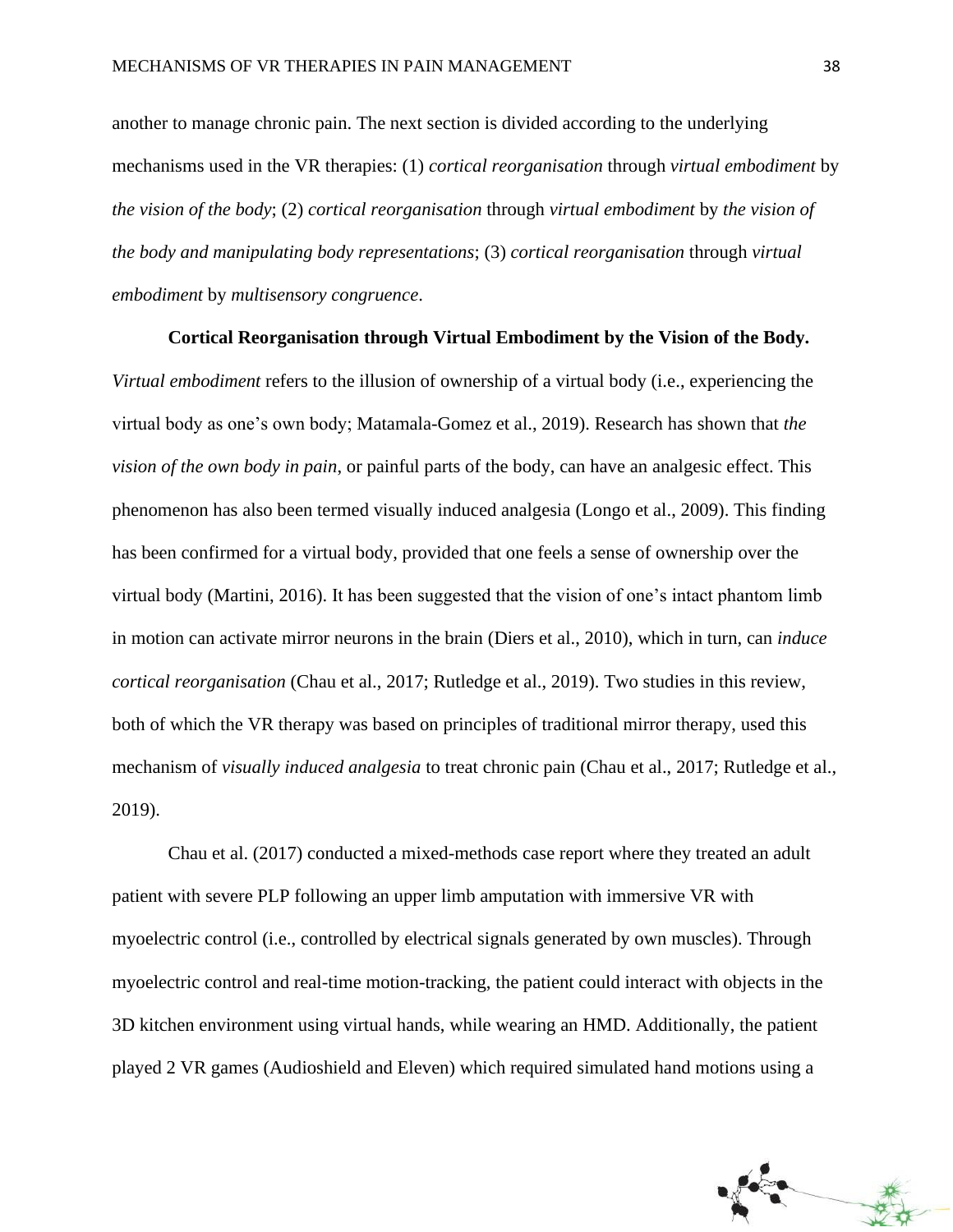another to manage chronic pain. The next section is divided according to the underlying mechanisms used in the VR therapies: (1) *cortical reorganisation* through *virtual embodiment* by *the vision of the body*; (2) *cortical reorganisation* through *virtual embodiment* by *the vision of the body and manipulating body representations*; (3) *cortical reorganisation* through *virtual embodiment* by *multisensory congruence*.

### **Cortical Reorganisation through Virtual Embodiment by the Vision of the Body.**

*Virtual embodiment* refers to the illusion of ownership of a virtual body (i.e., experiencing the virtual body as one's own body; Matamala-Gomez et al., 2019). Research has shown that *the vision of the own body in pain*, or painful parts of the body, can have an analgesic effect. This phenomenon has also been termed visually induced analgesia (Longo et al., 2009). This finding has been confirmed for a virtual body, provided that one feels a sense of ownership over the virtual body (Martini, 2016). It has been suggested that the vision of one's intact phantom limb in motion can activate mirror neurons in the brain (Diers et al., 2010), which in turn, can *induce cortical reorganisation* (Chau et al., 2017; Rutledge et al., 2019). Two studies in this review, both of which the VR therapy was based on principles of traditional mirror therapy, used this mechanism of *visually induced analgesia* to treat chronic pain (Chau et al., 2017; Rutledge et al., 2019).

Chau et al. (2017) conducted a mixed-methods case report where they treated an adult patient with severe PLP following an upper limb amputation with immersive VR with myoelectric control (i.e., controlled by electrical signals generated by own muscles). Through myoelectric control and real-time motion-tracking, the patient could interact with objects in the 3D kitchen environment using virtual hands, while wearing an HMD. Additionally, the patient played 2 VR games (Audioshield and Eleven) which required simulated hand motions using a

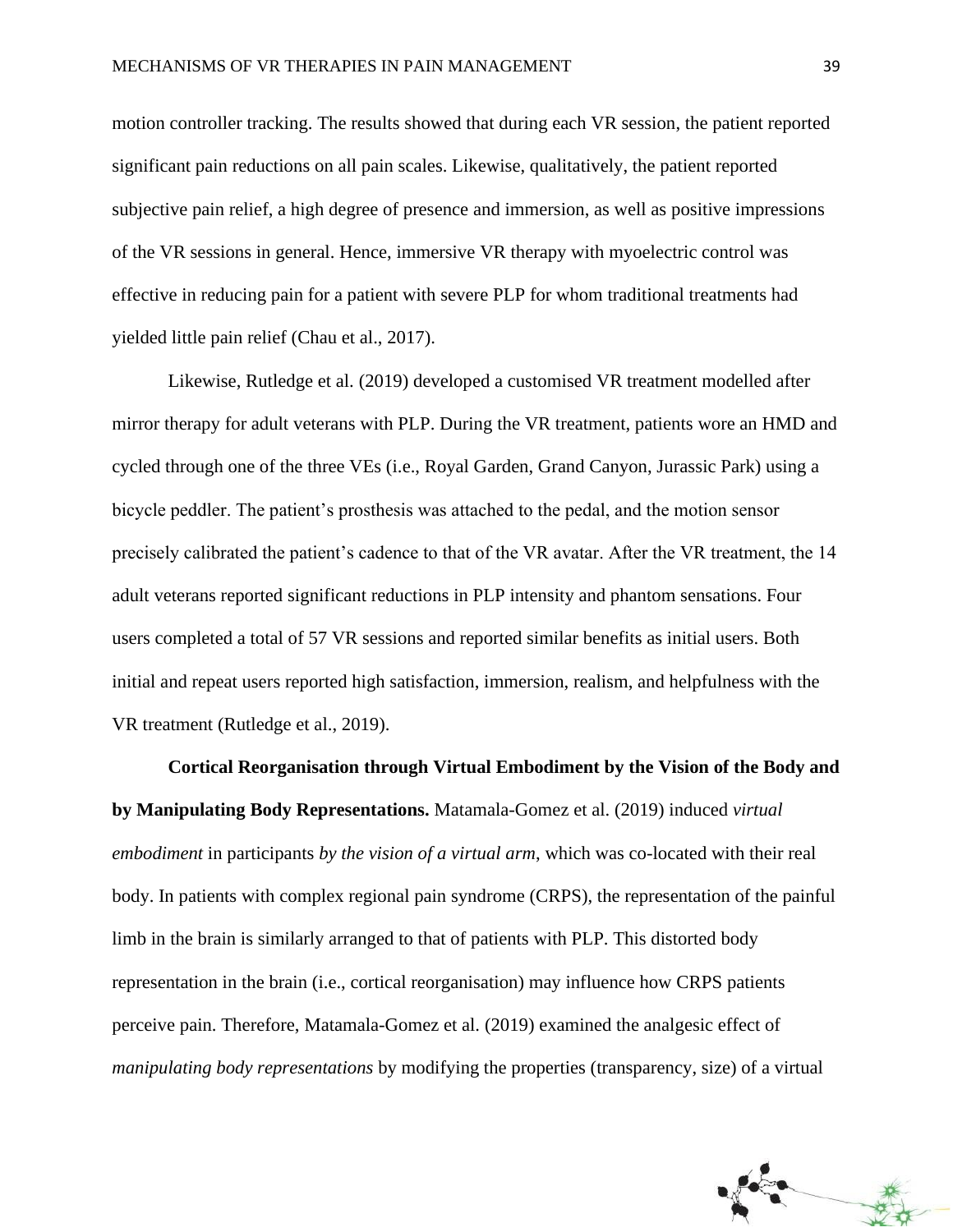motion controller tracking. The results showed that during each VR session, the patient reported significant pain reductions on all pain scales. Likewise, qualitatively, the patient reported subjective pain relief, a high degree of presence and immersion, as well as positive impressions of the VR sessions in general. Hence, immersive VR therapy with myoelectric control was effective in reducing pain for a patient with severe PLP for whom traditional treatments had yielded little pain relief (Chau et al., 2017).

Likewise, Rutledge et al. (2019) developed a customised VR treatment modelled after mirror therapy for adult veterans with PLP. During the VR treatment, patients wore an HMD and cycled through one of the three VEs (i.e., Royal Garden, Grand Canyon, Jurassic Park) using a bicycle peddler. The patient's prosthesis was attached to the pedal, and the motion sensor precisely calibrated the patient's cadence to that of the VR avatar. After the VR treatment, the 14 adult veterans reported significant reductions in PLP intensity and phantom sensations. Four users completed a total of 57 VR sessions and reported similar benefits as initial users. Both initial and repeat users reported high satisfaction, immersion, realism, and helpfulness with the VR treatment (Rutledge et al., 2019).

**Cortical Reorganisation through Virtual Embodiment by the Vision of the Body and by Manipulating Body Representations.** Matamala-Gomez et al. (2019) induced *virtual embodiment* in participants *by the vision of a virtual arm*, which was co-located with their real body. In patients with complex regional pain syndrome (CRPS), the representation of the painful limb in the brain is similarly arranged to that of patients with PLP. This distorted body representation in the brain (i.e., cortical reorganisation) may influence how CRPS patients perceive pain. Therefore, Matamala-Gomez et al. (2019) examined the analgesic effect of *manipulating body representations* by modifying the properties (transparency, size) of a virtual

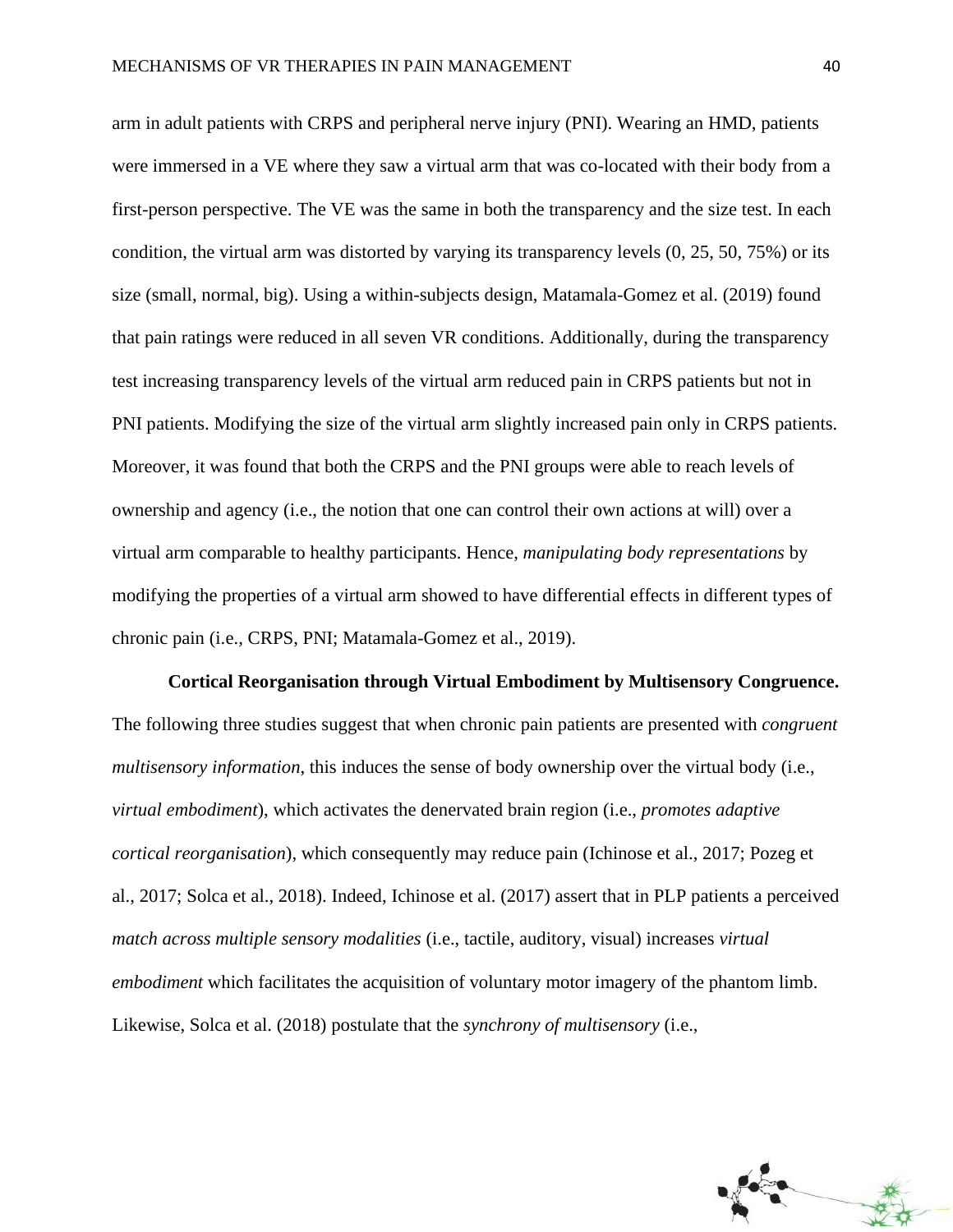arm in adult patients with CRPS and peripheral nerve injury (PNI). Wearing an HMD, patients were immersed in a VE where they saw a virtual arm that was co-located with their body from a first-person perspective. The VE was the same in both the transparency and the size test. In each condition, the virtual arm was distorted by varying its transparency levels (0, 25, 50, 75%) or its size (small, normal, big). Using a within-subjects design, Matamala-Gomez et al. (2019) found that pain ratings were reduced in all seven VR conditions. Additionally, during the transparency test increasing transparency levels of the virtual arm reduced pain in CRPS patients but not in PNI patients. Modifying the size of the virtual arm slightly increased pain only in CRPS patients. Moreover, it was found that both the CRPS and the PNI groups were able to reach levels of ownership and agency (i.e., the notion that one can control their own actions at will) over a virtual arm comparable to healthy participants. Hence, *manipulating body representations* by modifying the properties of a virtual arm showed to have differential effects in different types of chronic pain (i.e., CRPS, PNI; Matamala-Gomez et al., 2019).

**Cortical Reorganisation through Virtual Embodiment by Multisensory Congruence.** The following three studies suggest that when chronic pain patients are presented with *congruent multisensory information*, this induces the sense of body ownership over the virtual body (i.e., *virtual embodiment*), which activates the denervated brain region (i.e., *promotes adaptive cortical reorganisation*), which consequently may reduce pain (Ichinose et al., 2017; Pozeg et al., 2017; Solca et al., 2018). Indeed, Ichinose et al. (2017) assert that in PLP patients a perceived *match across multiple sensory modalities* (i.e., tactile, auditory, visual) increases *virtual embodiment* which facilitates the acquisition of voluntary motor imagery of the phantom limb. Likewise, Solca et al. (2018) postulate that the *synchrony of multisensory* (i.e.,

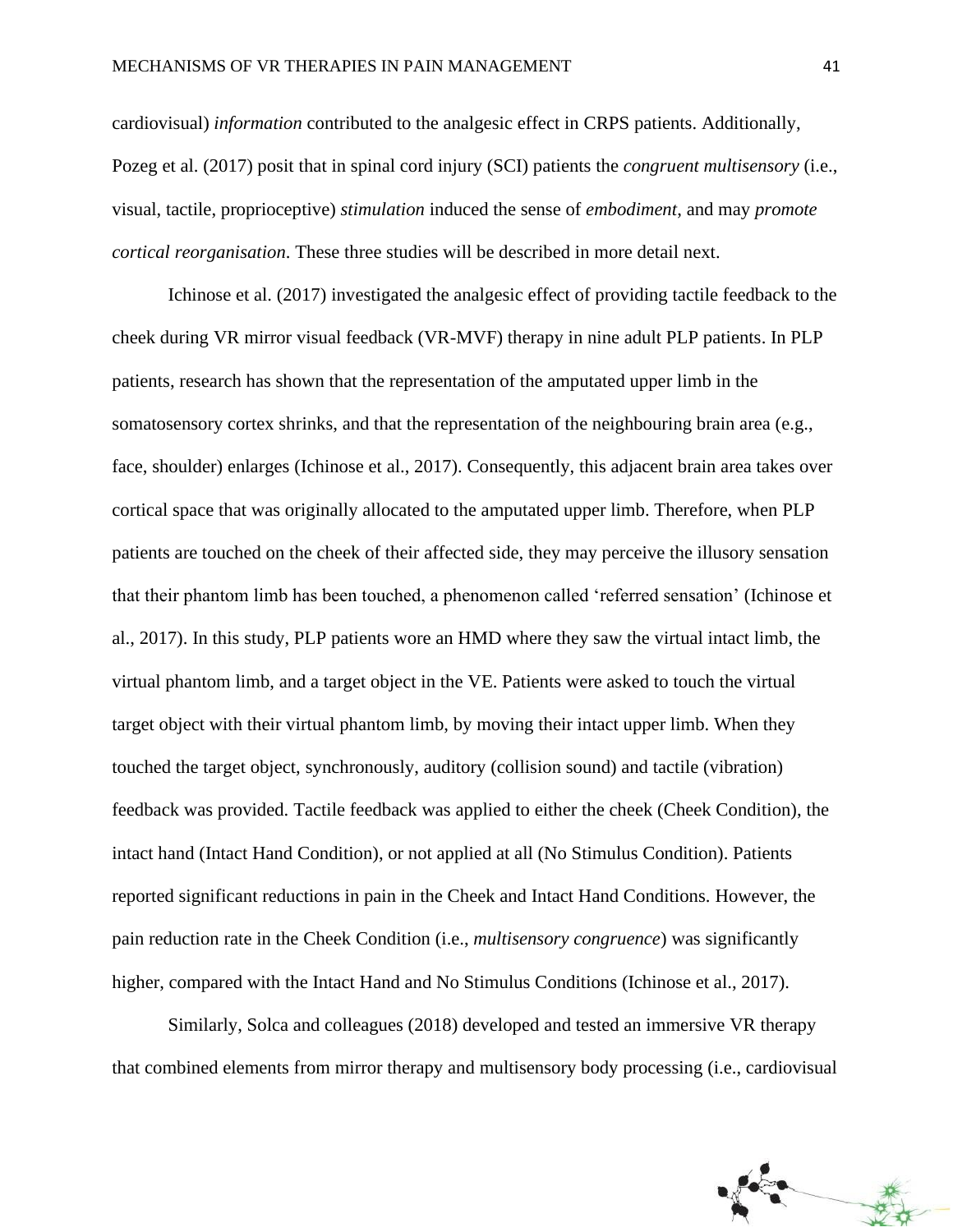cardiovisual) *information* contributed to the analgesic effect in CRPS patients. Additionally, Pozeg et al. (2017) posit that in spinal cord injury (SCI) patients the *congruent multisensory* (i.e., visual, tactile, proprioceptive) *stimulation* induced the sense of *embodiment*, and may *promote cortical reorganisation*. These three studies will be described in more detail next.

Ichinose et al. (2017) investigated the analgesic effect of providing tactile feedback to the cheek during VR mirror visual feedback (VR-MVF) therapy in nine adult PLP patients. In PLP patients, research has shown that the representation of the amputated upper limb in the somatosensory cortex shrinks, and that the representation of the neighbouring brain area (e.g., face, shoulder) enlarges (Ichinose et al., 2017). Consequently, this adjacent brain area takes over cortical space that was originally allocated to the amputated upper limb. Therefore, when PLP patients are touched on the cheek of their affected side, they may perceive the illusory sensation that their phantom limb has been touched, a phenomenon called 'referred sensation' (Ichinose et al., 2017). In this study, PLP patients wore an HMD where they saw the virtual intact limb, the virtual phantom limb, and a target object in the VE. Patients were asked to touch the virtual target object with their virtual phantom limb, by moving their intact upper limb. When they touched the target object, synchronously, auditory (collision sound) and tactile (vibration) feedback was provided. Tactile feedback was applied to either the cheek (Cheek Condition), the intact hand (Intact Hand Condition), or not applied at all (No Stimulus Condition). Patients reported significant reductions in pain in the Cheek and Intact Hand Conditions. However, the pain reduction rate in the Cheek Condition (i.e., *multisensory congruence*) was significantly higher, compared with the Intact Hand and No Stimulus Conditions (Ichinose et al., 2017).

Similarly, Solca and colleagues (2018) developed and tested an immersive VR therapy that combined elements from mirror therapy and multisensory body processing (i.e., cardiovisual

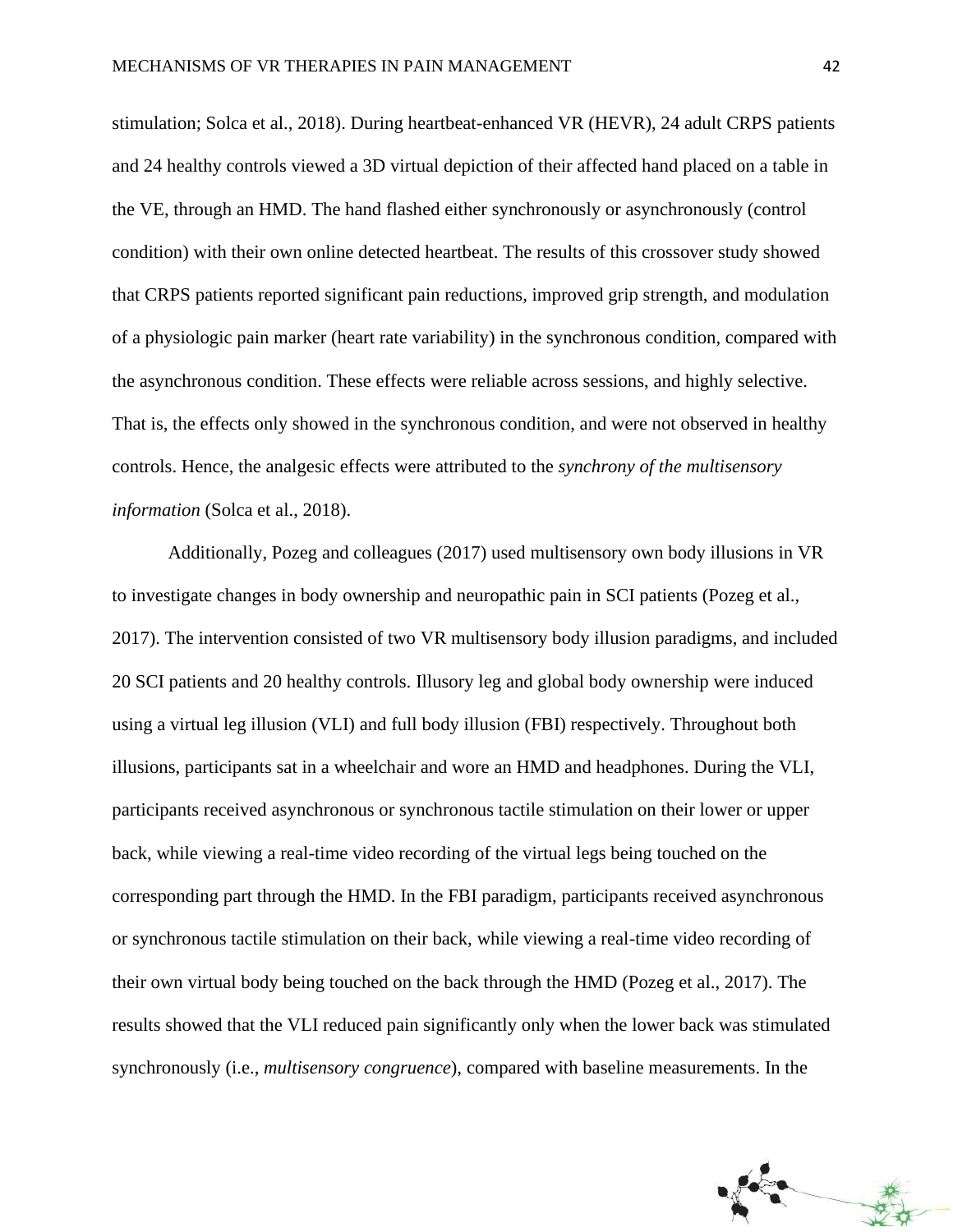stimulation; Solca et al., 2018). During heartbeat-enhanced VR (HEVR), 24 adult CRPS patients and 24 healthy controls viewed a 3D virtual depiction of their affected hand placed on a table in the VE, through an HMD. The hand flashed either synchronously or asynchronously (control condition) with their own online detected heartbeat. The results of this crossover study showed that CRPS patients reported significant pain reductions, improved grip strength, and modulation of a physiologic pain marker (heart rate variability) in the synchronous condition, compared with the asynchronous condition. These effects were reliable across sessions, and highly selective. That is, the effects only showed in the synchronous condition, and were not observed in healthy controls. Hence, the analgesic effects were attributed to the *synchrony of the multisensory information* (Solca et al., 2018).

Additionally, Pozeg and colleagues (2017) used multisensory own body illusions in VR to investigate changes in body ownership and neuropathic pain in SCI patients (Pozeg et al., 2017). The intervention consisted of two VR multisensory body illusion paradigms, and included 20 SCI patients and 20 healthy controls. Illusory leg and global body ownership were induced using a virtual leg illusion (VLI) and full body illusion (FBI) respectively. Throughout both illusions, participants sat in a wheelchair and wore an HMD and headphones. During the VLI, participants received asynchronous or synchronous tactile stimulation on their lower or upper back, while viewing a real-time video recording of the virtual legs being touched on the corresponding part through the HMD. In the FBI paradigm, participants received asynchronous or synchronous tactile stimulation on their back, while viewing a real-time video recording of their own virtual body being touched on the back through the HMD (Pozeg et al., 2017). The results showed that the VLI reduced pain significantly only when the lower back was stimulated synchronously (i.e., *multisensory congruence*), compared with baseline measurements. In the

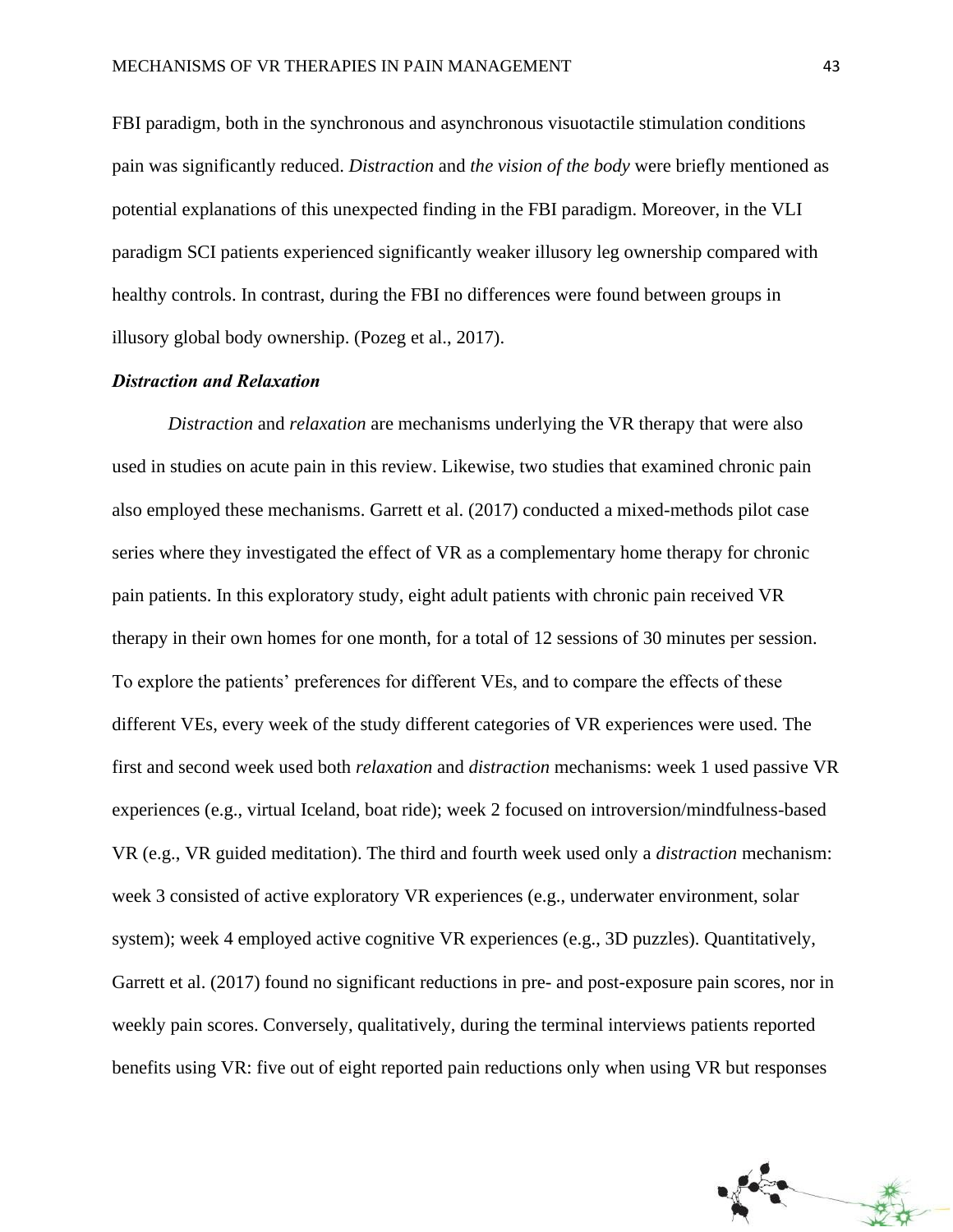FBI paradigm, both in the synchronous and asynchronous visuotactile stimulation conditions pain was significantly reduced. *Distraction* and *the vision of the body* were briefly mentioned as potential explanations of this unexpected finding in the FBI paradigm. Moreover, in the VLI paradigm SCI patients experienced significantly weaker illusory leg ownership compared with healthy controls. In contrast, during the FBI no differences were found between groups in illusory global body ownership. (Pozeg et al., 2017).

### *Distraction and Relaxation*

*Distraction* and *relaxation* are mechanisms underlying the VR therapy that were also used in studies on acute pain in this review. Likewise, two studies that examined chronic pain also employed these mechanisms. Garrett et al. (2017) conducted a mixed-methods pilot case series where they investigated the effect of VR as a complementary home therapy for chronic pain patients. In this exploratory study, eight adult patients with chronic pain received VR therapy in their own homes for one month, for a total of 12 sessions of 30 minutes per session. To explore the patients' preferences for different VEs, and to compare the effects of these different VEs, every week of the study different categories of VR experiences were used. The first and second week used both *relaxation* and *distraction* mechanisms: week 1 used passive VR experiences (e.g., virtual Iceland, boat ride); week 2 focused on introversion/mindfulness-based VR (e.g., VR guided meditation). The third and fourth week used only a *distraction* mechanism: week 3 consisted of active exploratory VR experiences (e.g., underwater environment, solar system); week 4 employed active cognitive VR experiences (e.g., 3D puzzles). Quantitatively, Garrett et al. (2017) found no significant reductions in pre- and post-exposure pain scores, nor in weekly pain scores. Conversely, qualitatively, during the terminal interviews patients reported benefits using VR: five out of eight reported pain reductions only when using VR but responses

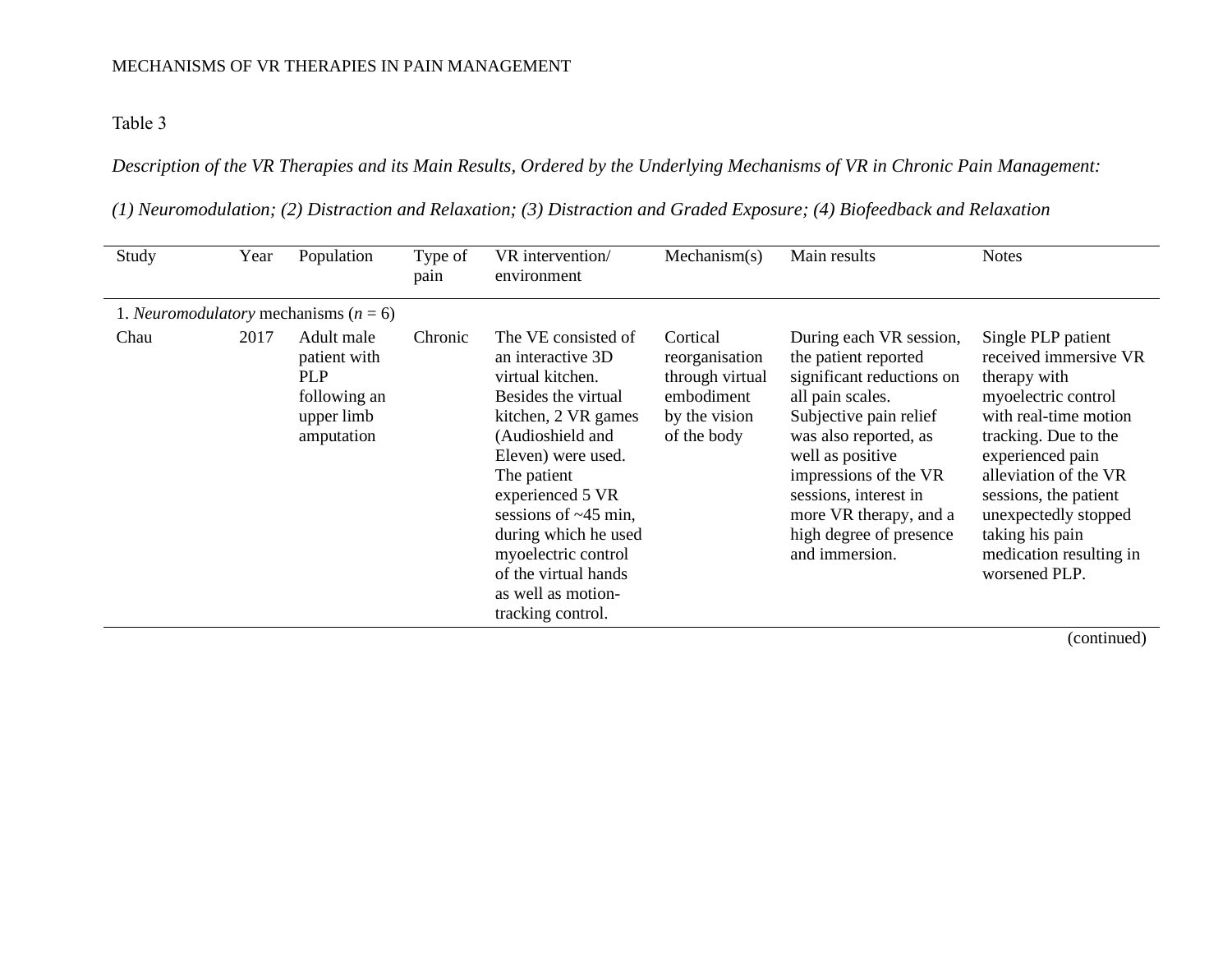Table 3

*Description of the VR Therapies and its Main Results, Ordered by the Underlying Mechanisms of VR in Chronic Pain Management:* 

*(1) Neuromodulation; (2) Distraction and Relaxation; (3) Distraction and Graded Exposure; (4) Biofeedback and Relaxation*

| Study | Year | Population                                                                           | Type of<br>pain | VR intervention/<br>environment                                                                                                                                                                                                                                                                                                         | Mechanism(s)                                                                                | Main results                                                                                                                                                                                                                                                                                     | <b>Notes</b>                                                                                                                                                                                                                                                                                     |
|-------|------|--------------------------------------------------------------------------------------|-----------------|-----------------------------------------------------------------------------------------------------------------------------------------------------------------------------------------------------------------------------------------------------------------------------------------------------------------------------------------|---------------------------------------------------------------------------------------------|--------------------------------------------------------------------------------------------------------------------------------------------------------------------------------------------------------------------------------------------------------------------------------------------------|--------------------------------------------------------------------------------------------------------------------------------------------------------------------------------------------------------------------------------------------------------------------------------------------------|
|       |      | 1. Neuromodulatory mechanisms ( $n = 6$ )                                            |                 |                                                                                                                                                                                                                                                                                                                                         |                                                                                             |                                                                                                                                                                                                                                                                                                  |                                                                                                                                                                                                                                                                                                  |
| Chau  | 2017 | Adult male<br>patient with<br><b>PLP</b><br>following an<br>upper limb<br>amputation | Chronic         | The VE consisted of<br>an interactive 3D<br>virtual kitchen.<br>Besides the virtual<br>kitchen, 2 VR games<br>(Audioshield and<br>Eleven) were used.<br>The patient<br>experienced 5 VR<br>sessions of $\sim$ 45 min,<br>during which he used<br>myoelectric control<br>of the virtual hands<br>as well as motion-<br>tracking control. | Cortical<br>reorganisation<br>through virtual<br>embodiment<br>by the vision<br>of the body | During each VR session,<br>the patient reported<br>significant reductions on<br>all pain scales.<br>Subjective pain relief<br>was also reported, as<br>well as positive<br>impressions of the VR<br>sessions, interest in<br>more VR therapy, and a<br>high degree of presence<br>and immersion. | Single PLP patient<br>received immersive VR<br>therapy with<br>myoelectric control<br>with real-time motion<br>tracking. Due to the<br>experienced pain<br>alleviation of the VR<br>sessions, the patient<br>unexpectedly stopped<br>taking his pain<br>medication resulting in<br>worsened PLP. |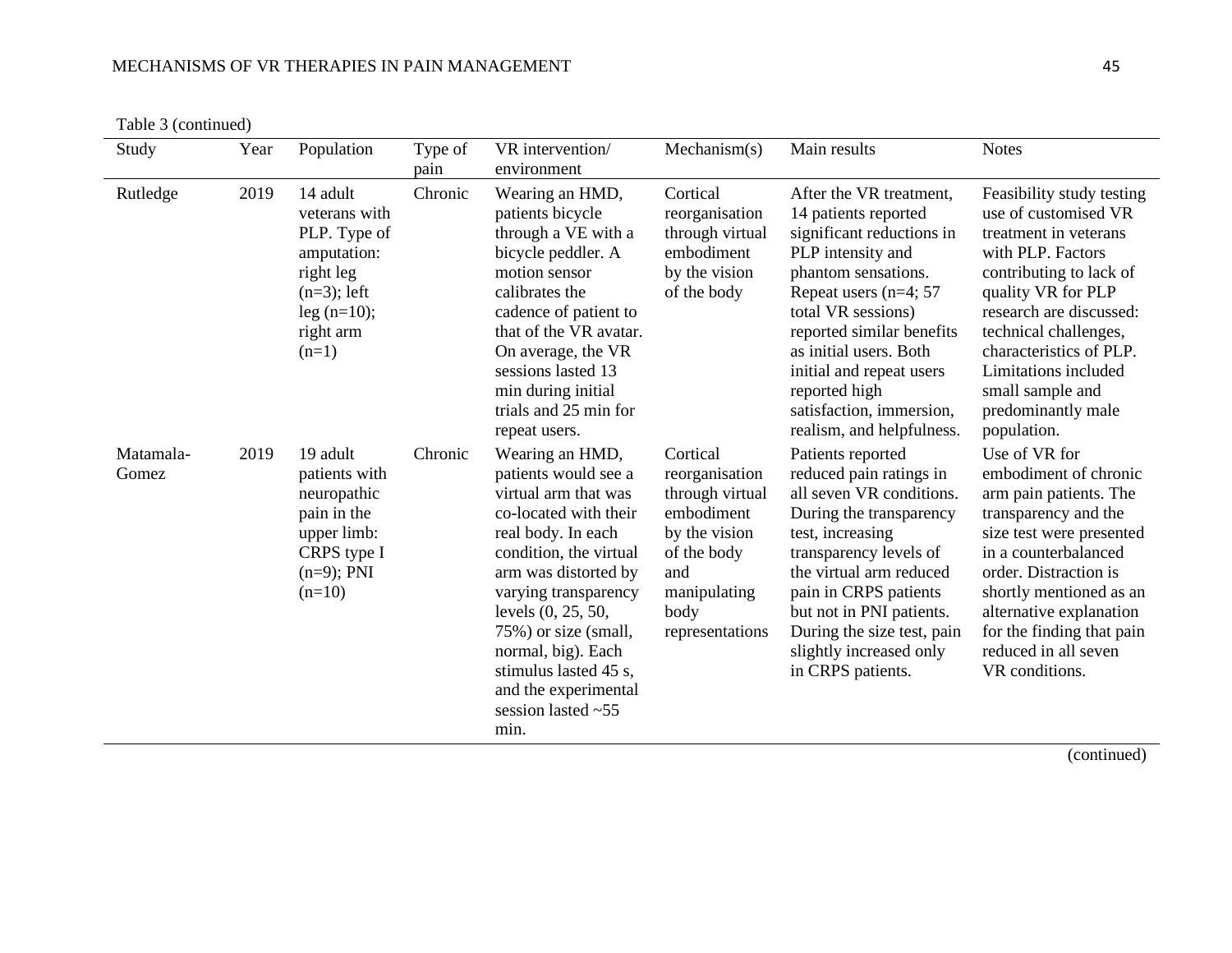Table 3 (continued)

| Study              | Year | Population                                                                                                                       | Type of<br>pain | VR intervention/<br>environment                                                                                                                                                                                                                                                                                                               | Mechanism(s)                                                                                                                                  | Main results                                                                                                                                                                                                                                                                                                                             | <b>Notes</b>                                                                                                                                                                                                                                                                                                     |
|--------------------|------|----------------------------------------------------------------------------------------------------------------------------------|-----------------|-----------------------------------------------------------------------------------------------------------------------------------------------------------------------------------------------------------------------------------------------------------------------------------------------------------------------------------------------|-----------------------------------------------------------------------------------------------------------------------------------------------|------------------------------------------------------------------------------------------------------------------------------------------------------------------------------------------------------------------------------------------------------------------------------------------------------------------------------------------|------------------------------------------------------------------------------------------------------------------------------------------------------------------------------------------------------------------------------------------------------------------------------------------------------------------|
| Rutledge           | 2019 | 14 adult<br>veterans with<br>PLP. Type of<br>amputation:<br>right leg<br>$(n=3)$ ; left<br>$leg (n=10);$<br>right arm<br>$(n=1)$ | Chronic         | Wearing an HMD,<br>patients bicycle<br>through a VE with a<br>bicycle peddler. A<br>motion sensor<br>calibrates the<br>cadence of patient to<br>that of the VR avatar.<br>On average, the VR<br>sessions lasted 13<br>min during initial<br>trials and 25 min for<br>repeat users.                                                            | Cortical<br>reorganisation<br>through virtual<br>embodiment<br>by the vision<br>of the body                                                   | After the VR treatment,<br>14 patients reported<br>significant reductions in<br>PLP intensity and<br>phantom sensations.<br>Repeat users ( $n=4$ ; 57<br>total VR sessions)<br>reported similar benefits<br>as initial users. Both<br>initial and repeat users<br>reported high<br>satisfaction, immersion,<br>realism, and helpfulness. | Feasibility study testing<br>use of customised VR<br>treatment in veterans<br>with PLP. Factors<br>contributing to lack of<br>quality VR for PLP<br>research are discussed:<br>technical challenges,<br>characteristics of PLP.<br>Limitations included<br>small sample and<br>predominantly male<br>population. |
| Matamala-<br>Gomez | 2019 | 19 adult<br>patients with<br>neuropathic<br>pain in the<br>upper limb:<br>CRPS type I<br>$(n=9)$ ; PNI<br>$(n=10)$               | Chronic         | Wearing an HMD,<br>patients would see a<br>virtual arm that was<br>co-located with their<br>real body. In each<br>condition, the virtual<br>arm was distorted by<br>varying transparency<br>levels (0, 25, 50,<br>75%) or size (small,<br>normal, big). Each<br>stimulus lasted 45 s,<br>and the experimental<br>session lasted $~55$<br>min. | Cortical<br>reorganisation<br>through virtual<br>embodiment<br>by the vision<br>of the body<br>and<br>manipulating<br>body<br>representations | Patients reported<br>reduced pain ratings in<br>all seven VR conditions.<br>During the transparency<br>test, increasing<br>transparency levels of<br>the virtual arm reduced<br>pain in CRPS patients<br>but not in PNI patients.<br>During the size test, pain<br>slightly increased only<br>in CRPS patients.                          | Use of VR for<br>embodiment of chronic<br>arm pain patients. The<br>transparency and the<br>size test were presented<br>in a counterbalanced<br>order. Distraction is<br>shortly mentioned as an<br>alternative explanation<br>for the finding that pain<br>reduced in all seven<br>VR conditions.               |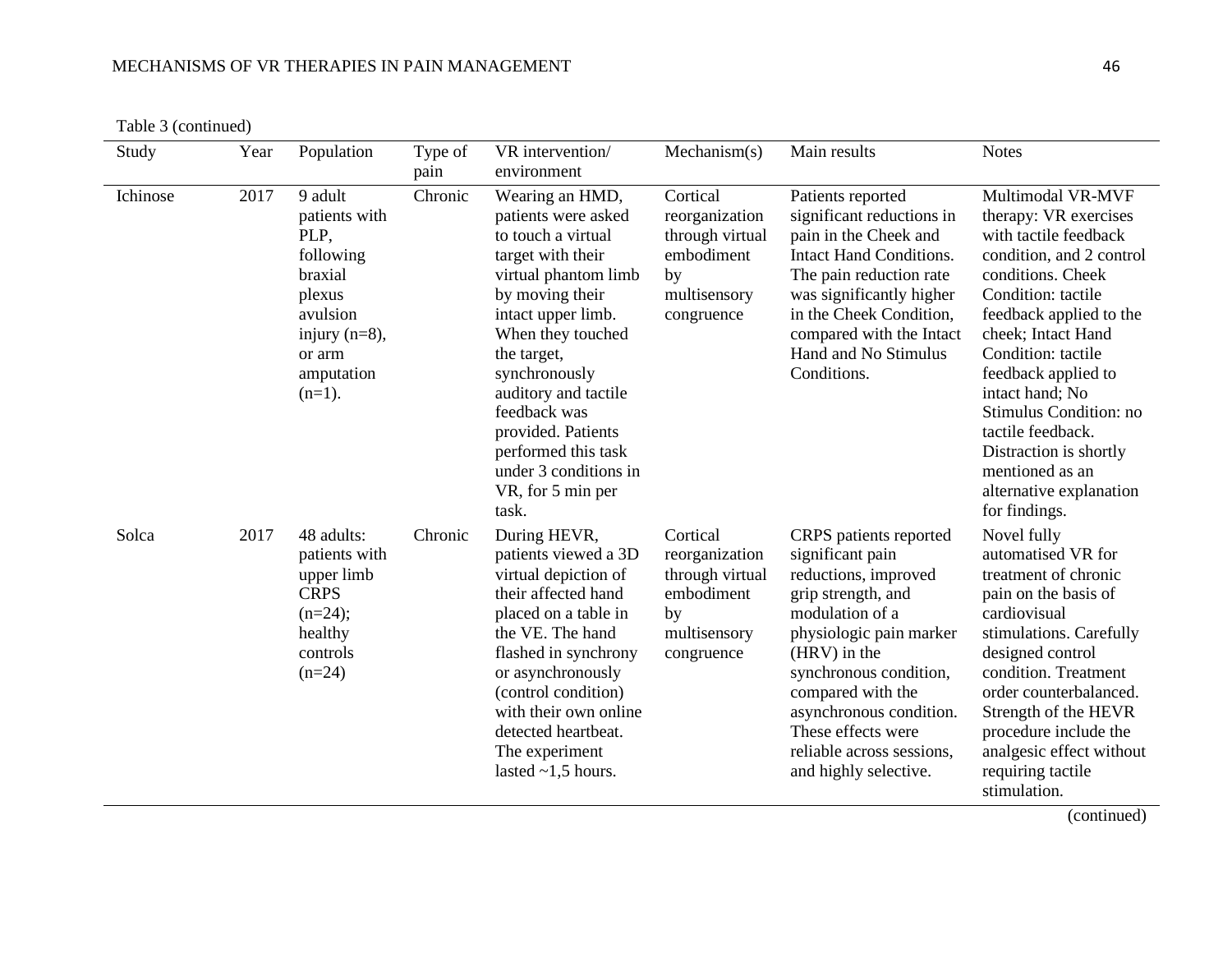Table 3 (continued)

| Study    | Year | Population                                                                                                                              | Type of<br>pain | VR intervention/<br>environment                                                                                                                                                                                                                                                                                                                     | Mechanism(s)                                                                                    | Main results                                                                                                                                                                                                                                                                                                 | <b>Notes</b>                                                                                                                                                                                                                                                                                                                                                                                        |
|----------|------|-----------------------------------------------------------------------------------------------------------------------------------------|-----------------|-----------------------------------------------------------------------------------------------------------------------------------------------------------------------------------------------------------------------------------------------------------------------------------------------------------------------------------------------------|-------------------------------------------------------------------------------------------------|--------------------------------------------------------------------------------------------------------------------------------------------------------------------------------------------------------------------------------------------------------------------------------------------------------------|-----------------------------------------------------------------------------------------------------------------------------------------------------------------------------------------------------------------------------------------------------------------------------------------------------------------------------------------------------------------------------------------------------|
| Ichinose | 2017 | 9 adult<br>patients with<br>PLP,<br>following<br>braxial<br>plexus<br>avulsion<br>injury $(n=8)$ ,<br>or arm<br>amputation<br>$(n=1)$ . | Chronic         | Wearing an HMD,<br>patients were asked<br>to touch a virtual<br>target with their<br>virtual phantom limb<br>by moving their<br>intact upper limb.<br>When they touched<br>the target,<br>synchronously<br>auditory and tactile<br>feedback was<br>provided. Patients<br>performed this task<br>under 3 conditions in<br>VR, for 5 min per<br>task. | Cortical<br>reorganization<br>through virtual<br>embodiment<br>by<br>multisensory<br>congruence | Patients reported<br>significant reductions in<br>pain in the Cheek and<br><b>Intact Hand Conditions.</b><br>The pain reduction rate<br>was significantly higher<br>in the Cheek Condition,<br>compared with the Intact<br>Hand and No Stimulus<br>Conditions.                                               | Multimodal VR-MVF<br>therapy: VR exercises<br>with tactile feedback<br>condition, and 2 control<br>conditions. Cheek<br>Condition: tactile<br>feedback applied to the<br>cheek; Intact Hand<br>Condition: tactile<br>feedback applied to<br>intact hand; No<br>Stimulus Condition: no<br>tactile feedback.<br>Distraction is shortly<br>mentioned as an<br>alternative explanation<br>for findings. |
| Solca    | 2017 | 48 adults:<br>patients with<br>upper limb<br><b>CRPS</b><br>$(n=24);$<br>healthy<br>controls<br>$(n=24)$                                | Chronic         | During HEVR,<br>patients viewed a 3D<br>virtual depiction of<br>their affected hand<br>placed on a table in<br>the VE. The hand<br>flashed in synchrony<br>or asynchronously<br>(control condition)<br>with their own online<br>detected heartbeat.<br>The experiment<br>lasted $\sim$ 1,5 hours.                                                   | Cortical<br>reorganization<br>through virtual<br>embodiment<br>by<br>multisensory<br>congruence | CRPS patients reported<br>significant pain<br>reductions, improved<br>grip strength, and<br>modulation of a<br>physiologic pain marker<br>(HRV) in the<br>synchronous condition,<br>compared with the<br>asynchronous condition.<br>These effects were<br>reliable across sessions,<br>and highly selective. | Novel fully<br>automatised VR for<br>treatment of chronic<br>pain on the basis of<br>cardiovisual<br>stimulations. Carefully<br>designed control<br>condition. Treatment<br>order counterbalanced.<br>Strength of the HEVR<br>procedure include the<br>analgesic effect without<br>requiring tactile<br>stimulation.                                                                                |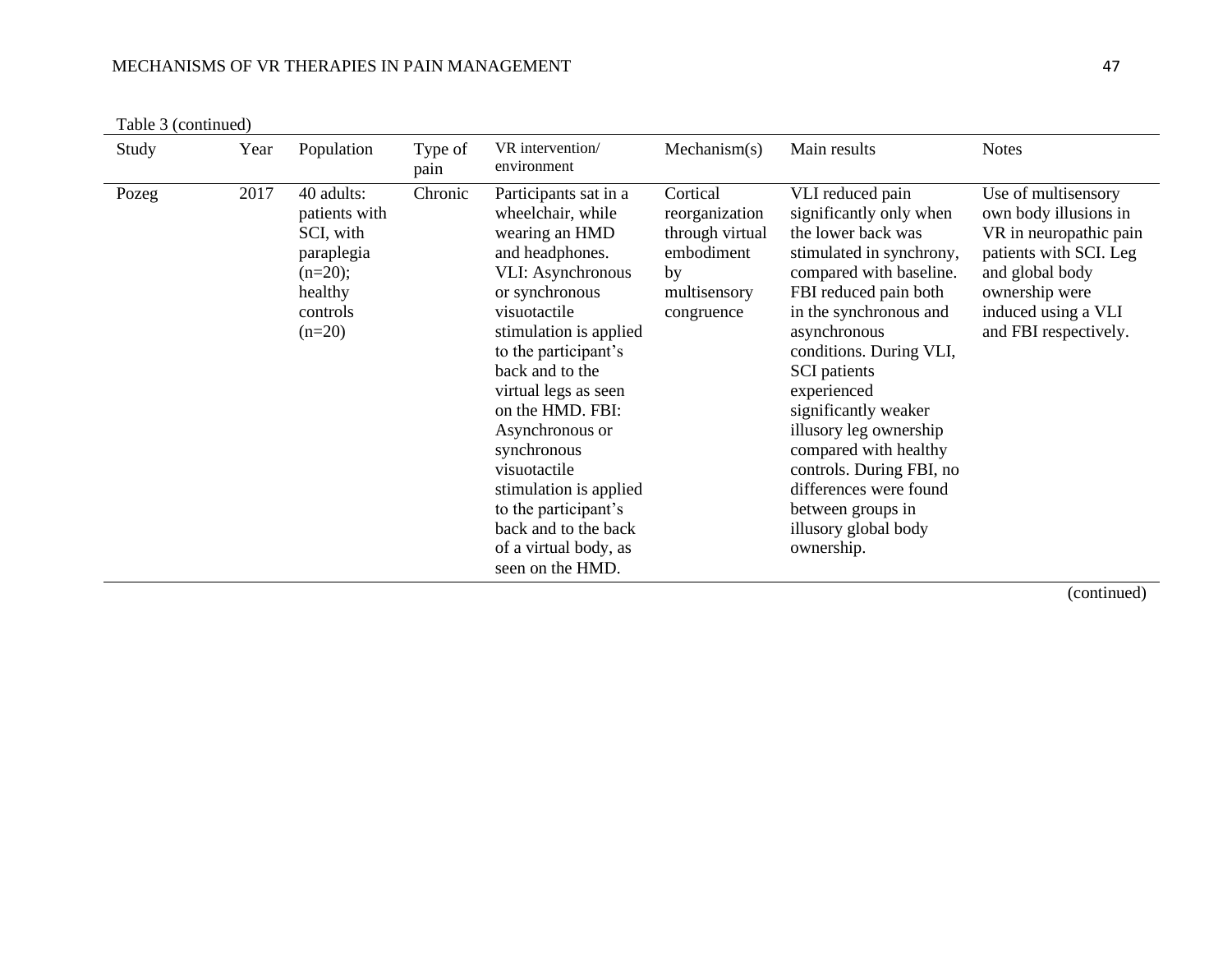Table 3 (continued)

| Study         | Year | Population                                                                                             | Type of<br>pain | VR intervention/<br>environment                                                                                                                                                                                                                                                                                                                                                                                                         | Mechanism(s)                                                                                    | Main results                                                                                                                                                                                                                                                                                                                                                                                                                                             | <b>Notes</b>                                                                                                                                                                          |
|---------------|------|--------------------------------------------------------------------------------------------------------|-----------------|-----------------------------------------------------------------------------------------------------------------------------------------------------------------------------------------------------------------------------------------------------------------------------------------------------------------------------------------------------------------------------------------------------------------------------------------|-------------------------------------------------------------------------------------------------|----------------------------------------------------------------------------------------------------------------------------------------------------------------------------------------------------------------------------------------------------------------------------------------------------------------------------------------------------------------------------------------------------------------------------------------------------------|---------------------------------------------------------------------------------------------------------------------------------------------------------------------------------------|
| 2017<br>Pozeg |      | 40 adults:<br>patients with<br>SCI, with<br>paraplegia<br>$(n=20);$<br>healthy<br>controls<br>$(n=20)$ | Chronic         | Participants sat in a<br>wheelchair, while<br>wearing an HMD<br>and headphones.<br><b>VLI:</b> Asynchronous<br>or synchronous<br>visuotactile<br>stimulation is applied<br>to the participant's<br>back and to the<br>virtual legs as seen<br>on the HMD. FBI:<br>Asynchronous or<br>synchronous<br>visuotactile<br>stimulation is applied<br>to the participant's<br>back and to the back<br>of a virtual body, as<br>seen on the HMD. | Cortical<br>reorganization<br>through virtual<br>embodiment<br>by<br>multisensory<br>congruence | VLI reduced pain<br>significantly only when<br>the lower back was<br>stimulated in synchrony,<br>compared with baseline.<br>FBI reduced pain both<br>in the synchronous and<br>asynchronous<br>conditions. During VLI,<br><b>SCI</b> patients<br>experienced<br>significantly weaker<br>illusory leg ownership<br>compared with healthy<br>controls. During FBI, no<br>differences were found<br>between groups in<br>illusory global body<br>ownership. | Use of multisensory<br>own body illusions in<br>VR in neuropathic pain<br>patients with SCI. Leg<br>and global body<br>ownership were<br>induced using a VLI<br>and FBI respectively. |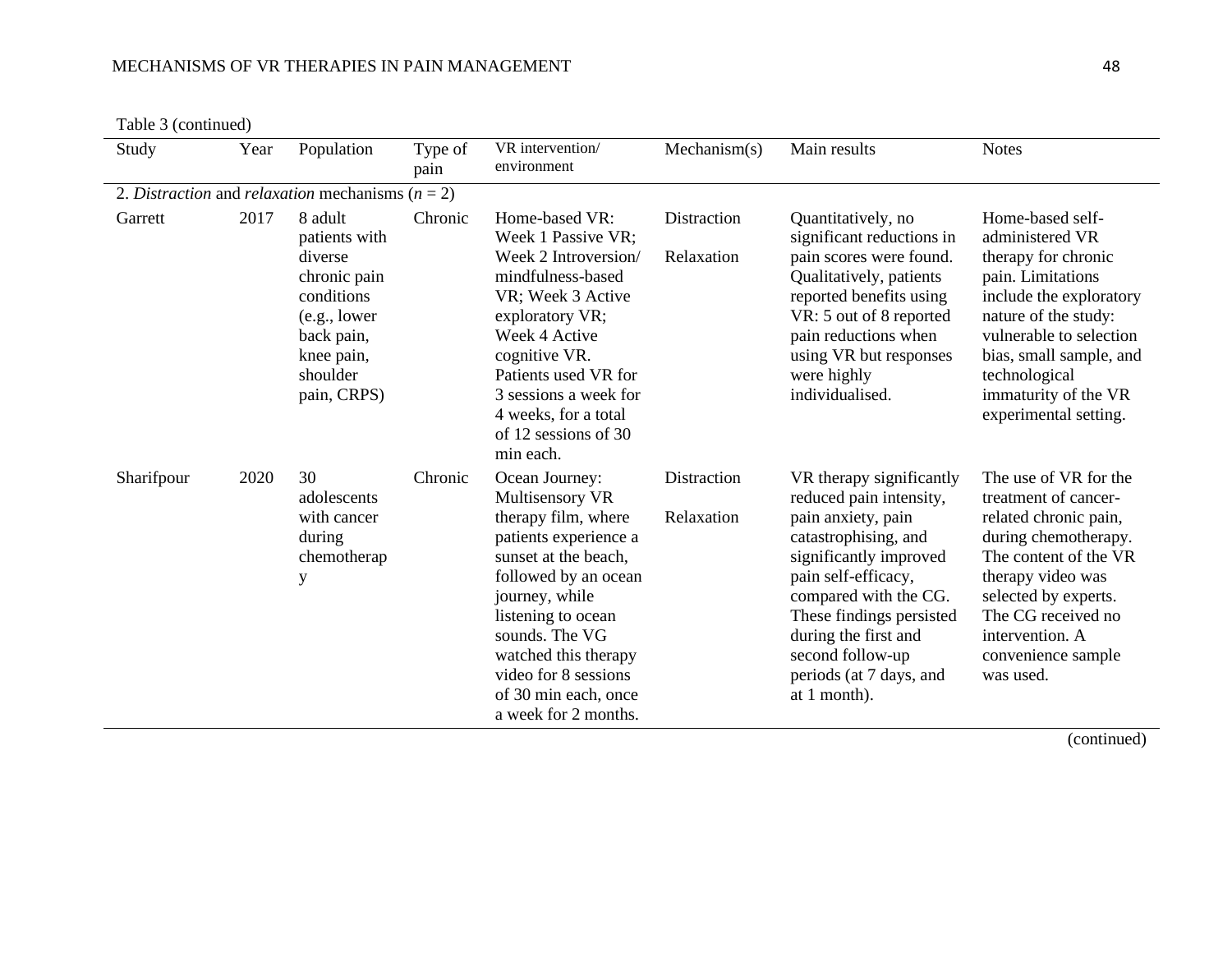Table 3 (continued)

| Study      | Year | Population                                                                                                                               | Type of<br>pain | VR intervention/<br>environment                                                                                                                                                                                                                                                             | Mechanism(s)              | Main results                                                                                                                                                                                                                                                                                   | <b>Notes</b>                                                                                                                                                                                                                                               |
|------------|------|------------------------------------------------------------------------------------------------------------------------------------------|-----------------|---------------------------------------------------------------------------------------------------------------------------------------------------------------------------------------------------------------------------------------------------------------------------------------------|---------------------------|------------------------------------------------------------------------------------------------------------------------------------------------------------------------------------------------------------------------------------------------------------------------------------------------|------------------------------------------------------------------------------------------------------------------------------------------------------------------------------------------------------------------------------------------------------------|
|            |      | 2. Distraction and relaxation mechanisms ( $n = 2$ )                                                                                     |                 |                                                                                                                                                                                                                                                                                             |                           |                                                                                                                                                                                                                                                                                                |                                                                                                                                                                                                                                                            |
| Garrett    | 2017 | 8 adult<br>patients with<br>diverse<br>chronic pain<br>conditions<br>(e.g., lower<br>back pain,<br>knee pain,<br>shoulder<br>pain, CRPS) | Chronic         | Home-based VR:<br>Week 1 Passive VR;<br>Week 2 Introversion/<br>mindfulness-based<br>VR; Week 3 Active<br>exploratory VR;<br>Week 4 Active<br>cognitive VR.<br>Patients used VR for<br>3 sessions a week for<br>4 weeks, for a total<br>of 12 sessions of 30<br>min each.                   | Distraction<br>Relaxation | Quantitatively, no<br>significant reductions in<br>pain scores were found.<br>Qualitatively, patients<br>reported benefits using<br>VR: 5 out of 8 reported<br>pain reductions when<br>using VR but responses<br>were highly<br>individualised.                                                | Home-based self-<br>administered VR<br>therapy for chronic<br>pain. Limitations<br>include the exploratory<br>nature of the study:<br>vulnerable to selection<br>bias, small sample, and<br>technological<br>immaturity of the VR<br>experimental setting. |
| Sharifpour | 2020 | 30<br>adolescents<br>with cancer<br>during<br>chemotherap<br>$\mathbf y$                                                                 | Chronic         | Ocean Journey:<br>Multisensory VR<br>therapy film, where<br>patients experience a<br>sunset at the beach,<br>followed by an ocean<br>journey, while<br>listening to ocean<br>sounds. The VG<br>watched this therapy<br>video for 8 sessions<br>of 30 min each, once<br>a week for 2 months. | Distraction<br>Relaxation | VR therapy significantly<br>reduced pain intensity,<br>pain anxiety, pain<br>catastrophising, and<br>significantly improved<br>pain self-efficacy,<br>compared with the CG.<br>These findings persisted<br>during the first and<br>second follow-up<br>periods (at 7 days, and<br>at 1 month). | The use of VR for the<br>treatment of cancer-<br>related chronic pain,<br>during chemotherapy.<br>The content of the VR<br>therapy video was<br>selected by experts.<br>The CG received no<br>intervention. A<br>convenience sample<br>was used.           |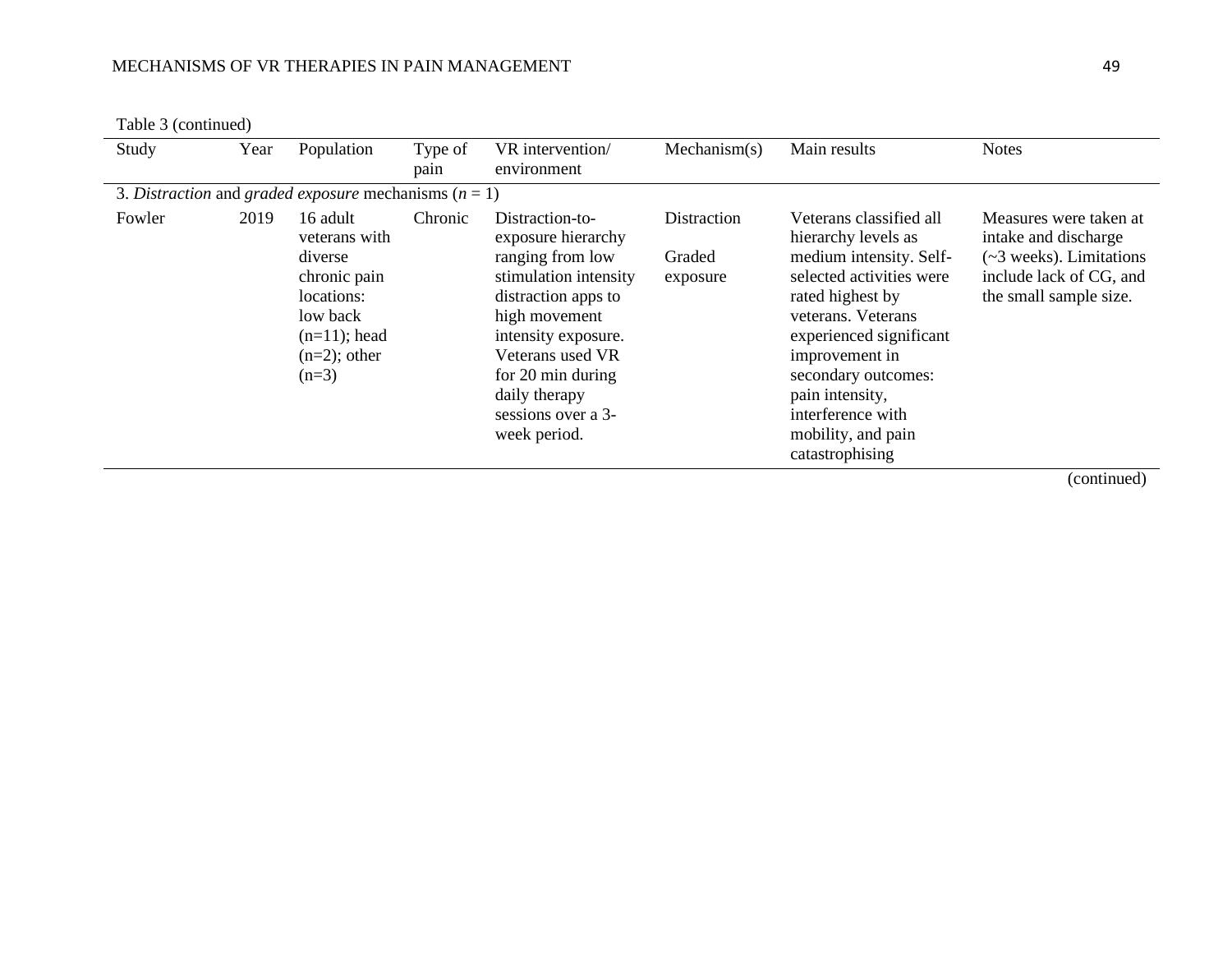Table 3 (continued)

| Study  | Year | Population                                                                                                                      | Type of<br>pain | VR intervention/<br>environment                                                                                                                                                                                                                   | Mechanism(s)                      | Main results                                                                                                                                                                                                                                                                                         | <b>Notes</b>                                                                                                                   |
|--------|------|---------------------------------------------------------------------------------------------------------------------------------|-----------------|---------------------------------------------------------------------------------------------------------------------------------------------------------------------------------------------------------------------------------------------------|-----------------------------------|------------------------------------------------------------------------------------------------------------------------------------------------------------------------------------------------------------------------------------------------------------------------------------------------------|--------------------------------------------------------------------------------------------------------------------------------|
|        |      | 3. Distraction and graded exposure mechanisms ( $n = 1$ )                                                                       |                 |                                                                                                                                                                                                                                                   |                                   |                                                                                                                                                                                                                                                                                                      |                                                                                                                                |
| Fowler | 2019 | 16 adult<br>veterans with<br>diverse<br>chronic pain<br>locations:<br>low back<br>$(n=11)$ ; head<br>$(n=2)$ ; other<br>$(n=3)$ | Chronic         | Distraction-to-<br>exposure hierarchy<br>ranging from low<br>stimulation intensity<br>distraction apps to<br>high movement<br>intensity exposure.<br>Veterans used VR<br>for 20 min during<br>daily therapy<br>sessions over a 3-<br>week period. | Distraction<br>Graded<br>exposure | Veterans classified all<br>hierarchy levels as<br>medium intensity. Self-<br>selected activities were<br>rated highest by<br>veterans. Veterans<br>experienced significant<br>improvement in<br>secondary outcomes:<br>pain intensity,<br>interference with<br>mobility, and pain<br>catastrophising | Measures were taken at<br>intake and discharge<br>(~3 weeks). Limitations<br>include lack of CG, and<br>the small sample size. |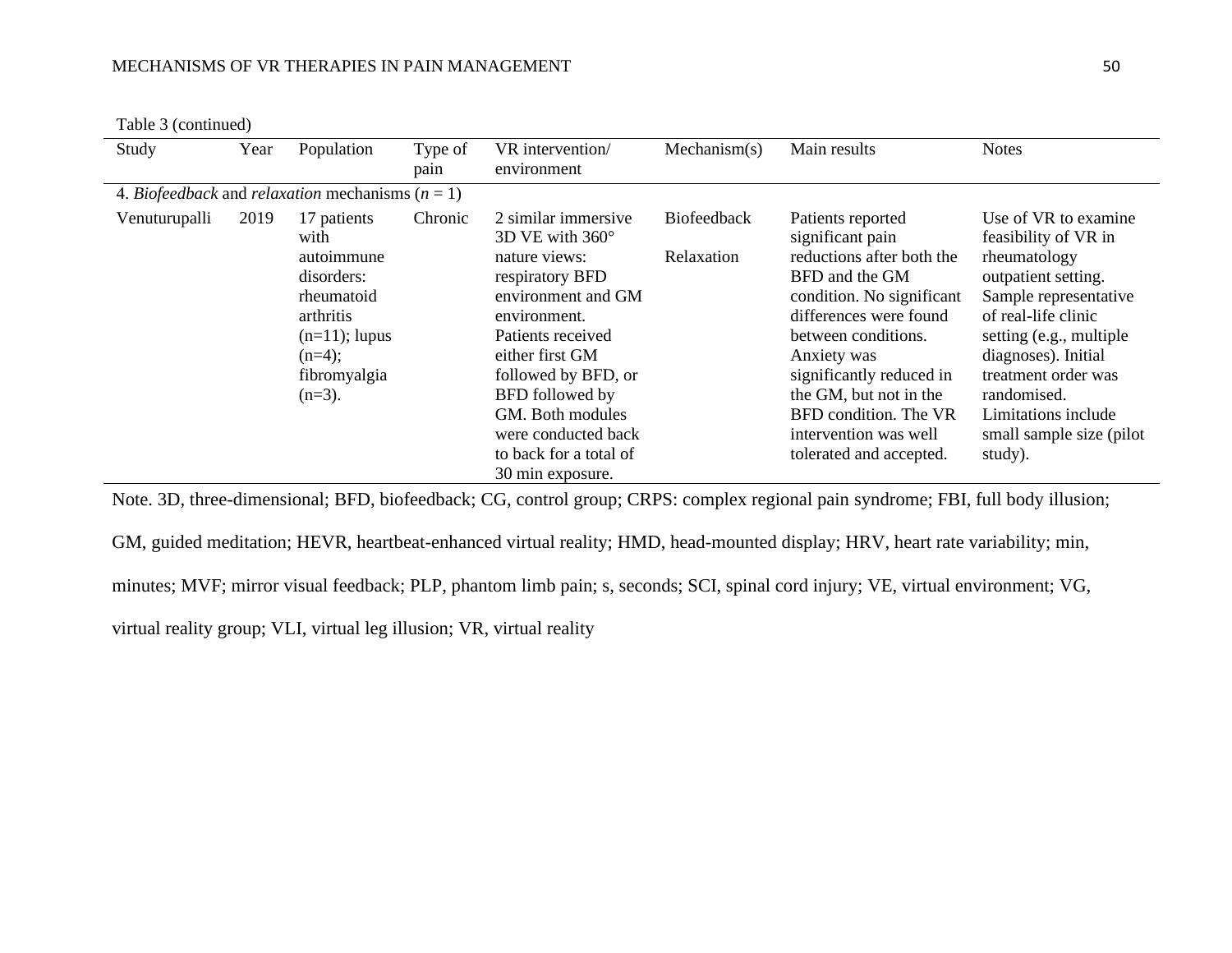Table 3 (continued)

| Study         | Year | Population                                                                                                                              | Type of<br>pain | VR intervention/<br>environment                                                                                                                                                                                                                                                                    | Mechanism(s)                     | Main results                                                                                                                                                                                                                                                                                                         | <b>Notes</b>                                                                                                                                                                                                                                                                                |
|---------------|------|-----------------------------------------------------------------------------------------------------------------------------------------|-----------------|----------------------------------------------------------------------------------------------------------------------------------------------------------------------------------------------------------------------------------------------------------------------------------------------------|----------------------------------|----------------------------------------------------------------------------------------------------------------------------------------------------------------------------------------------------------------------------------------------------------------------------------------------------------------------|---------------------------------------------------------------------------------------------------------------------------------------------------------------------------------------------------------------------------------------------------------------------------------------------|
|               |      | 4. <i>Biofeedback</i> and <i>relaxation</i> mechanisms ( $n = 1$ )                                                                      |                 |                                                                                                                                                                                                                                                                                                    |                                  |                                                                                                                                                                                                                                                                                                                      |                                                                                                                                                                                                                                                                                             |
| Venuturupalli | 2019 | 17 patients<br>with<br>autoimmune<br>disorders:<br>rheumatoid<br>arthritis<br>$(n=11)$ ; lupus<br>$(n=4);$<br>fibromyalgia<br>$(n=3)$ . | Chronic         | 2 similar immersive<br>3D VE with $360^\circ$<br>nature views:<br>respiratory BFD<br>environment and GM<br>environment.<br>Patients received<br>either first GM<br>followed by BFD, or<br>BFD followed by<br>GM. Both modules<br>were conducted back<br>to back for a total of<br>30 min exposure. | <b>Biofeedback</b><br>Relaxation | Patients reported<br>significant pain<br>reductions after both the<br>BFD and the GM<br>condition. No significant<br>differences were found<br>between conditions.<br>Anxiety was<br>significantly reduced in<br>the GM, but not in the<br>BFD condition. The VR<br>intervention was well<br>tolerated and accepted. | Use of VR to examine<br>feasibility of VR in<br>rheumatology<br>outpatient setting.<br>Sample representative<br>of real-life clinic<br>setting (e.g., multiple)<br>diagnoses). Initial<br>treatment order was<br>randomised.<br>Limitations include<br>small sample size (pilot)<br>study). |

Note. 3D, three-dimensional; BFD, biofeedback; CG, control group; CRPS: complex regional pain syndrome; FBI, full body illusion;

GM, guided meditation; HEVR, heartbeat-enhanced virtual reality; HMD, head-mounted display; HRV, heart rate variability; min, minutes; MVF; mirror visual feedback; PLP, phantom limb pain; s, seconds; SCI, spinal cord injury; VE, virtual environment; VG, virtual reality group; VLI, virtual leg illusion; VR, virtual reality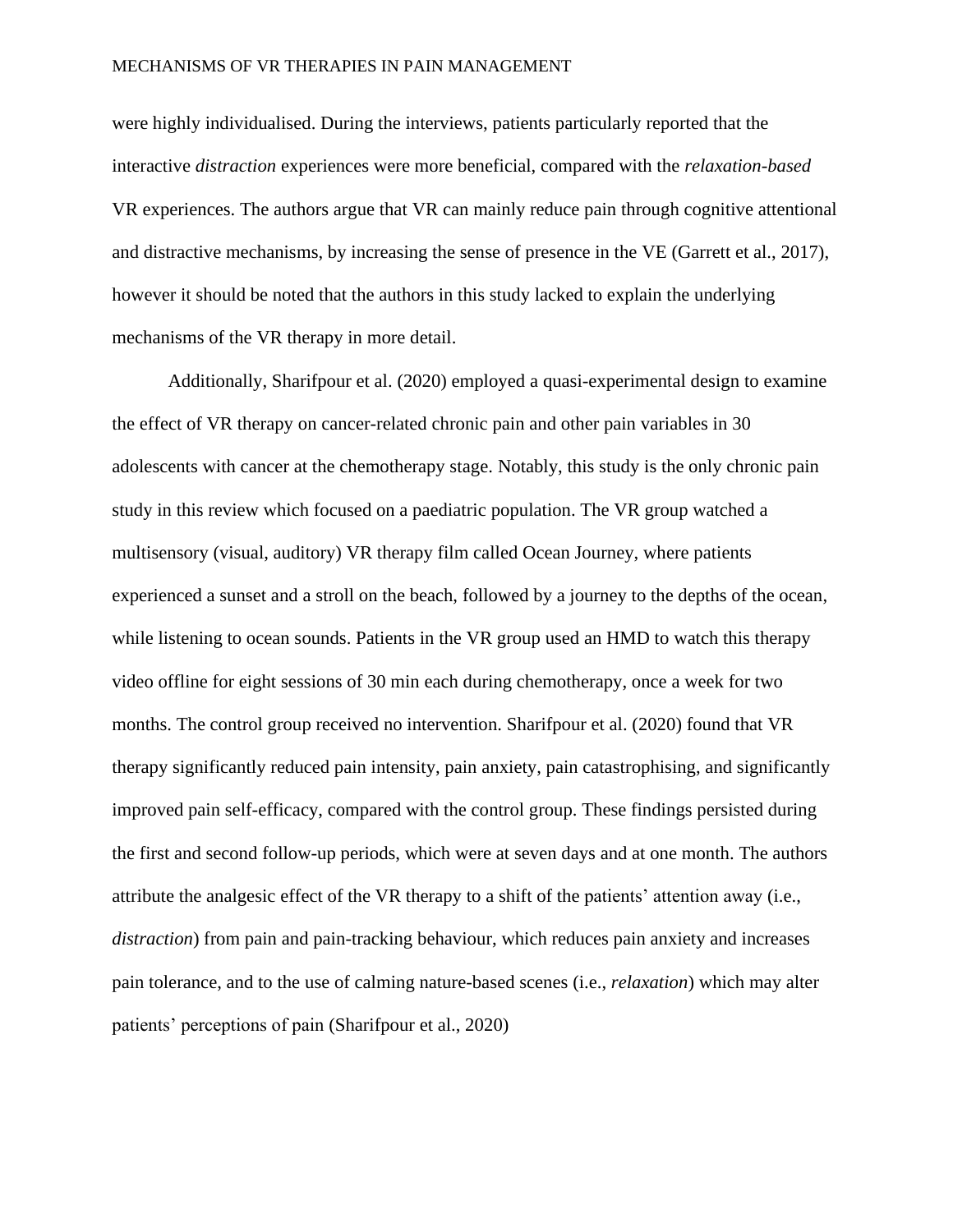were highly individualised. During the interviews, patients particularly reported that the interactive *distraction* experiences were more beneficial, compared with the *relaxation-based* VR experiences. The authors argue that VR can mainly reduce pain through cognitive attentional and distractive mechanisms, by increasing the sense of presence in the VE (Garrett et al., 2017), however it should be noted that the authors in this study lacked to explain the underlying mechanisms of the VR therapy in more detail.

Additionally, Sharifpour et al. (2020) employed a quasi-experimental design to examine the effect of VR therapy on cancer-related chronic pain and other pain variables in 30 adolescents with cancer at the chemotherapy stage. Notably, this study is the only chronic pain study in this review which focused on a paediatric population. The VR group watched a multisensory (visual, auditory) VR therapy film called Ocean Journey, where patients experienced a sunset and a stroll on the beach, followed by a journey to the depths of the ocean, while listening to ocean sounds. Patients in the VR group used an HMD to watch this therapy video offline for eight sessions of 30 min each during chemotherapy, once a week for two months. The control group received no intervention. Sharifpour et al. (2020) found that VR therapy significantly reduced pain intensity, pain anxiety, pain catastrophising, and significantly improved pain self-efficacy, compared with the control group. These findings persisted during the first and second follow-up periods, which were at seven days and at one month. The authors attribute the analgesic effect of the VR therapy to a shift of the patients' attention away (i.e., *distraction*) from pain and pain-tracking behaviour, which reduces pain anxiety and increases pain tolerance, and to the use of calming nature-based scenes (i.e., *relaxation*) which may alter patients' perceptions of pain (Sharifpour et al., 2020)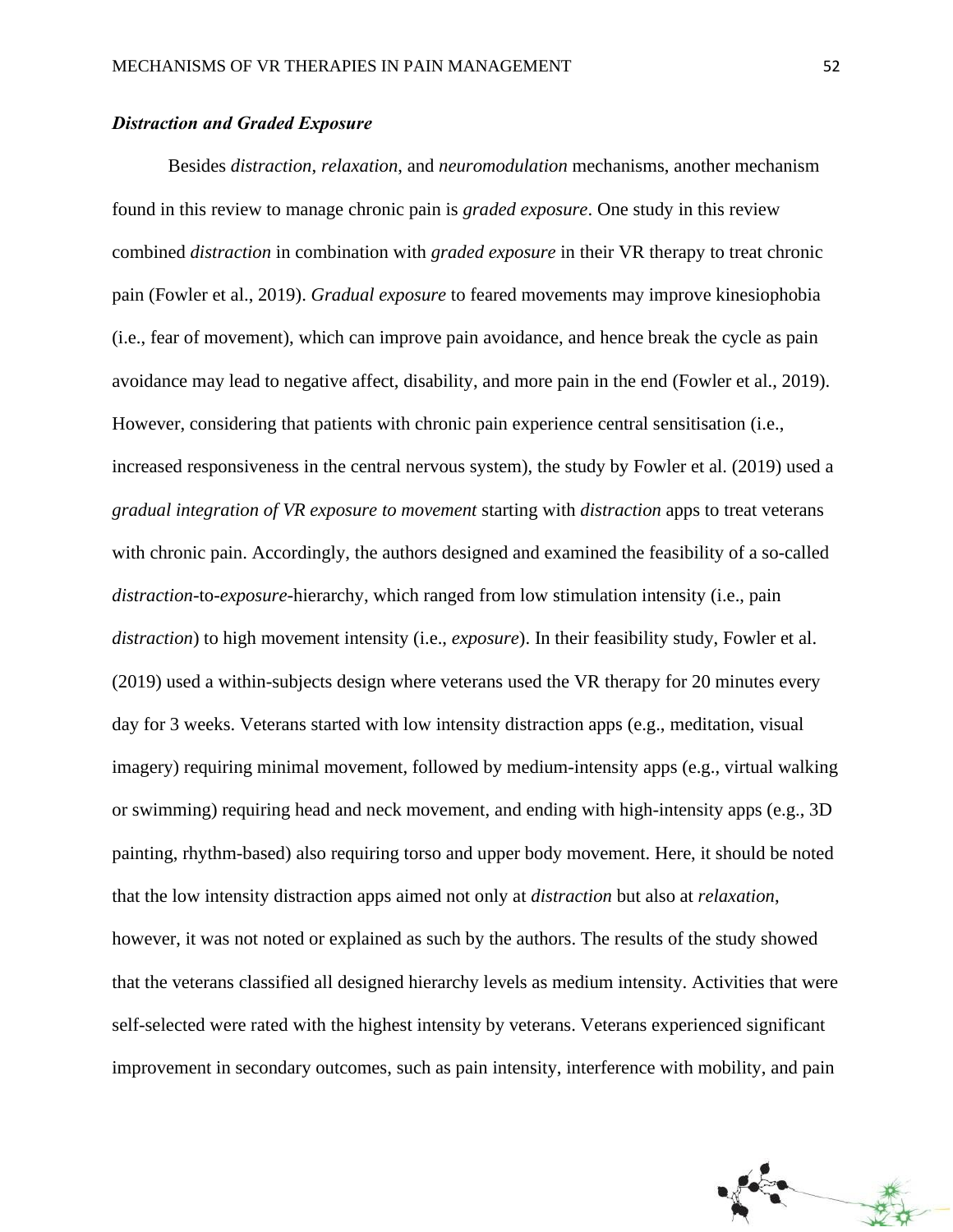### *Distraction and Graded Exposure*

Besides *distraction*, *relaxation*, and *neuromodulation* mechanisms, another mechanism found in this review to manage chronic pain is *graded exposure*. One study in this review combined *distraction* in combination with *graded exposure* in their VR therapy to treat chronic pain (Fowler et al., 2019). *Gradual exposure* to feared movements may improve kinesiophobia (i.e., fear of movement), which can improve pain avoidance, and hence break the cycle as pain avoidance may lead to negative affect, disability, and more pain in the end (Fowler et al., 2019). However, considering that patients with chronic pain experience central sensitisation (i.e., increased responsiveness in the central nervous system), the study by Fowler et al. (2019) used a *gradual integration of VR exposure to movement* starting with *distraction* apps to treat veterans with chronic pain. Accordingly, the authors designed and examined the feasibility of a so-called *distraction*-to-*exposure*-hierarchy, which ranged from low stimulation intensity (i.e., pain *distraction*) to high movement intensity (i.e., *exposure*). In their feasibility study, Fowler et al. (2019) used a within-subjects design where veterans used the VR therapy for 20 minutes every day for 3 weeks. Veterans started with low intensity distraction apps (e.g., meditation, visual imagery) requiring minimal movement, followed by medium-intensity apps (e.g., virtual walking or swimming) requiring head and neck movement, and ending with high-intensity apps (e.g., 3D painting, rhythm-based) also requiring torso and upper body movement. Here, it should be noted that the low intensity distraction apps aimed not only at *distraction* but also at *relaxation*, however, it was not noted or explained as such by the authors. The results of the study showed that the veterans classified all designed hierarchy levels as medium intensity. Activities that were self-selected were rated with the highest intensity by veterans. Veterans experienced significant improvement in secondary outcomes, such as pain intensity, interference with mobility, and pain

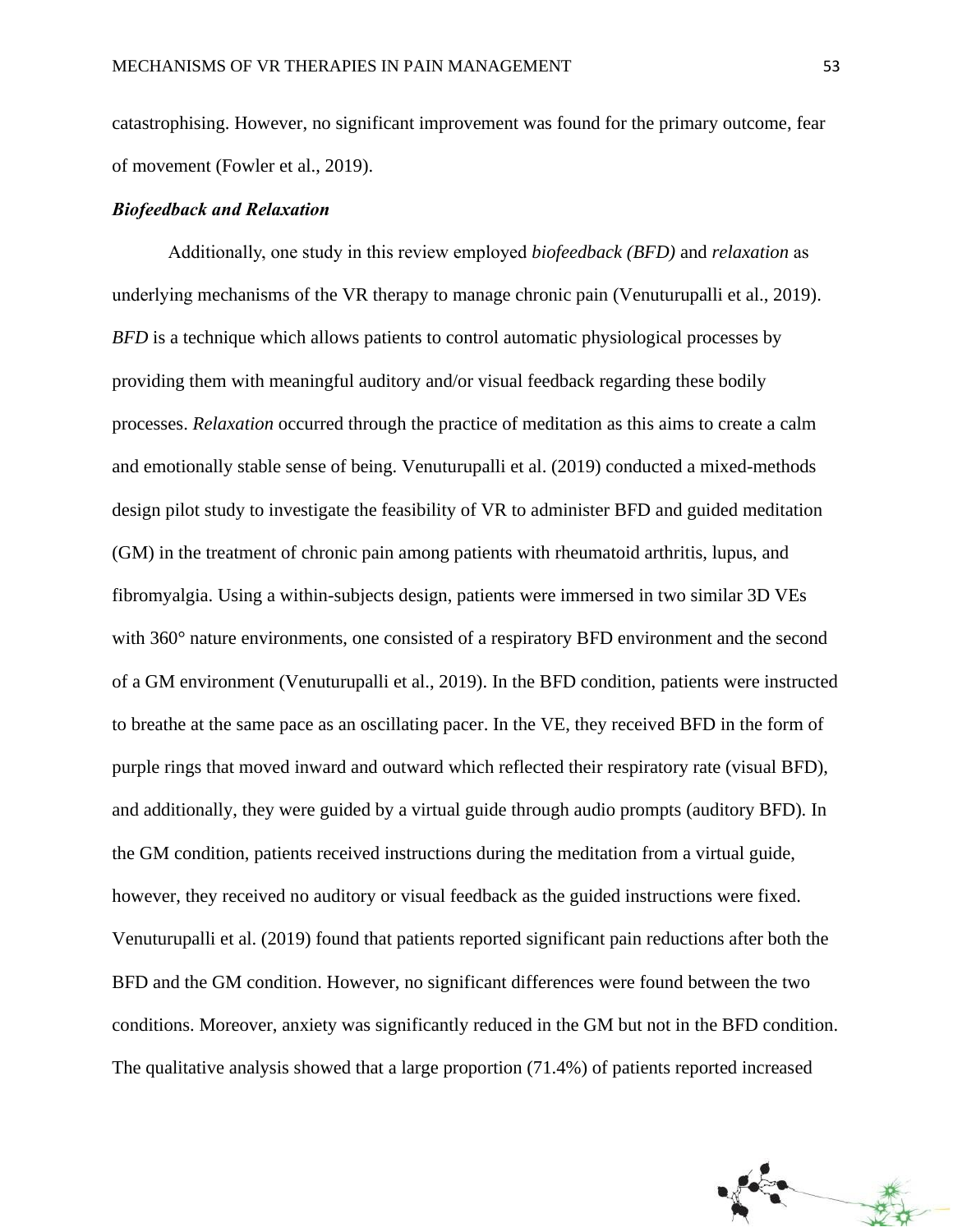catastrophising. However, no significant improvement was found for the primary outcome, fear of movement (Fowler et al., 2019).

### *Biofeedback and Relaxation*

Additionally, one study in this review employed *biofeedback (BFD)* and *relaxation* as underlying mechanisms of the VR therapy to manage chronic pain (Venuturupalli et al., 2019). *BFD* is a technique which allows patients to control automatic physiological processes by providing them with meaningful auditory and/or visual feedback regarding these bodily processes. *Relaxation* occurred through the practice of meditation as this aims to create a calm and emotionally stable sense of being. Venuturupalli et al. (2019) conducted a mixed-methods design pilot study to investigate the feasibility of VR to administer BFD and guided meditation (GM) in the treatment of chronic pain among patients with rheumatoid arthritis, lupus, and fibromyalgia. Using a within-subjects design, patients were immersed in two similar 3D VEs with 360° nature environments, one consisted of a respiratory BFD environment and the second of a GM environment (Venuturupalli et al., 2019). In the BFD condition, patients were instructed to breathe at the same pace as an oscillating pacer. In the VE, they received BFD in the form of purple rings that moved inward and outward which reflected their respiratory rate (visual BFD), and additionally, they were guided by a virtual guide through audio prompts (auditory BFD). In the GM condition, patients received instructions during the meditation from a virtual guide, however, they received no auditory or visual feedback as the guided instructions were fixed. Venuturupalli et al. (2019) found that patients reported significant pain reductions after both the BFD and the GM condition. However, no significant differences were found between the two conditions. Moreover, anxiety was significantly reduced in the GM but not in the BFD condition. The qualitative analysis showed that a large proportion (71.4%) of patients reported increased

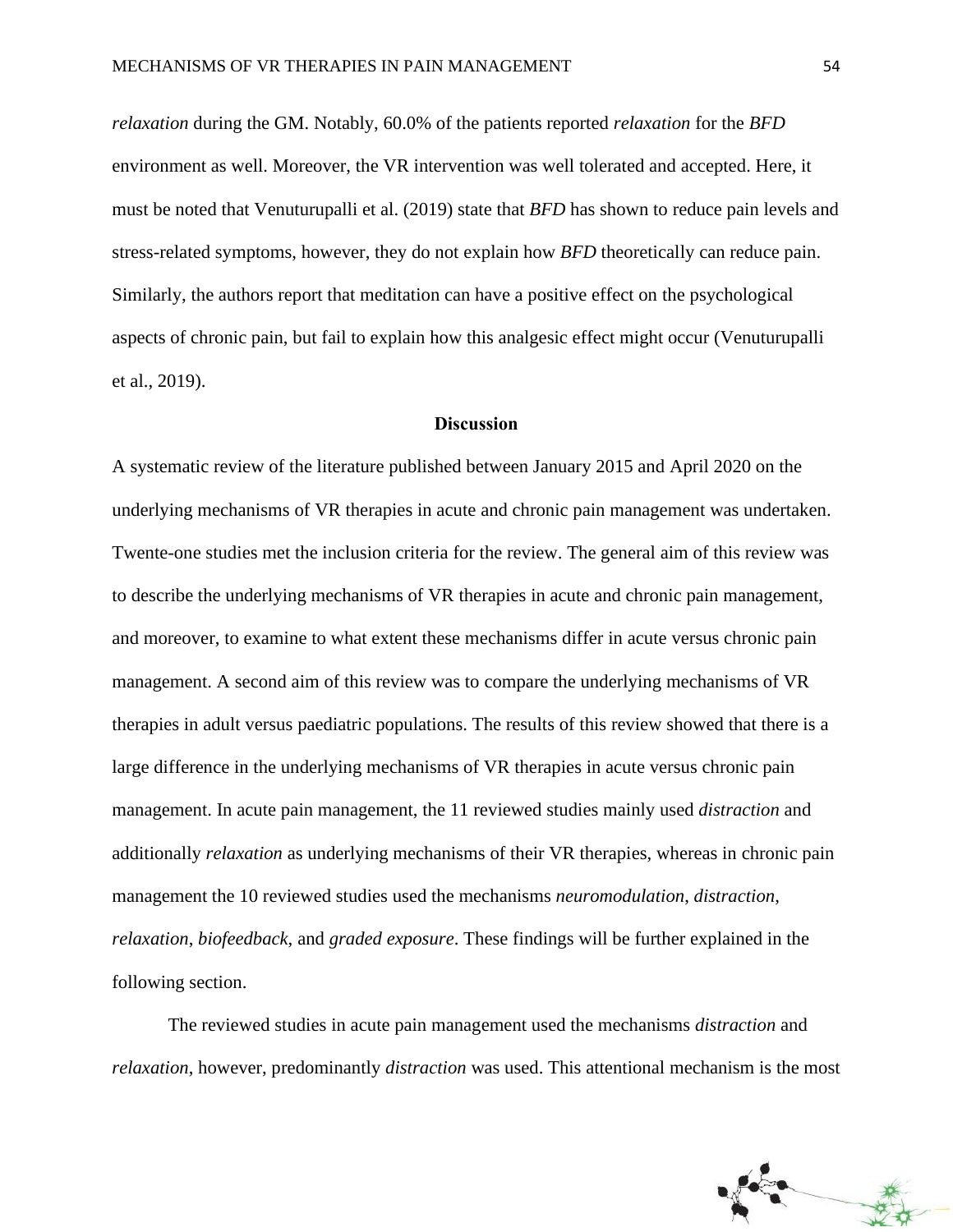*relaxation* during the GM. Notably, 60.0% of the patients reported *relaxation* for the *BFD*  environment as well. Moreover, the VR intervention was well tolerated and accepted. Here, it must be noted that Venuturupalli et al. (2019) state that *BFD* has shown to reduce pain levels and stress-related symptoms, however, they do not explain how *BFD* theoretically can reduce pain. Similarly, the authors report that meditation can have a positive effect on the psychological aspects of chronic pain, but fail to explain how this analgesic effect might occur (Venuturupalli et al., 2019).

### **Discussion**

A systematic review of the literature published between January 2015 and April 2020 on the underlying mechanisms of VR therapies in acute and chronic pain management was undertaken. Twente-one studies met the inclusion criteria for the review. The general aim of this review was to describe the underlying mechanisms of VR therapies in acute and chronic pain management, and moreover, to examine to what extent these mechanisms differ in acute versus chronic pain management. A second aim of this review was to compare the underlying mechanisms of VR therapies in adult versus paediatric populations. The results of this review showed that there is a large difference in the underlying mechanisms of VR therapies in acute versus chronic pain management. In acute pain management, the 11 reviewed studies mainly used *distraction* and additionally *relaxation* as underlying mechanisms of their VR therapies, whereas in chronic pain management the 10 reviewed studies used the mechanisms *neuromodulation*, *distraction*, *relaxation*, *biofeedback*, and *graded exposure*. These findings will be further explained in the following section.

The reviewed studies in acute pain management used the mechanisms *distraction* and *relaxation*, however, predominantly *distraction* was used. This attentional mechanism is the most

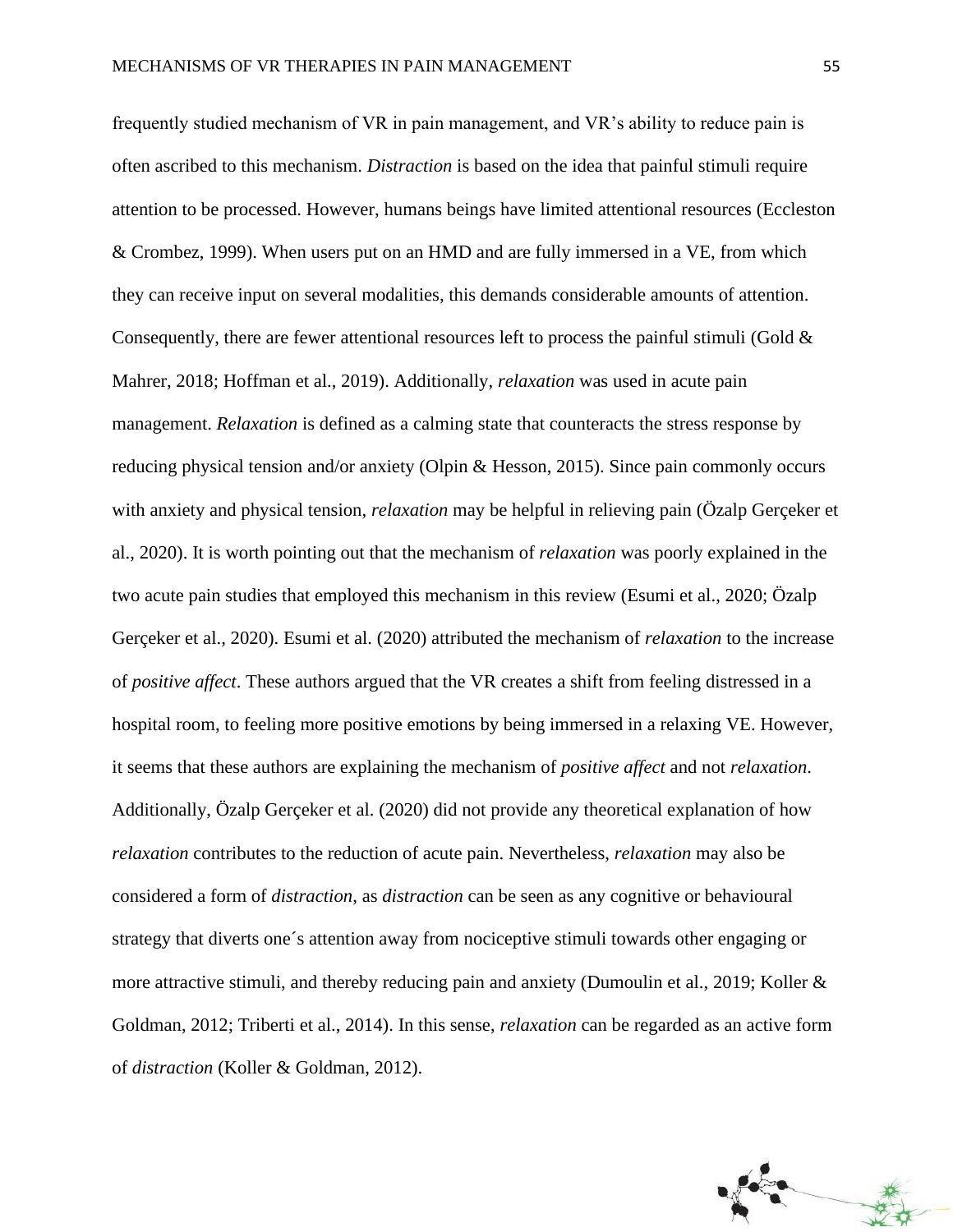frequently studied mechanism of VR in pain management, and VR's ability to reduce pain is often ascribed to this mechanism. *Distraction* is based on the idea that painful stimuli require attention to be processed. However, humans beings have limited attentional resources (Eccleston & Crombez, 1999). When users put on an HMD and are fully immersed in a VE, from which they can receive input on several modalities, this demands considerable amounts of attention. Consequently, there are fewer attentional resources left to process the painful stimuli (Gold  $\&$ Mahrer, 2018; Hoffman et al., 2019). Additionally, *relaxation* was used in acute pain management. *Relaxation* is defined as a calming state that counteracts the stress response by reducing physical tension and/or anxiety (Olpin & Hesson, 2015). Since pain commonly occurs with anxiety and physical tension, *relaxation* may be helpful in relieving pain (Özalp Gerçeker et al., 2020). It is worth pointing out that the mechanism of *relaxation* was poorly explained in the two acute pain studies that employed this mechanism in this review (Esumi et al., 2020; Özalp Gerçeker et al., 2020). Esumi et al. (2020) attributed the mechanism of *relaxation* to the increase of *positive affect*. These authors argued that the VR creates a shift from feeling distressed in a hospital room, to feeling more positive emotions by being immersed in a relaxing VE. However, it seems that these authors are explaining the mechanism of *positive affect* and not *relaxation*. Additionally, Özalp Gerçeker et al. (2020) did not provide any theoretical explanation of how *relaxation* contributes to the reduction of acute pain. Nevertheless, *relaxation* may also be considered a form of *distraction*, as *distraction* can be seen as any cognitive or behavioural strategy that diverts one´s attention away from nociceptive stimuli towards other engaging or more attractive stimuli, and thereby reducing pain and anxiety (Dumoulin et al., 2019; Koller & Goldman, 2012; Triberti et al., 2014). In this sense, *relaxation* can be regarded as an active form of *distraction* (Koller & Goldman, 2012).

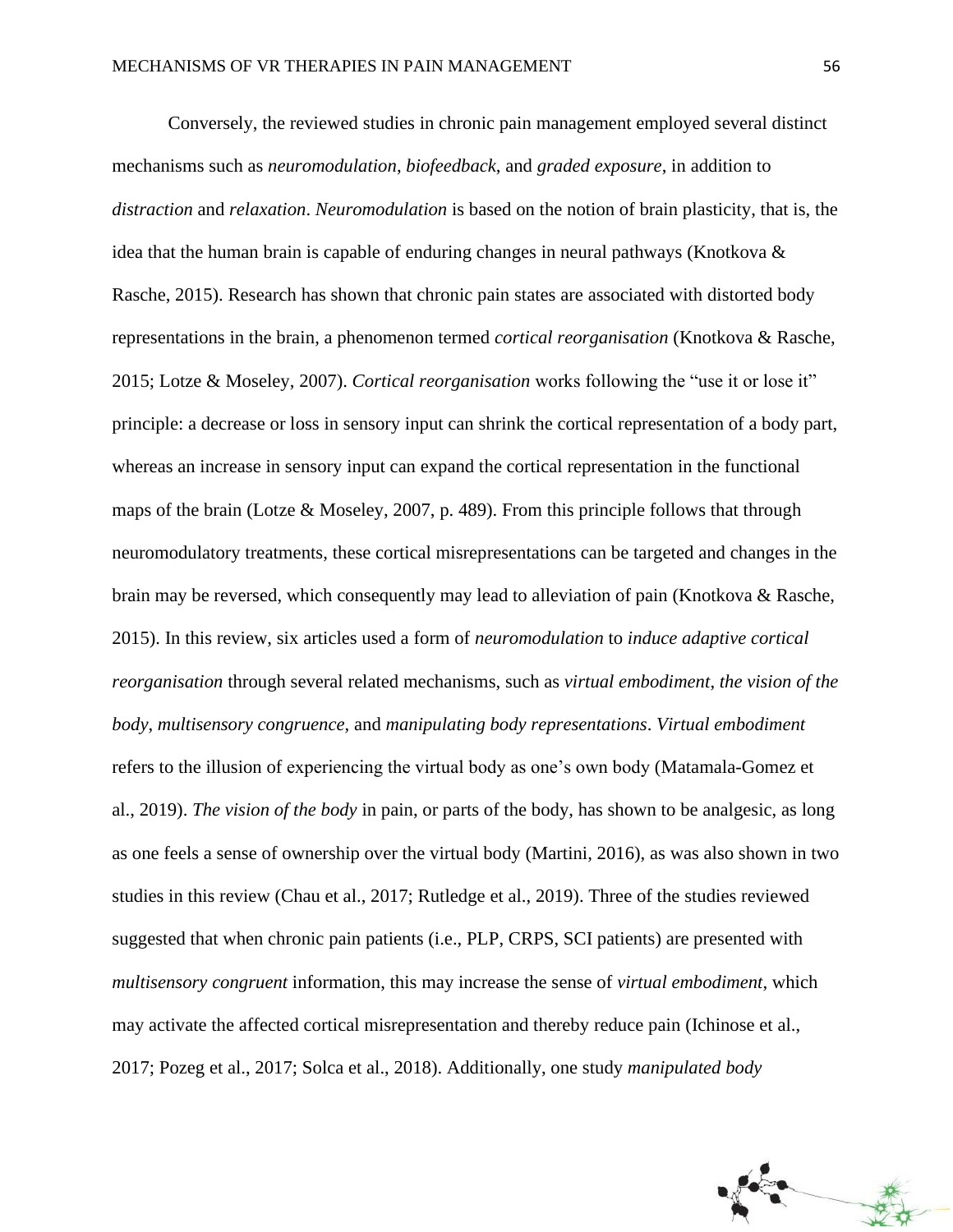Conversely, the reviewed studies in chronic pain management employed several distinct mechanisms such as *neuromodulation*, *biofeedback*, and *graded exposure*, in addition to *distraction* and *relaxation*. *Neuromodulation* is based on the notion of brain plasticity, that is, the idea that the human brain is capable of enduring changes in neural pathways (Knotkova & Rasche, 2015). Research has shown that chronic pain states are associated with distorted body representations in the brain, a phenomenon termed *cortical reorganisation* (Knotkova & Rasche, 2015; Lotze & Moseley, 2007). *Cortical reorganisation* works following the "use it or lose it" principle: a decrease or loss in sensory input can shrink the cortical representation of a body part, whereas an increase in sensory input can expand the cortical representation in the functional maps of the brain (Lotze & Moseley, 2007, p. 489). From this principle follows that through neuromodulatory treatments, these cortical misrepresentations can be targeted and changes in the brain may be reversed, which consequently may lead to alleviation of pain (Knotkova & Rasche, 2015). In this review, six articles used a form of *neuromodulation* to *induce adaptive cortical reorganisation* through several related mechanisms, such as *virtual embodiment*, *the vision of the body*, *multisensory congruence*, and *manipulating body representations*. *Virtual embodiment* refers to the illusion of experiencing the virtual body as one's own body (Matamala-Gomez et al., 2019). *The vision of the body* in pain, or parts of the body, has shown to be analgesic, as long as one feels a sense of ownership over the virtual body (Martini, 2016), as was also shown in two studies in this review (Chau et al., 2017; Rutledge et al., 2019). Three of the studies reviewed suggested that when chronic pain patients (i.e., PLP, CRPS, SCI patients) are presented with *multisensory congruent* information, this may increase the sense of *virtual embodiment*, which may activate the affected cortical misrepresentation and thereby reduce pain (Ichinose et al., 2017; Pozeg et al., 2017; Solca et al., 2018). Additionally, one study *manipulated body* 

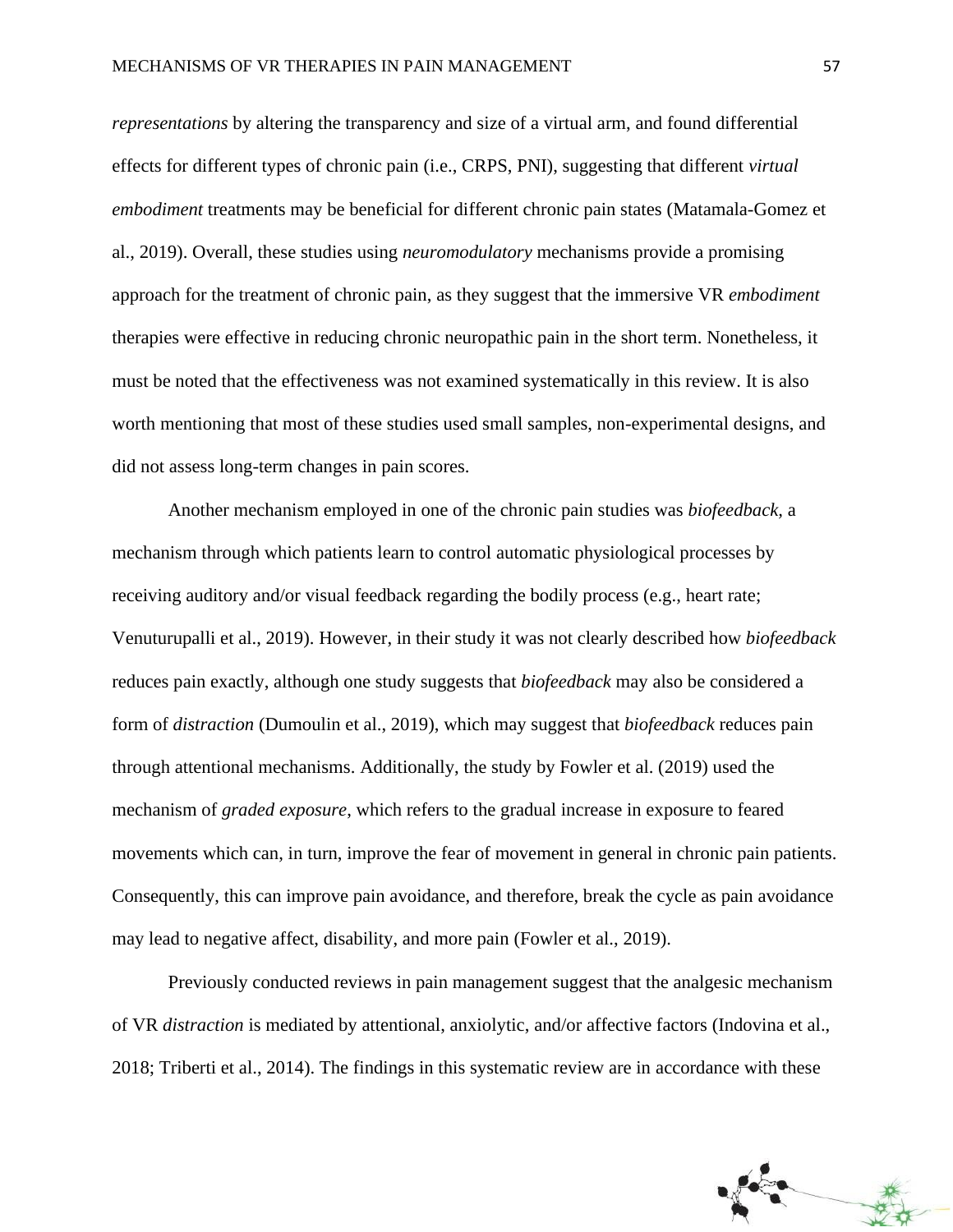*representations* by altering the transparency and size of a virtual arm, and found differential effects for different types of chronic pain (i.e., CRPS, PNI), suggesting that different *virtual embodiment* treatments may be beneficial for different chronic pain states (Matamala-Gomez et al., 2019). Overall, these studies using *neuromodulatory* mechanisms provide a promising approach for the treatment of chronic pain, as they suggest that the immersive VR *embodiment* therapies were effective in reducing chronic neuropathic pain in the short term. Nonetheless, it must be noted that the effectiveness was not examined systematically in this review. It is also worth mentioning that most of these studies used small samples, non-experimental designs, and did not assess long-term changes in pain scores.

Another mechanism employed in one of the chronic pain studies was *biofeedback,* a mechanism through which patients learn to control automatic physiological processes by receiving auditory and/or visual feedback regarding the bodily process (e.g., heart rate; Venuturupalli et al., 2019). However, in their study it was not clearly described how *biofeedback*  reduces pain exactly, although one study suggests that *biofeedback* may also be considered a form of *distraction* (Dumoulin et al., 2019), which may suggest that *biofeedback* reduces pain through attentional mechanisms. Additionally, the study by Fowler et al. (2019) used the mechanism of *graded exposure*, which refers to the gradual increase in exposure to feared movements which can, in turn, improve the fear of movement in general in chronic pain patients. Consequently, this can improve pain avoidance, and therefore, break the cycle as pain avoidance may lead to negative affect, disability, and more pain (Fowler et al., 2019).

Previously conducted reviews in pain management suggest that the analgesic mechanism of VR *distraction* is mediated by attentional, anxiolytic, and/or affective factors (Indovina et al., 2018; Triberti et al., 2014). The findings in this systematic review are in accordance with these

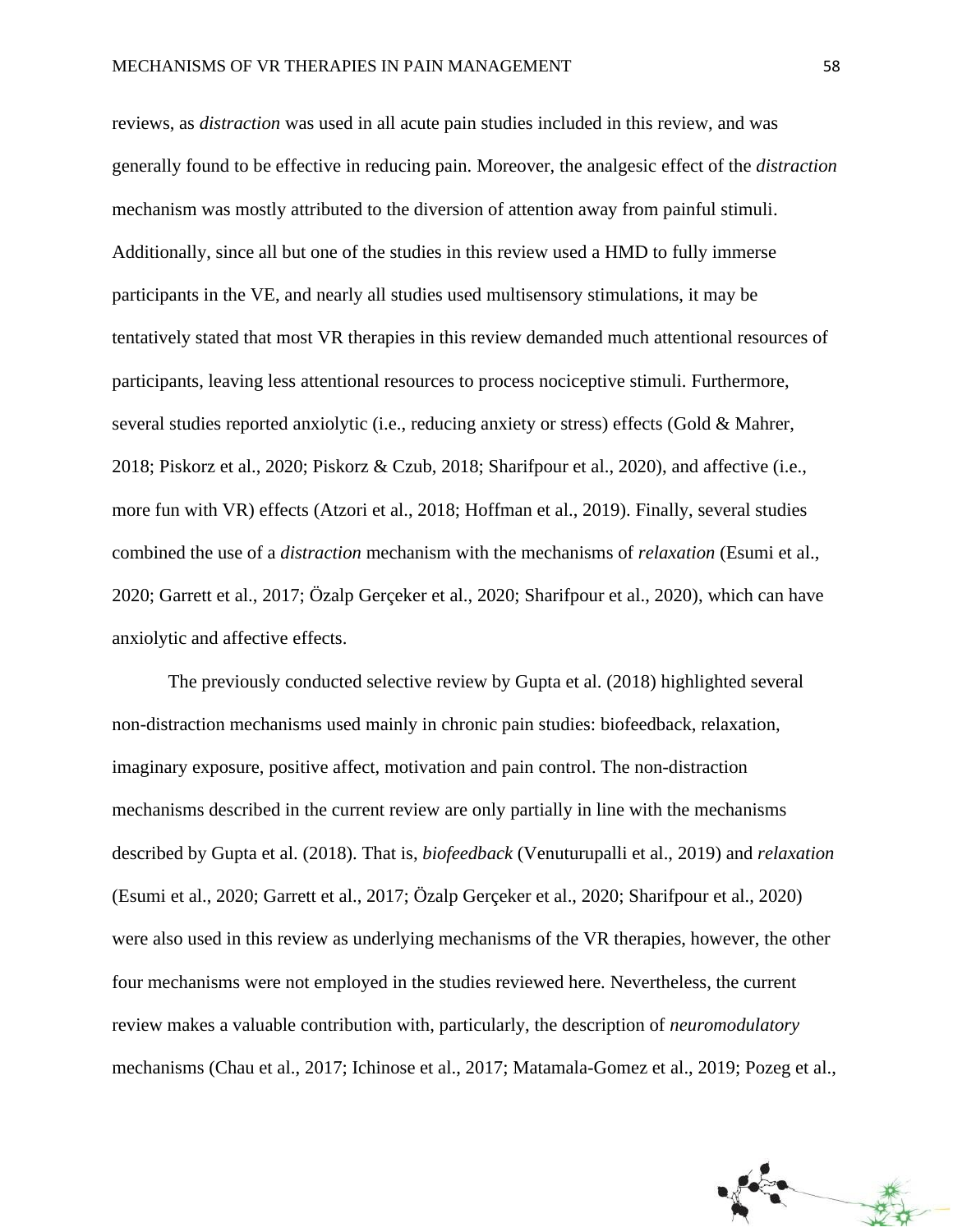reviews, as *distraction* was used in all acute pain studies included in this review, and was generally found to be effective in reducing pain. Moreover, the analgesic effect of the *distraction*  mechanism was mostly attributed to the diversion of attention away from painful stimuli. Additionally, since all but one of the studies in this review used a HMD to fully immerse participants in the VE, and nearly all studies used multisensory stimulations, it may be tentatively stated that most VR therapies in this review demanded much attentional resources of participants, leaving less attentional resources to process nociceptive stimuli. Furthermore, several studies reported anxiolytic (i.e., reducing anxiety or stress) effects (Gold & Mahrer, 2018; Piskorz et al., 2020; Piskorz & Czub, 2018; Sharifpour et al., 2020), and affective (i.e., more fun with VR) effects (Atzori et al., 2018; Hoffman et al., 2019). Finally, several studies combined the use of a *distraction* mechanism with the mechanisms of *relaxation* (Esumi et al., 2020; Garrett et al., 2017; Özalp Gerçeker et al., 2020; Sharifpour et al., 2020), which can have anxiolytic and affective effects.

The previously conducted selective review by Gupta et al. (2018) highlighted several non-distraction mechanisms used mainly in chronic pain studies: biofeedback, relaxation, imaginary exposure, positive affect, motivation and pain control. The non-distraction mechanisms described in the current review are only partially in line with the mechanisms described by Gupta et al. (2018). That is, *biofeedback* (Venuturupalli et al., 2019) and *relaxation* (Esumi et al., 2020; Garrett et al., 2017; Özalp Gerçeker et al., 2020; Sharifpour et al., 2020) were also used in this review as underlying mechanisms of the VR therapies, however, the other four mechanisms were not employed in the studies reviewed here. Nevertheless, the current review makes a valuable contribution with, particularly, the description of *neuromodulatory*  mechanisms (Chau et al., 2017; Ichinose et al., 2017; Matamala-Gomez et al., 2019; Pozeg et al.,

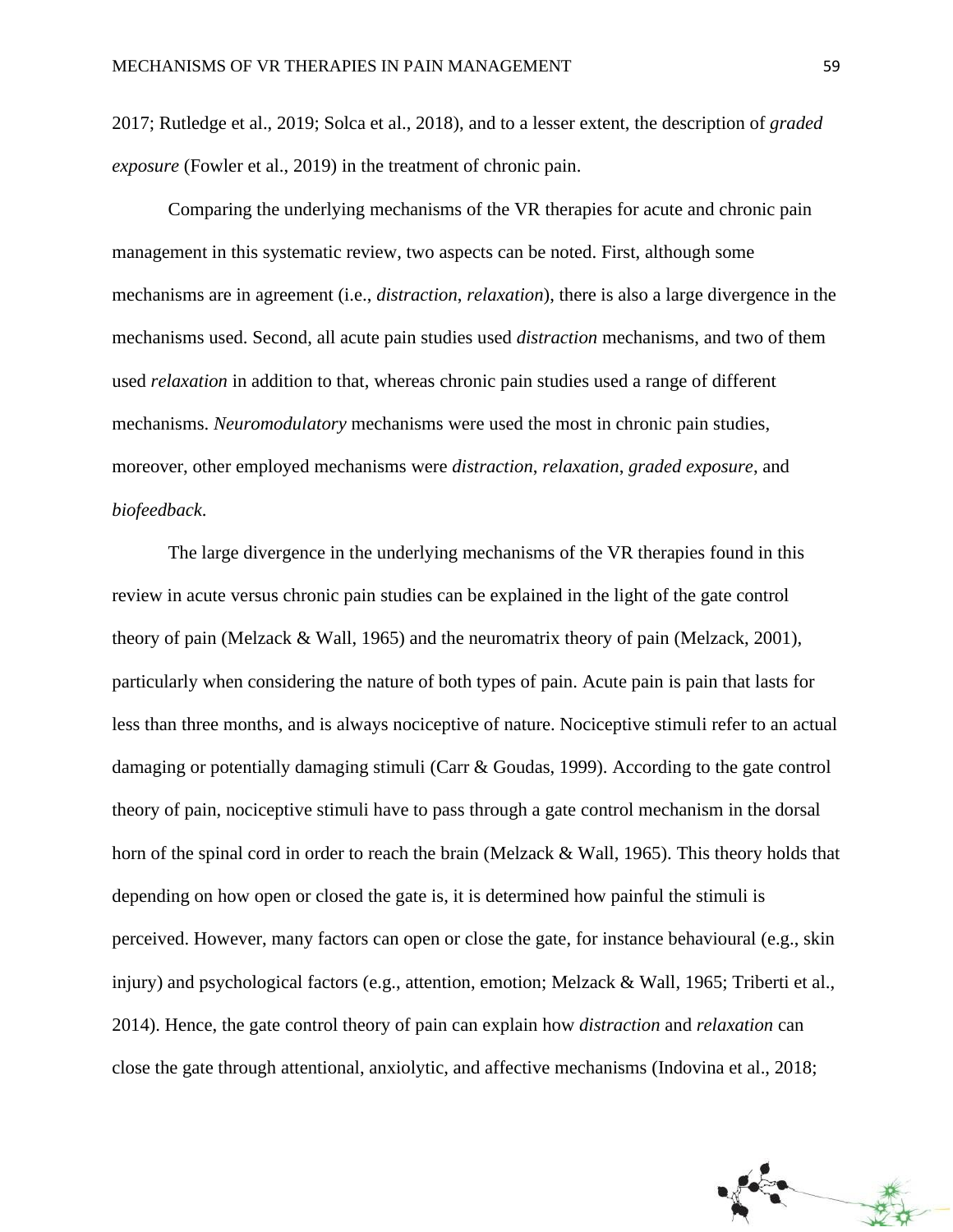2017; Rutledge et al., 2019; Solca et al., 2018), and to a lesser extent, the description of *graded exposure* (Fowler et al., 2019) in the treatment of chronic pain.

Comparing the underlying mechanisms of the VR therapies for acute and chronic pain management in this systematic review, two aspects can be noted. First, although some mechanisms are in agreement (i.e., *distraction*, *relaxation*), there is also a large divergence in the mechanisms used. Second, all acute pain studies used *distraction* mechanisms, and two of them used *relaxation* in addition to that, whereas chronic pain studies used a range of different mechanisms. *Neuromodulatory* mechanisms were used the most in chronic pain studies, moreover, other employed mechanisms were *distraction*, *relaxation*, *graded exposure*, and *biofeedback*.

The large divergence in the underlying mechanisms of the VR therapies found in this review in acute versus chronic pain studies can be explained in the light of the gate control theory of pain (Melzack & Wall, 1965) and the neuromatrix theory of pain (Melzack, 2001), particularly when considering the nature of both types of pain. Acute pain is pain that lasts for less than three months, and is always nociceptive of nature. Nociceptive stimuli refer to an actual damaging or potentially damaging stimuli (Carr & Goudas, 1999). According to the gate control theory of pain, nociceptive stimuli have to pass through a gate control mechanism in the dorsal horn of the spinal cord in order to reach the brain (Melzack & Wall, 1965). This theory holds that depending on how open or closed the gate is, it is determined how painful the stimuli is perceived. However, many factors can open or close the gate, for instance behavioural (e.g., skin injury) and psychological factors (e.g., attention, emotion; Melzack & Wall, 1965; Triberti et al., 2014). Hence, the gate control theory of pain can explain how *distraction* and *relaxation* can close the gate through attentional, anxiolytic, and affective mechanisms (Indovina et al., 2018;

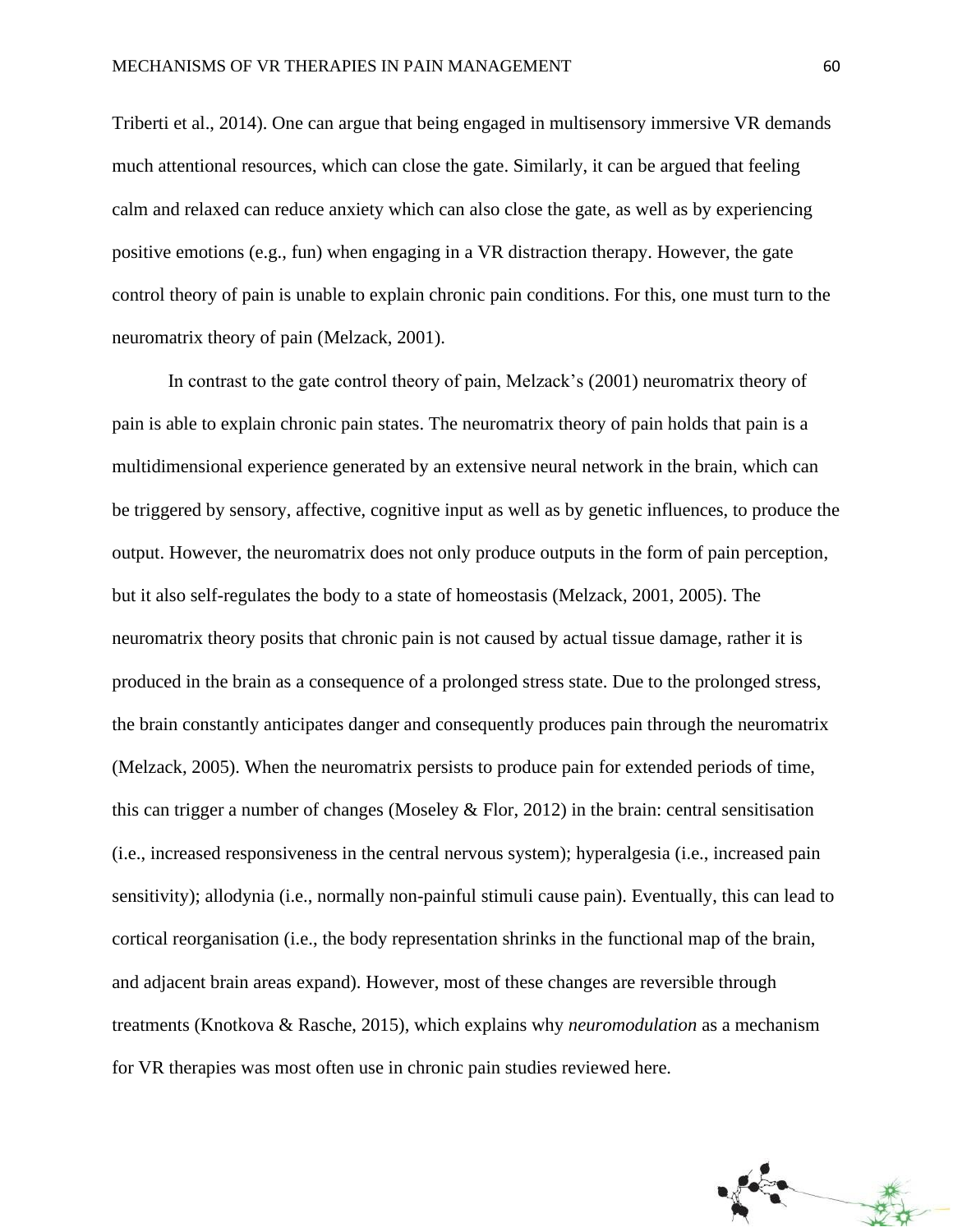Triberti et al., 2014). One can argue that being engaged in multisensory immersive VR demands much attentional resources, which can close the gate. Similarly, it can be argued that feeling calm and relaxed can reduce anxiety which can also close the gate, as well as by experiencing positive emotions (e.g., fun) when engaging in a VR distraction therapy. However, the gate control theory of pain is unable to explain chronic pain conditions. For this, one must turn to the neuromatrix theory of pain (Melzack, 2001).

In contrast to the gate control theory of pain, Melzack's (2001) neuromatrix theory of pain is able to explain chronic pain states. The neuromatrix theory of pain holds that pain is a multidimensional experience generated by an extensive neural network in the brain, which can be triggered by sensory, affective, cognitive input as well as by genetic influences, to produce the output. However, the neuromatrix does not only produce outputs in the form of pain perception, but it also self-regulates the body to a state of homeostasis (Melzack, 2001, 2005). The neuromatrix theory posits that chronic pain is not caused by actual tissue damage, rather it is produced in the brain as a consequence of a prolonged stress state. Due to the prolonged stress, the brain constantly anticipates danger and consequently produces pain through the neuromatrix (Melzack, 2005). When the neuromatrix persists to produce pain for extended periods of time, this can trigger a number of changes (Moseley & Flor, 2012) in the brain: central sensitisation (i.e., increased responsiveness in the central nervous system); hyperalgesia (i.e., increased pain sensitivity); allodynia (i.e., normally non-painful stimuli cause pain). Eventually, this can lead to cortical reorganisation (i.e., the body representation shrinks in the functional map of the brain, and adjacent brain areas expand). However, most of these changes are reversible through treatments (Knotkova & Rasche, 2015), which explains why *neuromodulation* as a mechanism for VR therapies was most often use in chronic pain studies reviewed here.

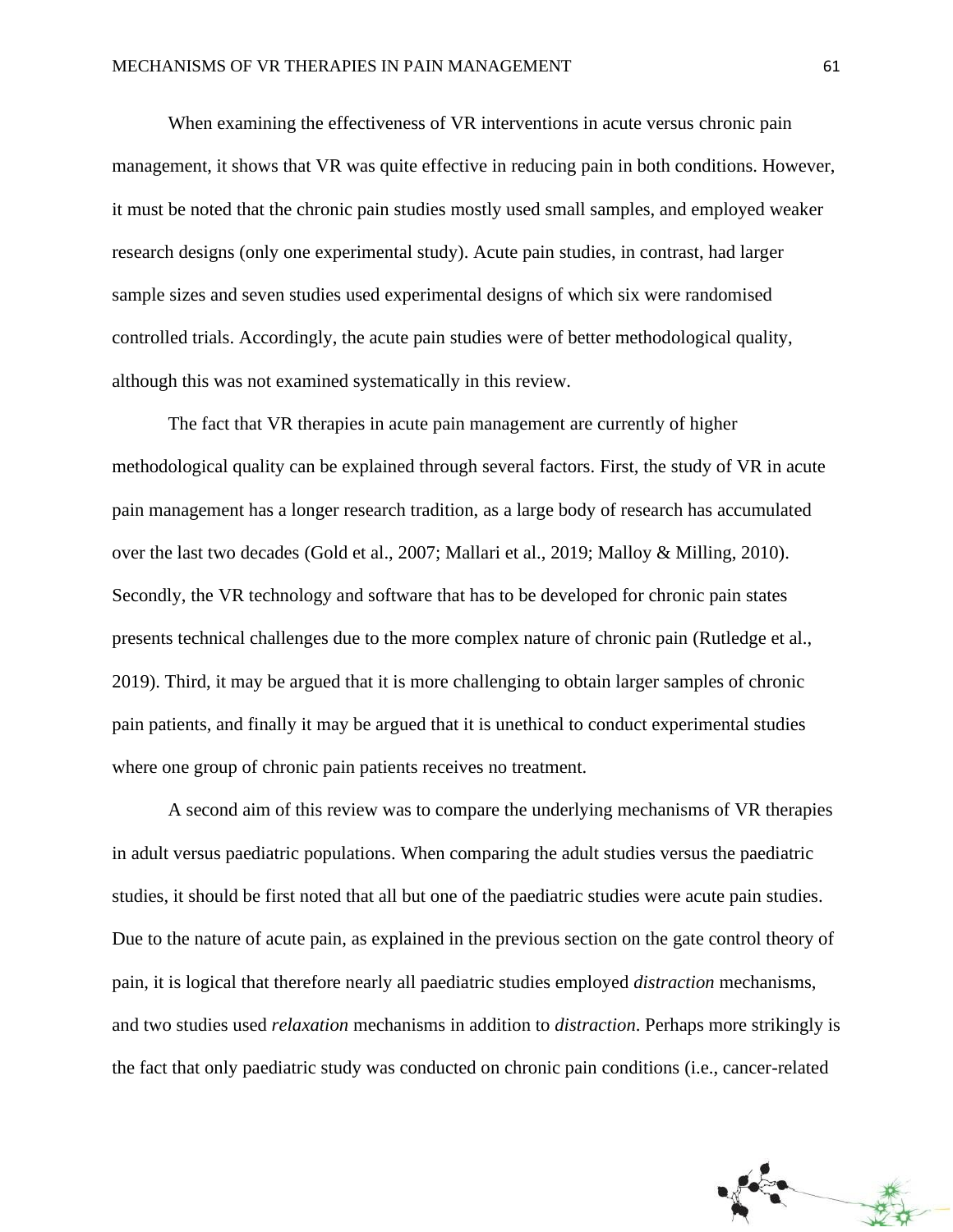When examining the effectiveness of VR interventions in acute versus chronic pain management, it shows that VR was quite effective in reducing pain in both conditions. However, it must be noted that the chronic pain studies mostly used small samples, and employed weaker research designs (only one experimental study). Acute pain studies, in contrast, had larger sample sizes and seven studies used experimental designs of which six were randomised controlled trials. Accordingly, the acute pain studies were of better methodological quality, although this was not examined systematically in this review.

The fact that VR therapies in acute pain management are currently of higher methodological quality can be explained through several factors. First, the study of VR in acute pain management has a longer research tradition, as a large body of research has accumulated over the last two decades (Gold et al., 2007; Mallari et al., 2019; Malloy & Milling, 2010). Secondly, the VR technology and software that has to be developed for chronic pain states presents technical challenges due to the more complex nature of chronic pain (Rutledge et al., 2019). Third, it may be argued that it is more challenging to obtain larger samples of chronic pain patients, and finally it may be argued that it is unethical to conduct experimental studies where one group of chronic pain patients receives no treatment.

A second aim of this review was to compare the underlying mechanisms of VR therapies in adult versus paediatric populations. When comparing the adult studies versus the paediatric studies, it should be first noted that all but one of the paediatric studies were acute pain studies. Due to the nature of acute pain, as explained in the previous section on the gate control theory of pain, it is logical that therefore nearly all paediatric studies employed *distraction* mechanisms, and two studies used *relaxation* mechanisms in addition to *distraction*. Perhaps more strikingly is the fact that only paediatric study was conducted on chronic pain conditions (i.e., cancer-related

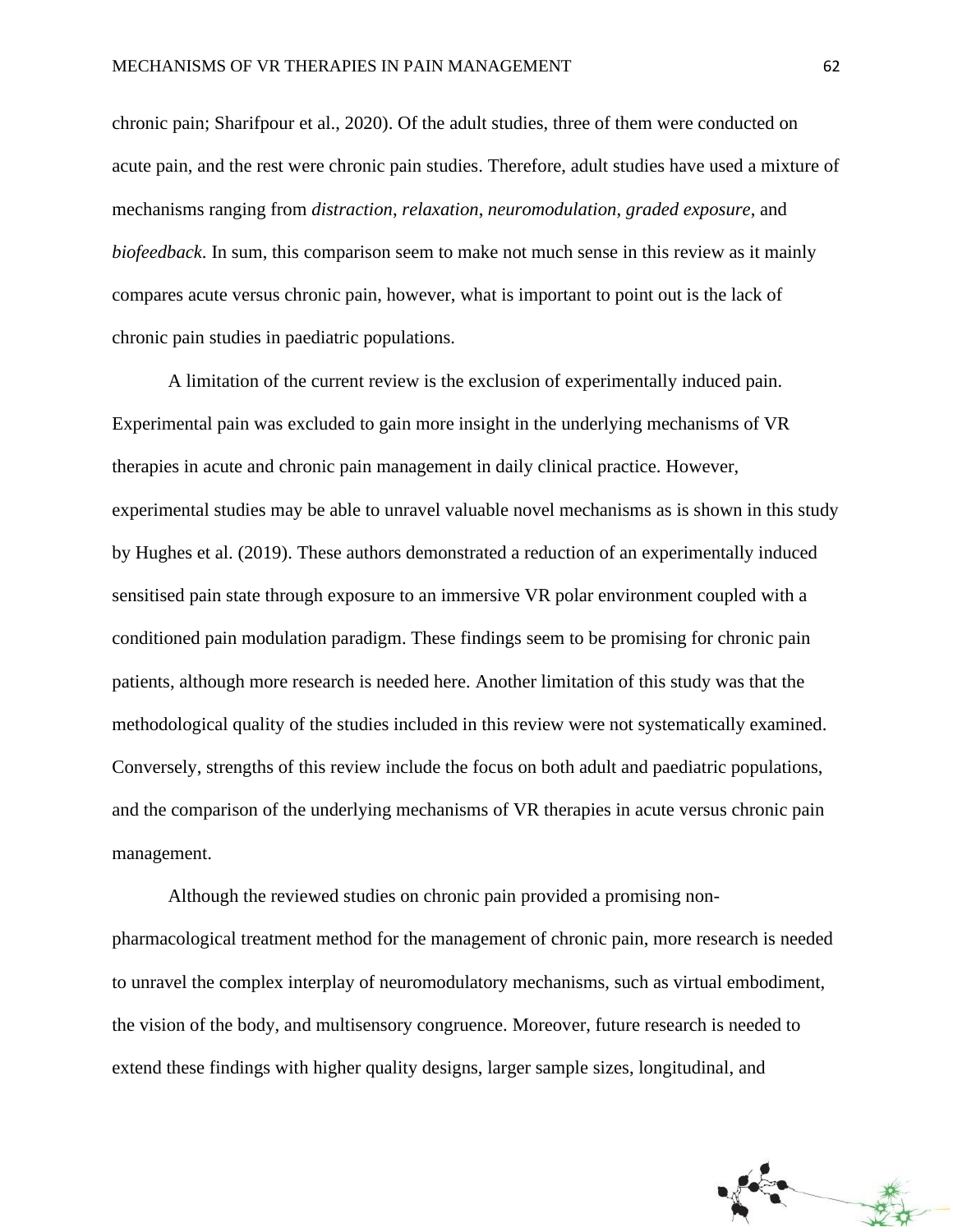chronic pain; Sharifpour et al., 2020). Of the adult studies, three of them were conducted on acute pain, and the rest were chronic pain studies. Therefore, adult studies have used a mixture of mechanisms ranging from *distraction*, *relaxation*, *neuromodulation*, *graded exposure*, and *biofeedback*. In sum, this comparison seem to make not much sense in this review as it mainly compares acute versus chronic pain, however, what is important to point out is the lack of chronic pain studies in paediatric populations.

A limitation of the current review is the exclusion of experimentally induced pain. Experimental pain was excluded to gain more insight in the underlying mechanisms of VR therapies in acute and chronic pain management in daily clinical practice. However, experimental studies may be able to unravel valuable novel mechanisms as is shown in this study by Hughes et al. (2019). These authors demonstrated a reduction of an experimentally induced sensitised pain state through exposure to an immersive VR polar environment coupled with a conditioned pain modulation paradigm. These findings seem to be promising for chronic pain patients, although more research is needed here. Another limitation of this study was that the methodological quality of the studies included in this review were not systematically examined. Conversely, strengths of this review include the focus on both adult and paediatric populations, and the comparison of the underlying mechanisms of VR therapies in acute versus chronic pain management.

Although the reviewed studies on chronic pain provided a promising nonpharmacological treatment method for the management of chronic pain, more research is needed to unravel the complex interplay of neuromodulatory mechanisms, such as virtual embodiment, the vision of the body, and multisensory congruence. Moreover, future research is needed to extend these findings with higher quality designs, larger sample sizes, longitudinal, and

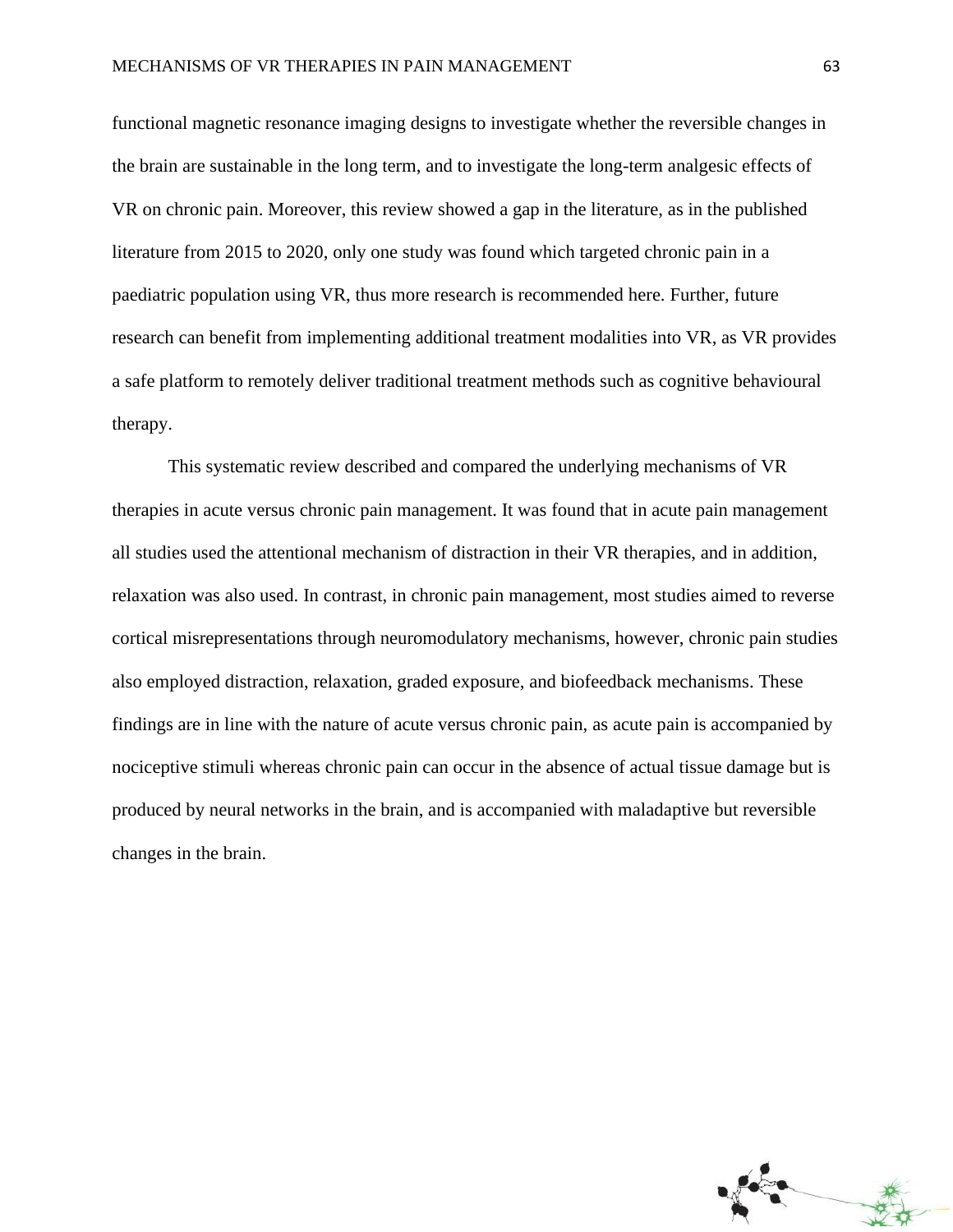functional magnetic resonance imaging designs to investigate whether the reversible changes in the brain are sustainable in the long term, and to investigate the long-term analgesic effects of VR on chronic pain. Moreover, this review showed a gap in the literature, as in the published literature from 2015 to 2020, only one study was found which targeted chronic pain in a paediatric population using VR, thus more research is recommended here. Further, future research can benefit from implementing additional treatment modalities into VR, as VR provides a safe platform to remotely deliver traditional treatment methods such as cognitive behavioural therapy.

This systematic review described and compared the underlying mechanisms of VR therapies in acute versus chronic pain management. It was found that in acute pain management all studies used the attentional mechanism of distraction in their VR therapies, and in addition, relaxation was also used. In contrast, in chronic pain management, most studies aimed to reverse cortical misrepresentations through neuromodulatory mechanisms, however, chronic pain studies also employed distraction, relaxation, graded exposure, and biofeedback mechanisms. These findings are in line with the nature of acute versus chronic pain, as acute pain is accompanied by nociceptive stimuli whereas chronic pain can occur in the absence of actual tissue damage but is produced by neural networks in the brain, and is accompanied with maladaptive but reversible changes in the brain.

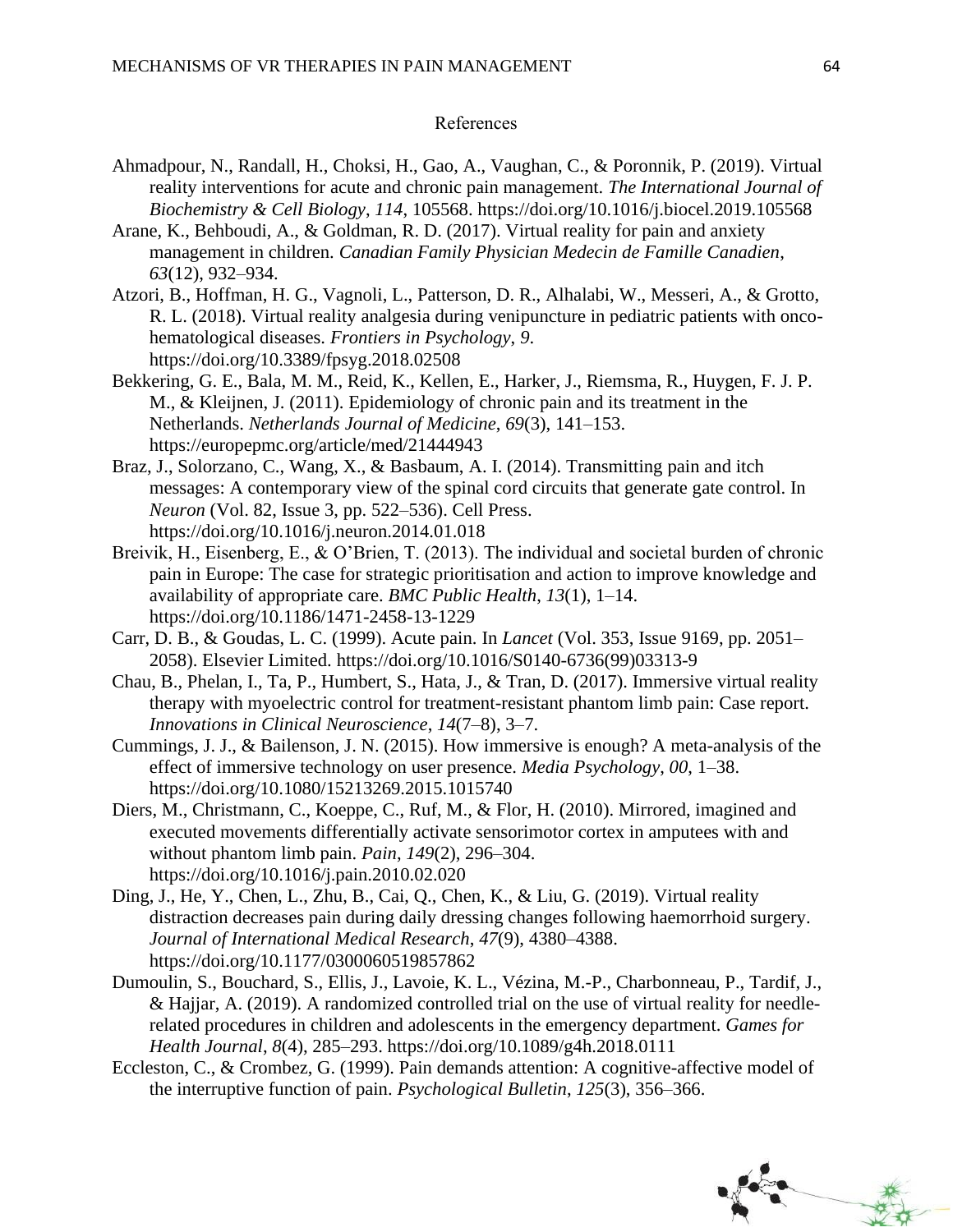### References

- Ahmadpour, N., Randall, H., Choksi, H., Gao, A., Vaughan, C., & Poronnik, P. (2019). Virtual reality interventions for acute and chronic pain management. *The International Journal of Biochemistry & Cell Biology*, *114*, 105568. https://doi.org/10.1016/j.biocel.2019.105568
- Arane, K., Behboudi, A., & Goldman, R. D. (2017). Virtual reality for pain and anxiety management in children. *Canadian Family Physician Medecin de Famille Canadien*, *63*(12), 932–934.
- Atzori, B., Hoffman, H. G., Vagnoli, L., Patterson, D. R., Alhalabi, W., Messeri, A., & Grotto, R. L. (2018). Virtual reality analgesia during venipuncture in pediatric patients with oncohematological diseases. *Frontiers in Psychology*, *9*. https://doi.org/10.3389/fpsyg.2018.02508
- Bekkering, G. E., Bala, M. M., Reid, K., Kellen, E., Harker, J., Riemsma, R., Huygen, F. J. P. M., & Kleijnen, J. (2011). Epidemiology of chronic pain and its treatment in the Netherlands. *Netherlands Journal of Medicine*, *69*(3), 141–153. https://europepmc.org/article/med/21444943
- Braz, J., Solorzano, C., Wang, X., & Basbaum, A. I. (2014). Transmitting pain and itch messages: A contemporary view of the spinal cord circuits that generate gate control. In *Neuron* (Vol. 82, Issue 3, pp. 522–536). Cell Press. https://doi.org/10.1016/j.neuron.2014.01.018
- Breivik, H., Eisenberg, E., & O'Brien, T. (2013). The individual and societal burden of chronic pain in Europe: The case for strategic prioritisation and action to improve knowledge and availability of appropriate care. *BMC Public Health*, *13*(1), 1–14. https://doi.org/10.1186/1471-2458-13-1229
- Carr, D. B., & Goudas, L. C. (1999). Acute pain. In *Lancet* (Vol. 353, Issue 9169, pp. 2051– 2058). Elsevier Limited. https://doi.org/10.1016/S0140-6736(99)03313-9
- Chau, B., Phelan, I., Ta, P., Humbert, S., Hata, J., & Tran, D. (2017). Immersive virtual reality therapy with myoelectric control for treatment-resistant phantom limb pain: Case report. *Innovations in Clinical Neuroscience*, *14*(7–8), 3–7.
- Cummings, J. J., & Bailenson, J. N. (2015). How immersive is enough? A meta-analysis of the effect of immersive technology on user presence. *Media Psychology*, *00*, 1–38. https://doi.org/10.1080/15213269.2015.1015740
- Diers, M., Christmann, C., Koeppe, C., Ruf, M., & Flor, H. (2010). Mirrored, imagined and executed movements differentially activate sensorimotor cortex in amputees with and without phantom limb pain. *Pain*, *149*(2), 296–304. https://doi.org/10.1016/j.pain.2010.02.020
- Ding, J., He, Y., Chen, L., Zhu, B., Cai, Q., Chen, K., & Liu, G. (2019). Virtual reality distraction decreases pain during daily dressing changes following haemorrhoid surgery. *Journal of International Medical Research*, *47*(9), 4380–4388. https://doi.org/10.1177/0300060519857862
- Dumoulin, S., Bouchard, S., Ellis, J., Lavoie, K. L., Vézina, M.-P., Charbonneau, P., Tardif, J., & Hajjar, A. (2019). A randomized controlled trial on the use of virtual reality for needlerelated procedures in children and adolescents in the emergency department. *Games for Health Journal*, *8*(4), 285–293. https://doi.org/10.1089/g4h.2018.0111
- Eccleston, C., & Crombez, G. (1999). Pain demands attention: A cognitive-affective model of the interruptive function of pain. *Psychological Bulletin*, *125*(3), 356–366.

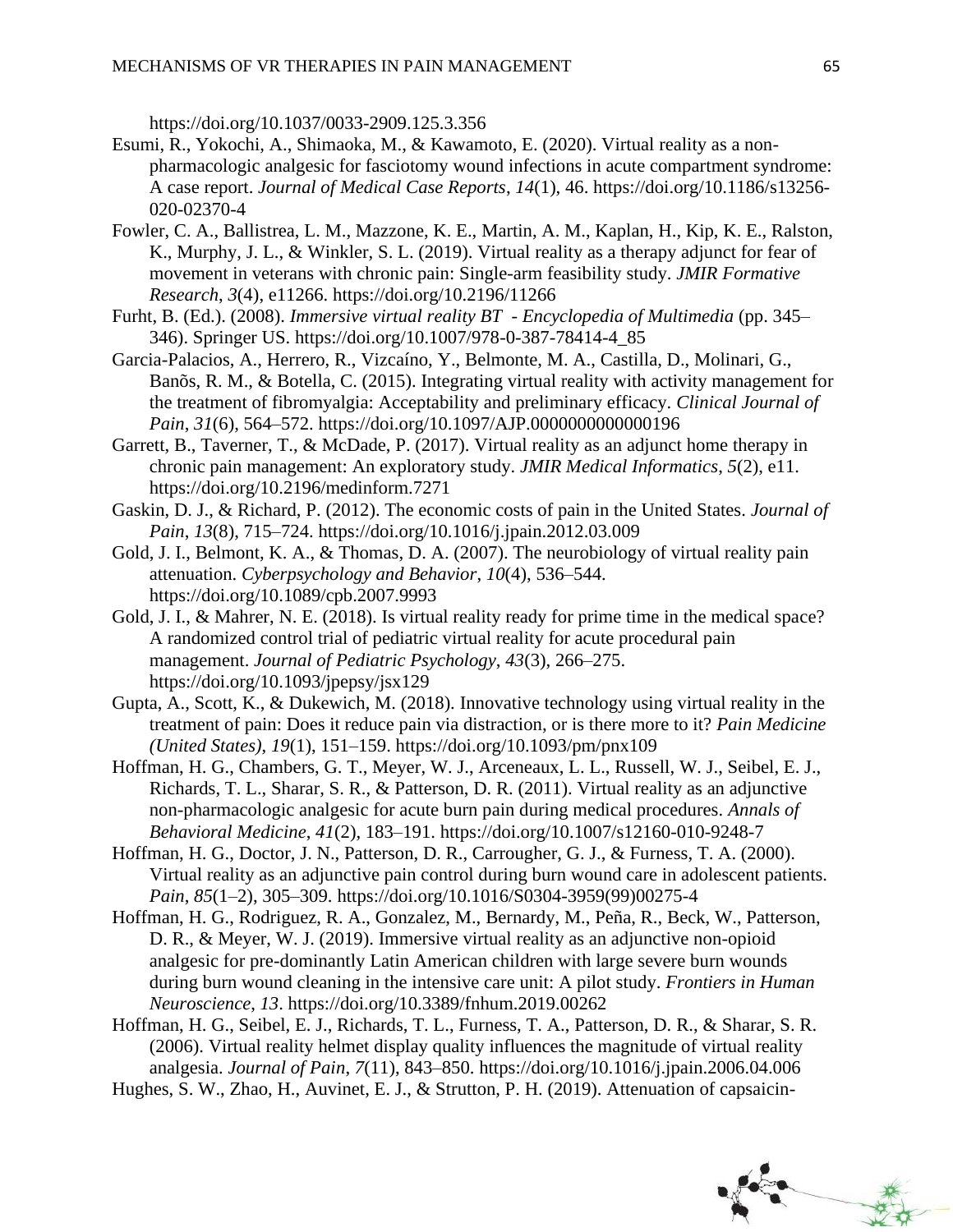https://doi.org/10.1037/0033-2909.125.3.356

- Esumi, R., Yokochi, A., Shimaoka, M., & Kawamoto, E. (2020). Virtual reality as a nonpharmacologic analgesic for fasciotomy wound infections in acute compartment syndrome: A case report. *Journal of Medical Case Reports*, *14*(1), 46. https://doi.org/10.1186/s13256- 020-02370-4
- Fowler, C. A., Ballistrea, L. M., Mazzone, K. E., Martin, A. M., Kaplan, H., Kip, K. E., Ralston, K., Murphy, J. L., & Winkler, S. L. (2019). Virtual reality as a therapy adjunct for fear of movement in veterans with chronic pain: Single-arm feasibility study. *JMIR Formative Research*, *3*(4), e11266. https://doi.org/10.2196/11266
- Furht, B. (Ed.). (2008). *Immersive virtual reality BT - Encyclopedia of Multimedia* (pp. 345– 346). Springer US. https://doi.org/10.1007/978-0-387-78414-4\_85
- Garcia-Palacios, A., Herrero, R., Vizcaíno, Y., Belmonte, M. A., Castilla, D., Molinari, G., Banõs, R. M., & Botella, C. (2015). Integrating virtual reality with activity management for the treatment of fibromyalgia: Acceptability and preliminary efficacy. *Clinical Journal of Pain*, *31*(6), 564–572. https://doi.org/10.1097/AJP.0000000000000196
- Garrett, B., Taverner, T., & McDade, P. (2017). Virtual reality as an adjunct home therapy in chronic pain management: An exploratory study. *JMIR Medical Informatics*, *5*(2), e11. https://doi.org/10.2196/medinform.7271
- Gaskin, D. J., & Richard, P. (2012). The economic costs of pain in the United States. *Journal of Pain*, *13*(8), 715–724. https://doi.org/10.1016/j.jpain.2012.03.009
- Gold, J. I., Belmont, K. A., & Thomas, D. A. (2007). The neurobiology of virtual reality pain attenuation. *Cyberpsychology and Behavior*, *10*(4), 536–544. https://doi.org/10.1089/cpb.2007.9993
- Gold, J. I., & Mahrer, N. E. (2018). Is virtual reality ready for prime time in the medical space? A randomized control trial of pediatric virtual reality for acute procedural pain management. *Journal of Pediatric Psychology*, *43*(3), 266–275. https://doi.org/10.1093/jpepsy/jsx129
- Gupta, A., Scott, K., & Dukewich, M. (2018). Innovative technology using virtual reality in the treatment of pain: Does it reduce pain via distraction, or is there more to it? *Pain Medicine (United States)*, *19*(1), 151–159. https://doi.org/10.1093/pm/pnx109
- Hoffman, H. G., Chambers, G. T., Meyer, W. J., Arceneaux, L. L., Russell, W. J., Seibel, E. J., Richards, T. L., Sharar, S. R., & Patterson, D. R. (2011). Virtual reality as an adjunctive non-pharmacologic analgesic for acute burn pain during medical procedures. *Annals of Behavioral Medicine*, *41*(2), 183–191. https://doi.org/10.1007/s12160-010-9248-7
- Hoffman, H. G., Doctor, J. N., Patterson, D. R., Carrougher, G. J., & Furness, T. A. (2000). Virtual reality as an adjunctive pain control during burn wound care in adolescent patients. *Pain*, *85*(1–2), 305–309. https://doi.org/10.1016/S0304-3959(99)00275-4
- Hoffman, H. G., Rodriguez, R. A., Gonzalez, M., Bernardy, M., Peña, R., Beck, W., Patterson, D. R., & Meyer, W. J. (2019). Immersive virtual reality as an adjunctive non-opioid analgesic for pre-dominantly Latin American children with large severe burn wounds during burn wound cleaning in the intensive care unit: A pilot study. *Frontiers in Human Neuroscience*, *13*. https://doi.org/10.3389/fnhum.2019.00262
- Hoffman, H. G., Seibel, E. J., Richards, T. L., Furness, T. A., Patterson, D. R., & Sharar, S. R. (2006). Virtual reality helmet display quality influences the magnitude of virtual reality analgesia. *Journal of Pain*, *7*(11), 843–850. https://doi.org/10.1016/j.jpain.2006.04.006
- Hughes, S. W., Zhao, H., Auvinet, E. J., & Strutton, P. H. (2019). Attenuation of capsaicin-

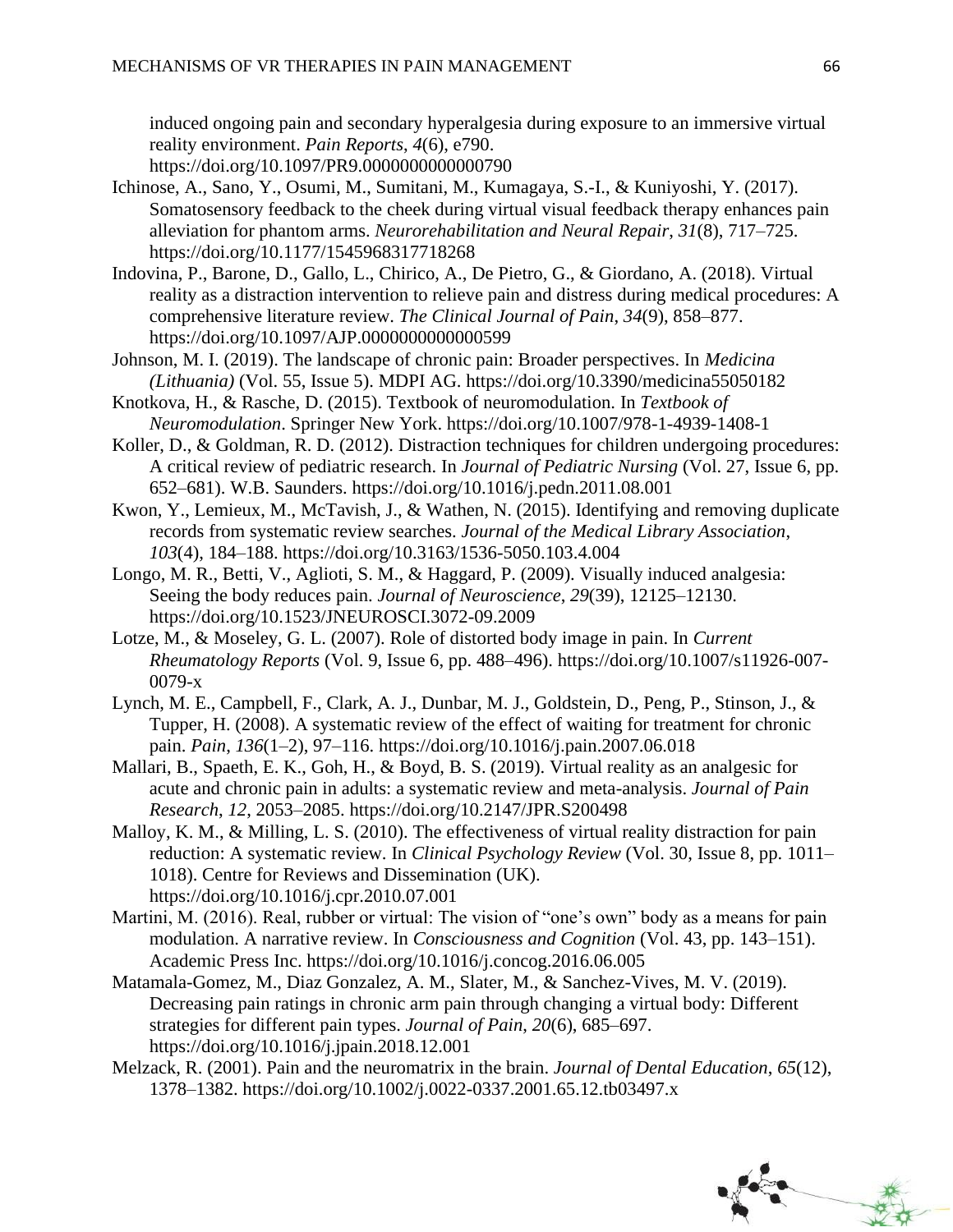induced ongoing pain and secondary hyperalgesia during exposure to an immersive virtual reality environment. *Pain Reports*, *4*(6), e790.

- https://doi.org/10.1097/PR9.0000000000000790
- Ichinose, A., Sano, Y., Osumi, M., Sumitani, M., Kumagaya, S.-I., & Kuniyoshi, Y. (2017). Somatosensory feedback to the cheek during virtual visual feedback therapy enhances pain alleviation for phantom arms. *Neurorehabilitation and Neural Repair*, *31*(8), 717–725. https://doi.org/10.1177/1545968317718268
- Indovina, P., Barone, D., Gallo, L., Chirico, A., De Pietro, G., & Giordano, A. (2018). Virtual reality as a distraction intervention to relieve pain and distress during medical procedures: A comprehensive literature review. *The Clinical Journal of Pain*, *34*(9), 858–877. https://doi.org/10.1097/AJP.0000000000000599
- Johnson, M. I. (2019). The landscape of chronic pain: Broader perspectives. In *Medicina (Lithuania)* (Vol. 55, Issue 5). MDPI AG. https://doi.org/10.3390/medicina55050182
- Knotkova, H., & Rasche, D. (2015). Textbook of neuromodulation. In *Textbook of Neuromodulation*. Springer New York. https://doi.org/10.1007/978-1-4939-1408-1
- Koller, D., & Goldman, R. D. (2012). Distraction techniques for children undergoing procedures: A critical review of pediatric research. In *Journal of Pediatric Nursing* (Vol. 27, Issue 6, pp. 652–681). W.B. Saunders. https://doi.org/10.1016/j.pedn.2011.08.001
- Kwon, Y., Lemieux, M., McTavish, J., & Wathen, N. (2015). Identifying and removing duplicate records from systematic review searches. *Journal of the Medical Library Association*, *103*(4), 184–188. https://doi.org/10.3163/1536-5050.103.4.004
- Longo, M. R., Betti, V., Aglioti, S. M., & Haggard, P. (2009). Visually induced analgesia: Seeing the body reduces pain. *Journal of Neuroscience*, *29*(39), 12125–12130. https://doi.org/10.1523/JNEUROSCI.3072-09.2009
- Lotze, M., & Moseley, G. L. (2007). Role of distorted body image in pain. In *Current Rheumatology Reports* (Vol. 9, Issue 6, pp. 488–496). https://doi.org/10.1007/s11926-007- 0079-x
- Lynch, M. E., Campbell, F., Clark, A. J., Dunbar, M. J., Goldstein, D., Peng, P., Stinson, J., & Tupper, H. (2008). A systematic review of the effect of waiting for treatment for chronic pain. *Pain*, *136*(1–2), 97–116. https://doi.org/10.1016/j.pain.2007.06.018
- Mallari, B., Spaeth, E. K., Goh, H., & Boyd, B. S. (2019). Virtual reality as an analgesic for acute and chronic pain in adults: a systematic review and meta-analysis. *Journal of Pain Research*, *12*, 2053–2085. https://doi.org/10.2147/JPR.S200498
- Malloy, K. M., & Milling, L. S. (2010). The effectiveness of virtual reality distraction for pain reduction: A systematic review. In *Clinical Psychology Review* (Vol. 30, Issue 8, pp. 1011– 1018). Centre for Reviews and Dissemination (UK). https://doi.org/10.1016/j.cpr.2010.07.001
- Martini, M. (2016). Real, rubber or virtual: The vision of "one's own" body as a means for pain modulation. A narrative review. In *Consciousness and Cognition* (Vol. 43, pp. 143–151). Academic Press Inc. https://doi.org/10.1016/j.concog.2016.06.005
- Matamala-Gomez, M., Diaz Gonzalez, A. M., Slater, M., & Sanchez-Vives, M. V. (2019). Decreasing pain ratings in chronic arm pain through changing a virtual body: Different strategies for different pain types. *Journal of Pain*, *20*(6), 685–697. https://doi.org/10.1016/j.jpain.2018.12.001
- Melzack, R. (2001). Pain and the neuromatrix in the brain. *Journal of Dental Education*, *65*(12), 1378–1382. https://doi.org/10.1002/j.0022-0337.2001.65.12.tb03497.x

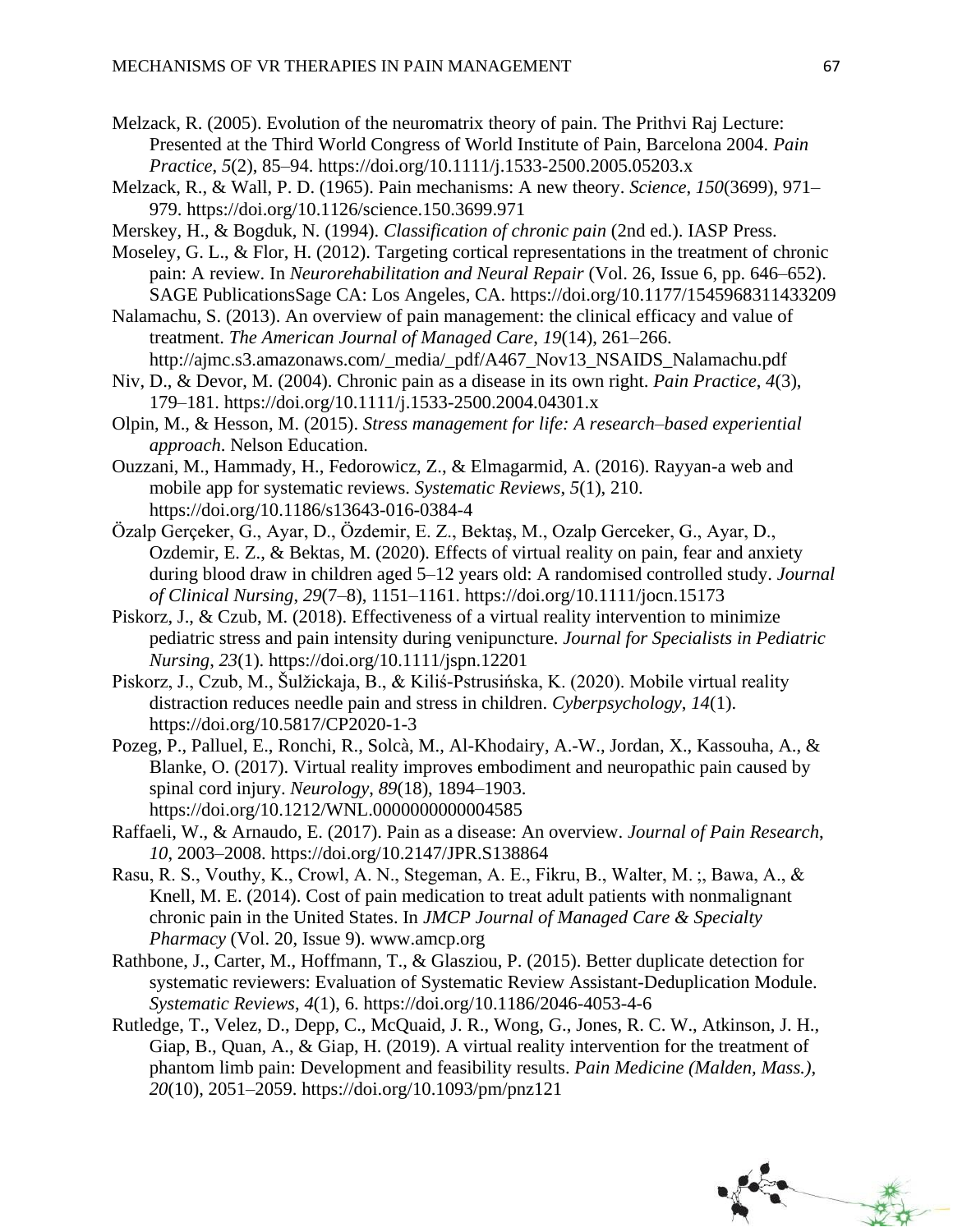- Melzack, R. (2005). Evolution of the neuromatrix theory of pain. The Prithvi Raj Lecture: Presented at the Third World Congress of World Institute of Pain, Barcelona 2004. *Pain Practice*, *5*(2), 85–94. https://doi.org/10.1111/j.1533-2500.2005.05203.x
- Melzack, R., & Wall, P. D. (1965). Pain mechanisms: A new theory. *Science*, *150*(3699), 971– 979. https://doi.org/10.1126/science.150.3699.971
- Merskey, H., & Bogduk, N. (1994). *Classification of chronic pain* (2nd ed.). IASP Press.
- Moseley, G. L., & Flor, H. (2012). Targeting cortical representations in the treatment of chronic pain: A review. In *Neurorehabilitation and Neural Repair* (Vol. 26, Issue 6, pp. 646–652). SAGE PublicationsSage CA: Los Angeles, CA. https://doi.org/10.1177/1545968311433209
- Nalamachu, S. (2013). An overview of pain management: the clinical efficacy and value of treatment. *The American Journal of Managed Care*, *19*(14), 261–266. http://ajmc.s3.amazonaws.com/\_media/\_pdf/A467\_Nov13\_NSAIDS\_Nalamachu.pdf
- Niv, D., & Devor, M. (2004). Chronic pain as a disease in its own right. *Pain Practice*, *4*(3), 179–181. https://doi.org/10.1111/j.1533-2500.2004.04301.x
- Olpin, M., & Hesson, M. (2015). *Stress management for life: A research–based experiential approach*. Nelson Education.
- Ouzzani, M., Hammady, H., Fedorowicz, Z., & Elmagarmid, A. (2016). Rayyan-a web and mobile app for systematic reviews. *Systematic Reviews*, *5*(1), 210. https://doi.org/10.1186/s13643-016-0384-4
- Özalp Gerçeker, G., Ayar, D., Özdemir, E. Z., Bektaş, M., Ozalp Gerceker, G., Ayar, D., Ozdemir, E. Z., & Bektas, M. (2020). Effects of virtual reality on pain, fear and anxiety during blood draw in children aged 5–12 years old: A randomised controlled study. *Journal of Clinical Nursing*, *29*(7–8), 1151–1161. https://doi.org/10.1111/jocn.15173
- Piskorz, J., & Czub, M. (2018). Effectiveness of a virtual reality intervention to minimize pediatric stress and pain intensity during venipuncture. *Journal for Specialists in Pediatric Nursing*, *23*(1). https://doi.org/10.1111/jspn.12201
- Piskorz, J., Czub, M., Šulžickaja, B., & Kiliś-Pstrusińska, K. (2020). Mobile virtual reality distraction reduces needle pain and stress in children. *Cyberpsychology*, *14*(1). https://doi.org/10.5817/CP2020-1-3
- Pozeg, P., Palluel, E., Ronchi, R., Solcà, M., Al-Khodairy, A.-W., Jordan, X., Kassouha, A., & Blanke, O. (2017). Virtual reality improves embodiment and neuropathic pain caused by spinal cord injury. *Neurology*, *89*(18), 1894–1903. https://doi.org/10.1212/WNL.0000000000004585
- Raffaeli, W., & Arnaudo, E. (2017). Pain as a disease: An overview. *Journal of Pain Research*, *10*, 2003–2008. https://doi.org/10.2147/JPR.S138864
- Rasu, R. S., Vouthy, K., Crowl, A. N., Stegeman, A. E., Fikru, B., Walter, M. ;, Bawa, A., & Knell, M. E. (2014). Cost of pain medication to treat adult patients with nonmalignant chronic pain in the United States. In *JMCP Journal of Managed Care & Specialty Pharmacy* (Vol. 20, Issue 9). www.amcp.org
- Rathbone, J., Carter, M., Hoffmann, T., & Glasziou, P. (2015). Better duplicate detection for systematic reviewers: Evaluation of Systematic Review Assistant-Deduplication Module. *Systematic Reviews*, *4*(1), 6. https://doi.org/10.1186/2046-4053-4-6
- Rutledge, T., Velez, D., Depp, C., McQuaid, J. R., Wong, G., Jones, R. C. W., Atkinson, J. H., Giap, B., Quan, A., & Giap, H. (2019). A virtual reality intervention for the treatment of phantom limb pain: Development and feasibility results. *Pain Medicine (Malden, Mass.)*, *20*(10), 2051–2059. https://doi.org/10.1093/pm/pnz121

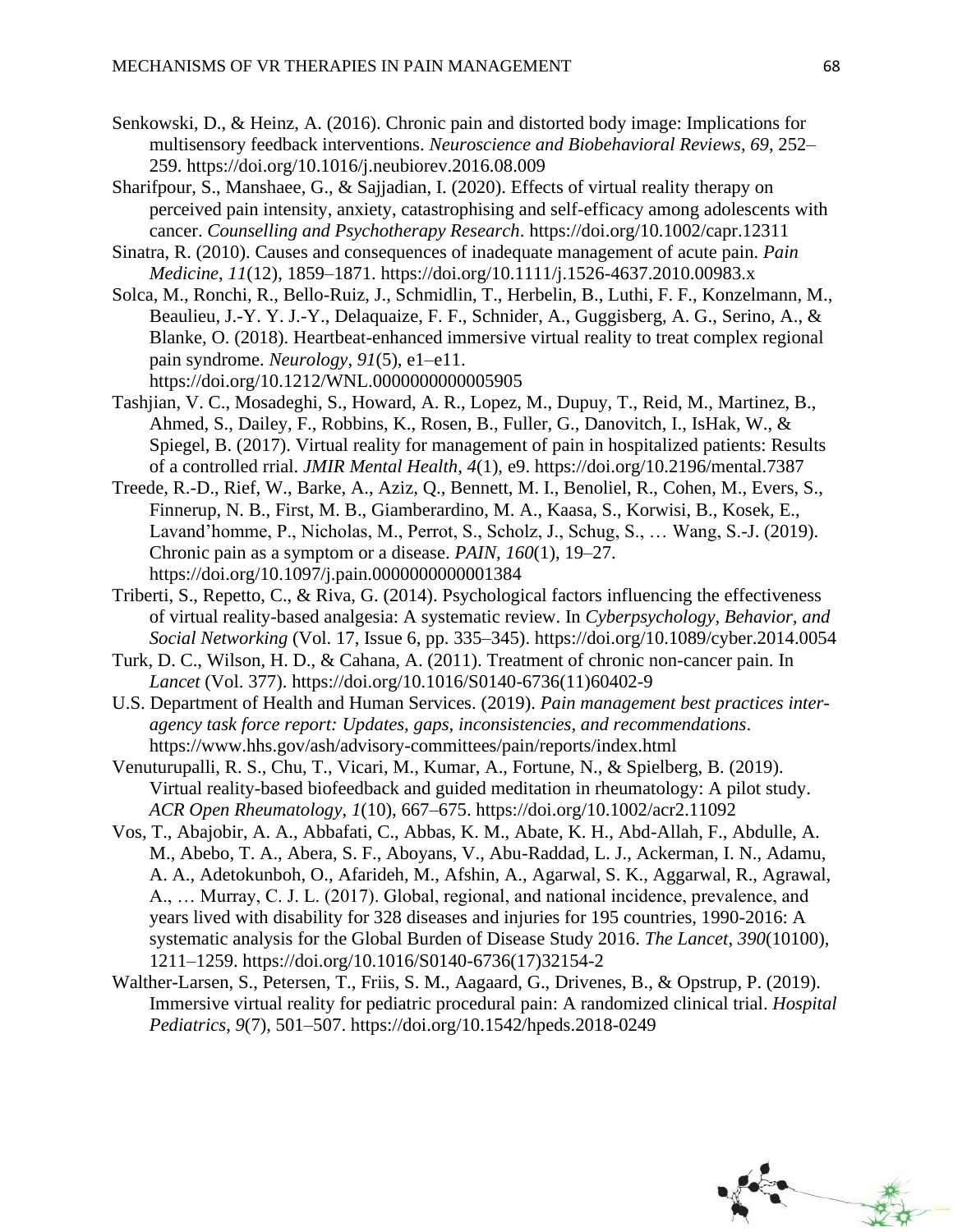- Senkowski, D., & Heinz, A. (2016). Chronic pain and distorted body image: Implications for multisensory feedback interventions. *Neuroscience and Biobehavioral Reviews*, *69*, 252– 259. https://doi.org/10.1016/j.neubiorev.2016.08.009
- Sharifpour, S., Manshaee, G., & Sajjadian, I. (2020). Effects of virtual reality therapy on perceived pain intensity, anxiety, catastrophising and self-efficacy among adolescents with cancer. *Counselling and Psychotherapy Research*. https://doi.org/10.1002/capr.12311
- Sinatra, R. (2010). Causes and consequences of inadequate management of acute pain. *Pain Medicine*, *11*(12), 1859–1871. https://doi.org/10.1111/j.1526-4637.2010.00983.x
- Solca, M., Ronchi, R., Bello-Ruiz, J., Schmidlin, T., Herbelin, B., Luthi, F. F., Konzelmann, M., Beaulieu, J.-Y. Y. J.-Y., Delaquaize, F. F., Schnider, A., Guggisberg, A. G., Serino, A., & Blanke, O. (2018). Heartbeat-enhanced immersive virtual reality to treat complex regional pain syndrome. *Neurology*, *91*(5), e1–e11. https://doi.org/10.1212/WNL.0000000000005905
- Tashjian, V. C., Mosadeghi, S., Howard, A. R., Lopez, M., Dupuy, T., Reid, M., Martinez, B., Ahmed, S., Dailey, F., Robbins, K., Rosen, B., Fuller, G., Danovitch, I., IsHak, W., & Spiegel, B. (2017). Virtual reality for management of pain in hospitalized patients: Results of a controlled rrial. *JMIR Mental Health*, *4*(1), e9. https://doi.org/10.2196/mental.7387
- Treede, R.-D., Rief, W., Barke, A., Aziz, Q., Bennett, M. I., Benoliel, R., Cohen, M., Evers, S., Finnerup, N. B., First, M. B., Giamberardino, M. A., Kaasa, S., Korwisi, B., Kosek, E., Lavand'homme, P., Nicholas, M., Perrot, S., Scholz, J., Schug, S., … Wang, S.-J. (2019). Chronic pain as a symptom or a disease. *PAIN*, *160*(1), 19–27. https://doi.org/10.1097/j.pain.0000000000001384
- Triberti, S., Repetto, C., & Riva, G. (2014). Psychological factors influencing the effectiveness of virtual reality-based analgesia: A systematic review. In *Cyberpsychology, Behavior, and Social Networking* (Vol. 17, Issue 6, pp. 335–345). https://doi.org/10.1089/cyber.2014.0054
- Turk, D. C., Wilson, H. D., & Cahana, A. (2011). Treatment of chronic non-cancer pain. In *Lancet* (Vol. 377). https://doi.org/10.1016/S0140-6736(11)60402-9
- U.S. Department of Health and Human Services. (2019). *Pain management best practices interagency task force report: Updates, gaps, inconsistencies, and recommendations*. https://www.hhs.gov/ash/advisory-committees/pain/reports/index.html
- Venuturupalli, R. S., Chu, T., Vicari, M., Kumar, A., Fortune, N., & Spielberg, B. (2019). Virtual reality-based biofeedback and guided meditation in rheumatology: A pilot study. *ACR Open Rheumatology*, *1*(10), 667–675. https://doi.org/10.1002/acr2.11092
- Vos, T., Abajobir, A. A., Abbafati, C., Abbas, K. M., Abate, K. H., Abd-Allah, F., Abdulle, A. M., Abebo, T. A., Abera, S. F., Aboyans, V., Abu-Raddad, L. J., Ackerman, I. N., Adamu, A. A., Adetokunboh, O., Afarideh, M., Afshin, A., Agarwal, S. K., Aggarwal, R., Agrawal, A., … Murray, C. J. L. (2017). Global, regional, and national incidence, prevalence, and years lived with disability for 328 diseases and injuries for 195 countries, 1990-2016: A systematic analysis for the Global Burden of Disease Study 2016. *The Lancet*, *390*(10100), 1211–1259. https://doi.org/10.1016/S0140-6736(17)32154-2
- Walther-Larsen, S., Petersen, T., Friis, S. M., Aagaard, G., Drivenes, B., & Opstrup, P. (2019). Immersive virtual reality for pediatric procedural pain: A randomized clinical trial. *Hospital Pediatrics*, *9*(7), 501–507. https://doi.org/10.1542/hpeds.2018-0249